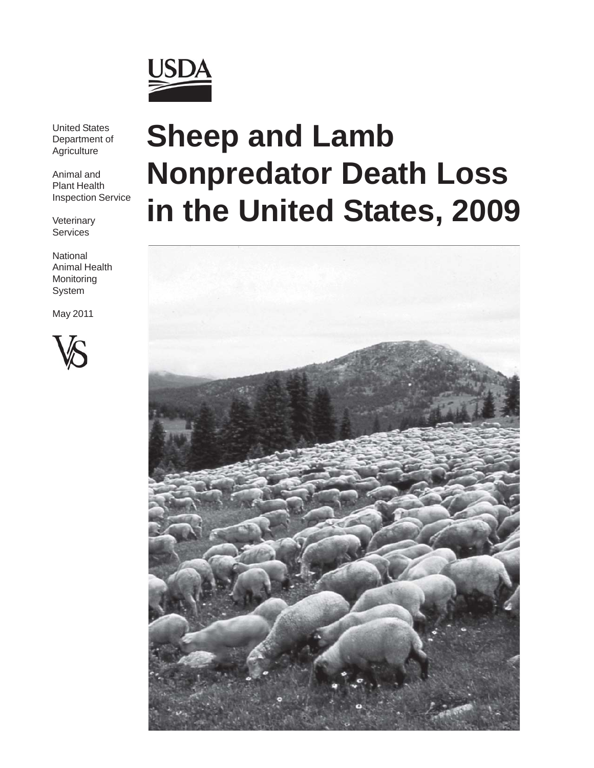

United States Department of **Agriculture** 

Animal and Plant Health Inspection Service

**Veterinary Services** 

**National** Animal Health Monitoring System

May 2011



# **Sheep and Lamb Nonpredator Death Loss in the United States, 2009**

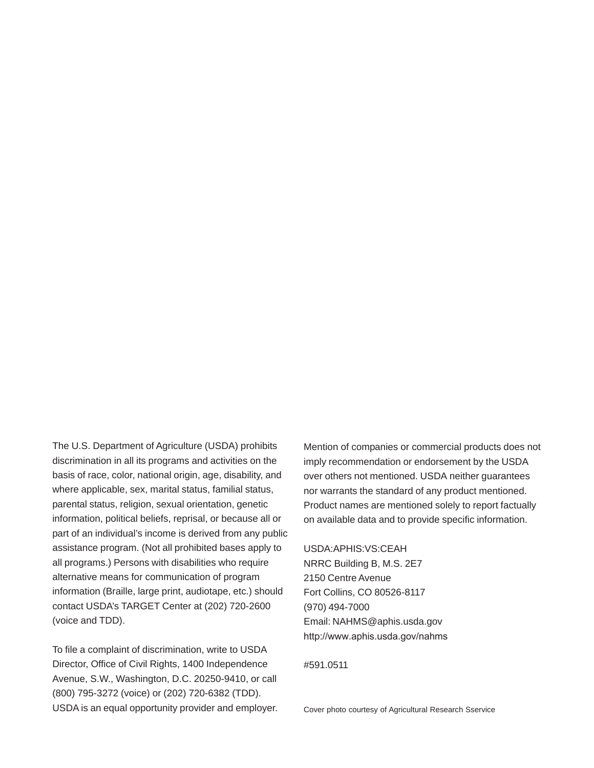The U.S. Department of Agriculture (USDA) prohibits discrimination in all its programs and activities on the basis of race, color, national origin, age, disability, and where applicable, sex, marital status, familial status, parental status, religion, sexual orientation, genetic information, political beliefs, reprisal, or because all or part of an individual's income is derived from any public assistance program. (Not all prohibited bases apply to all programs.) Persons with disabilities who require alternative means for communication of program information (Braille, large print, audiotape, etc.) should contact USDA's TARGET Center at (202) 720-2600 (voice and TDD).

To file a complaint of discrimination, write to USDA Director, Office of Civil Rights, 1400 Independence Avenue, S.W., Washington, D.C. 20250-9410, or call (800) 795-3272 (voice) or (202) 720-6382 (TDD). USDA is an equal opportunity provider and employer. Mention of companies or commercial products does not imply recommendation or endorsement by the USDA over others not mentioned. USDA neither guarantees nor warrants the standard of any product mentioned. Product names are mentioned solely to report factually on available data and to provide specific information.

#### USDA:APHIS:VS:CEAH

NRRC Building B, M.S. 2E7 2150 Centre Avenue Fort Collins, CO 80526-8117 (970) 494-7000 Email: NAHMS@aphis.usda.gov http://www.aphis.usda.gov/nahms

#591.0511

Cover photo courtesy of Agricultural Research Sservice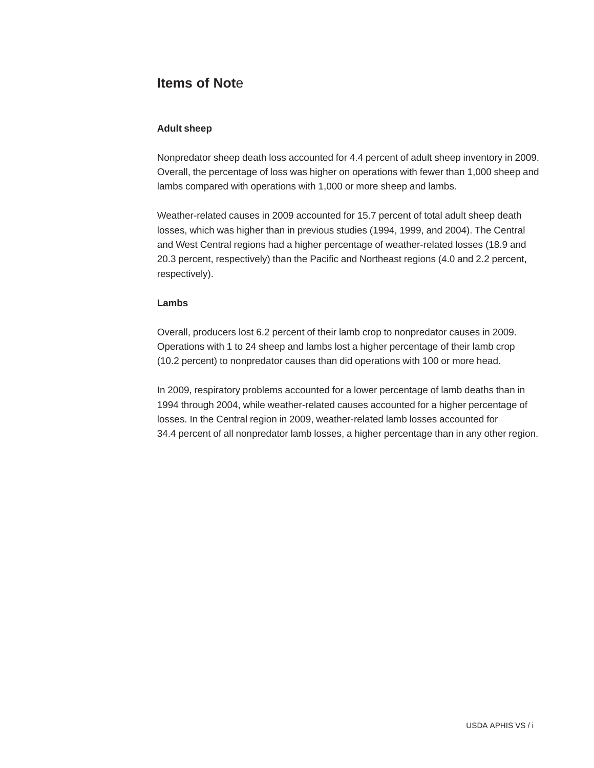### **Items of Not**e

#### **Adult sheep**

Nonpredator sheep death loss accounted for 4.4 percent of adult sheep inventory in 2009. Overall, the percentage of loss was higher on operations with fewer than 1,000 sheep and lambs compared with operations with 1,000 or more sheep and lambs.

Weather-related causes in 2009 accounted for 15.7 percent of total adult sheep death losses, which was higher than in previous studies (1994, 1999, and 2004). The Central and West Central regions had a higher percentage of weather-related losses (18.9 and 20.3 percent, respectively) than the Pacific and Northeast regions (4.0 and 2.2 percent, respectively).

#### **Lambs**

Overall, producers lost 6.2 percent of their lamb crop to nonpredator causes in 2009. Operations with 1 to 24 sheep and lambs lost a higher percentage of their lamb crop (10.2 percent) to nonpredator causes than did operations with 100 or more head.

In 2009, respiratory problems accounted for a lower percentage of lamb deaths than in 1994 through 2004, while weather-related causes accounted for a higher percentage of losses. In the Central region in 2009, weather-related lamb losses accounted for 34.4 percent of all nonpredator lamb losses, a higher percentage than in any other region.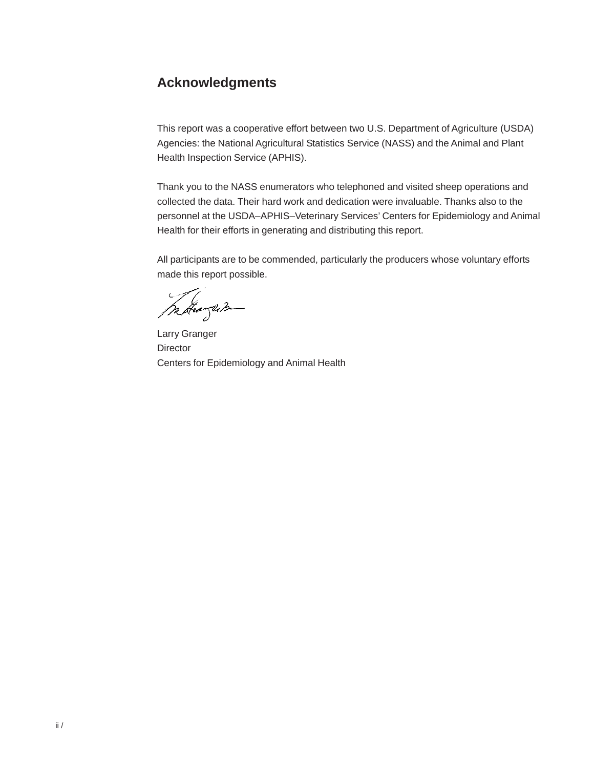### **Acknowledgments**

This report was a cooperative effort between two U.S. Department of Agriculture (USDA) Agencies: the National Agricultural Statistics Service (NASS) and the Animal and Plant Health Inspection Service (APHIS).

Thank you to the NASS enumerators who telephoned and visited sheep operations and collected the data. Their hard work and dedication were invaluable. Thanks also to the personnel at the USDA–APHIS–Veterinary Services' Centers for Epidemiology and Animal Health for their efforts in generating and distributing this report.

All participants are to be commended, particularly the producers whose voluntary efforts made this report possible.

margum

Larry Granger **Director** Centers for Epidemiology and Animal Health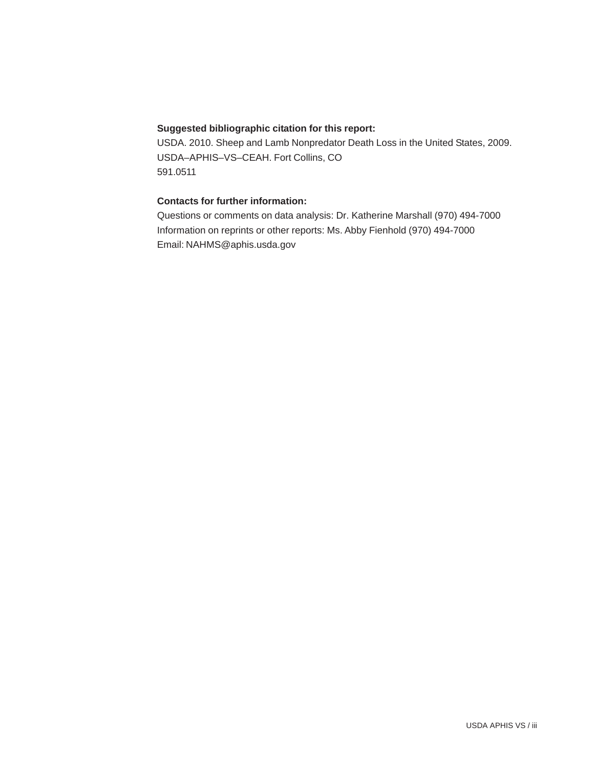#### **Suggested bibliographic citation for this report:**

USDA. 2010. Sheep and Lamb Nonpredator Death Loss in the United States, 2009. USDA–APHIS–VS–CEAH. Fort Collins, CO 591.0511

#### **Contacts for further information:**

Questions or comments on data analysis: Dr. Katherine Marshall (970) 494-7000 Information on reprints or other reports: Ms. Abby Fienhold (970) 494-7000 Email: NAHMS@aphis.usda.gov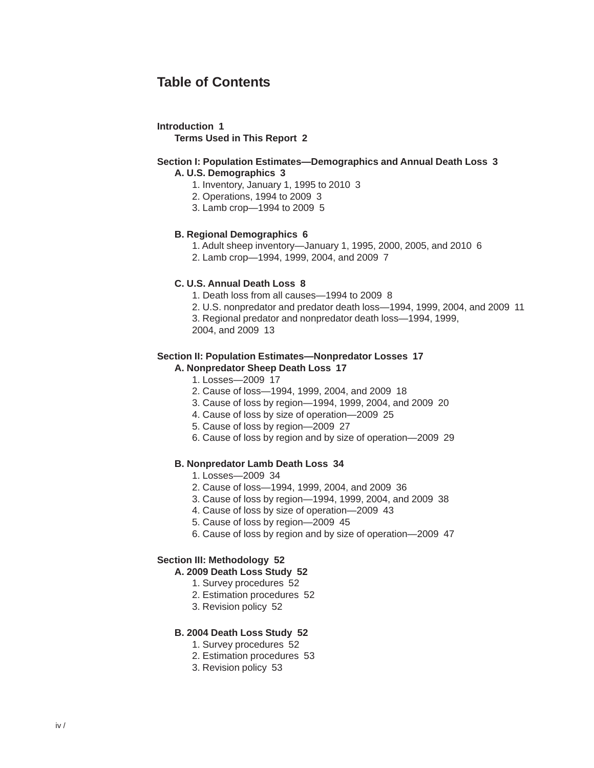### **Table of Contents**

#### **Introduction 1**

**Terms Used in This Report 2**

#### **Section I: Population Estimates—Demographics and Annual Death Loss 3 A. U.S. Demographics 3**

- 1. Inventory, January 1, 1995 to 2010 3
- 2. Operations, 1994 to 2009 3
- 3. Lamb crop—1994 to 2009 5

#### **B. Regional Demographics 6**

- 1. Adult sheep inventory—January 1, 1995, 2000, 2005, and 2010 6
- 2. Lamb crop—1994, 1999, 2004, and 2009 7

#### **C. U.S. Annual Death Loss 8**

- 1. Death loss from all causes—1994 to 2009 8
- 2. U.S. nonpredator and predator death loss—1994, 1999, 2004, and 2009 11
- 3. Regional predator and nonpredator death loss—1994, 1999,
- 2004, and 2009 13

#### **Section II: Population Estimates—Nonpredator Losses 17**

#### **A. Nonpredator Sheep Death Loss 17**

- 1. Losses—2009 17
- 2. Cause of loss—1994, 1999, 2004, and 2009 18
- 3. Cause of loss by region—1994, 1999, 2004, and 2009 20
- 4. Cause of loss by size of operation—2009 25
- 5. Cause of loss by region—2009 27
- 6. Cause of loss by region and by size of operation—2009 29

#### **B. Nonpredator Lamb Death Loss 34**

- 1. Losses—2009 34
- 2. Cause of loss—1994, 1999, 2004, and 2009 36
- 3. Cause of loss by region—1994, 1999, 2004, and 2009 38
- 4. Cause of loss by size of operation—2009 43
- 5. Cause of loss by region—2009 45
- 6. Cause of loss by region and by size of operation—2009 47

#### **Section III: Methodology 52**

#### **A. 2009 Death Loss Study 52**

- 1. Survey procedures 52
- 2. Estimation procedures 52
- 3. Revision policy 52

#### **B. 2004 Death Loss Study 52**

- 1. Survey procedures 52
- 2. Estimation procedures 53
- 3. Revision policy 53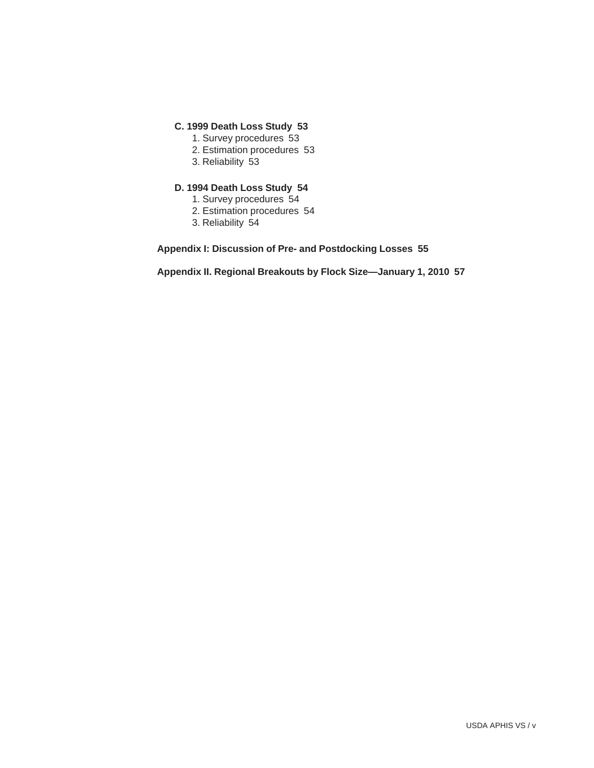#### **C. 1999 Death Loss Study 53**

- 1. Survey procedures 53
- 2. Estimation procedures 53
- 3. Reliability 53

### **D. 1994 Death Loss Study 54**

- 1. Survey procedures 54
- 2. Estimation procedures 54
- 3. Reliability 54

**Appendix I: Discussion of Pre- and Postdocking Losses 55**

**Appendix II. Regional Breakouts by Flock Size—January 1, 2010 57**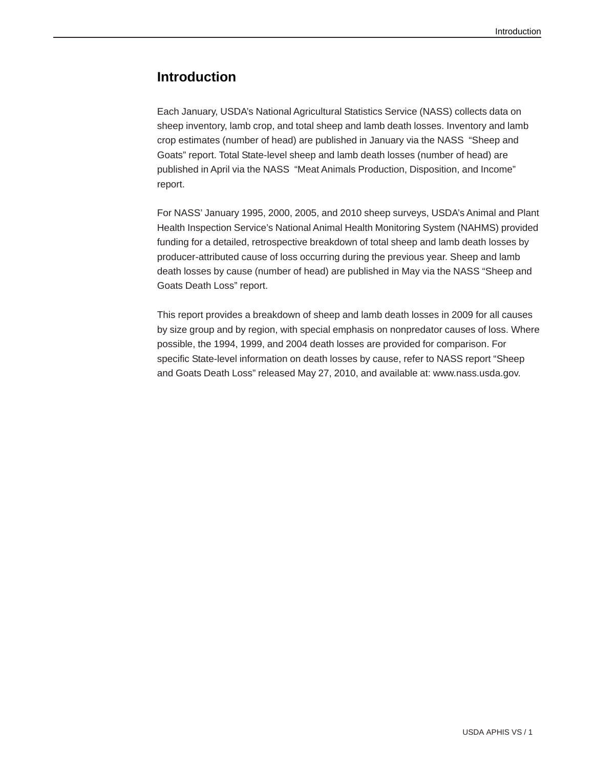### **Introduction**

Each January, USDA's National Agricultural Statistics Service (NASS) collects data on sheep inventory, lamb crop, and total sheep and lamb death losses. Inventory and lamb crop estimates (number of head) are published in January via the NASS "Sheep and Goats" report. Total State-level sheep and lamb death losses (number of head) are published in April via the NASS "Meat Animals Production, Disposition, and Income" report.

For NASS' January 1995, 2000, 2005, and 2010 sheep surveys, USDA's Animal and Plant Health Inspection Service's National Animal Health Monitoring System (NAHMS) provided funding for a detailed, retrospective breakdown of total sheep and lamb death losses by producer-attributed cause of loss occurring during the previous year. Sheep and lamb death losses by cause (number of head) are published in May via the NASS "Sheep and Goats Death Loss" report.

This report provides a breakdown of sheep and lamb death losses in 2009 for all causes by size group and by region, with special emphasis on nonpredator causes of loss. Where possible, the 1994, 1999, and 2004 death losses are provided for comparison. For specific State-level information on death losses by cause, refer to NASS report "Sheep and Goats Death Loss" released May 27, 2010, and available at: www.nass.usda.gov.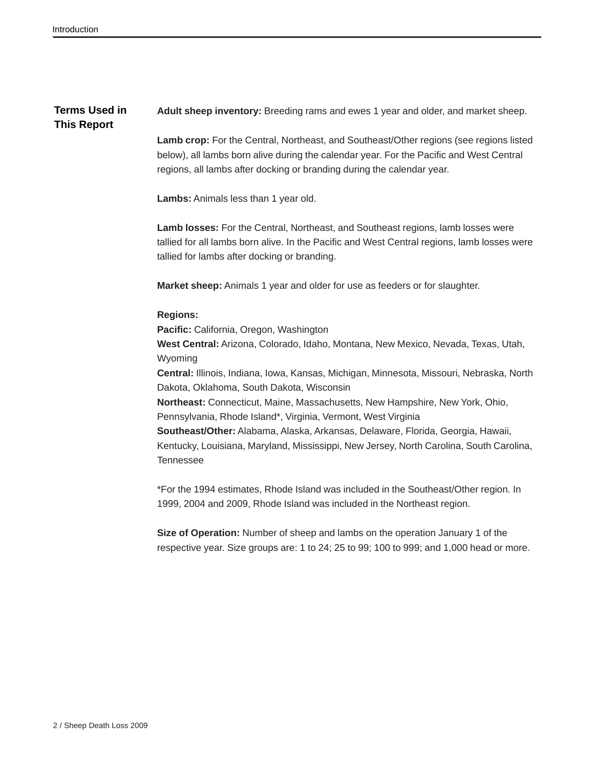#### **Terms Used in This Report Adult sheep inventory:** Breeding rams and ewes 1 year and older, and market sheep.

**Lamb crop:** For the Central, Northeast, and Southeast/Other regions (see regions listed below), all lambs born alive during the calendar year. For the Pacific and West Central regions, all lambs after docking or branding during the calendar year.

**Lambs:** Animals less than 1 year old.

**Lamb losses:** For the Central, Northeast, and Southeast regions, lamb losses were tallied for all lambs born alive. In the Pacific and West Central regions, lamb losses were tallied for lambs after docking or branding.

**Market sheep:** Animals 1 year and older for use as feeders or for slaughter.

#### **Regions:**

**Pacific:** California, Oregon, Washington

**West Central:** Arizona, Colorado, Idaho, Montana, New Mexico, Nevada, Texas, Utah, Wyoming

**Central:** Illinois, Indiana, Iowa, Kansas, Michigan, Minnesota, Missouri, Nebraska, North Dakota, Oklahoma, South Dakota, Wisconsin

**Northeast:** Connecticut, Maine, Massachusetts, New Hampshire, New York, Ohio, Pennsylvania, Rhode Island\*, Virginia, Vermont, West Virginia

**Southeast/Other:** Alabama, Alaska, Arkansas, Delaware, Florida, Georgia, Hawaii, Kentucky, Louisiana, Maryland, Mississippi, New Jersey, North Carolina, South Carolina, Tennessee

\*For the 1994 estimates, Rhode Island was included in the Southeast/Other region. In 1999, 2004 and 2009, Rhode Island was included in the Northeast region.

**Size of Operation:** Number of sheep and lambs on the operation January 1 of the respective year. Size groups are: 1 to 24; 25 to 99; 100 to 999; and 1,000 head or more.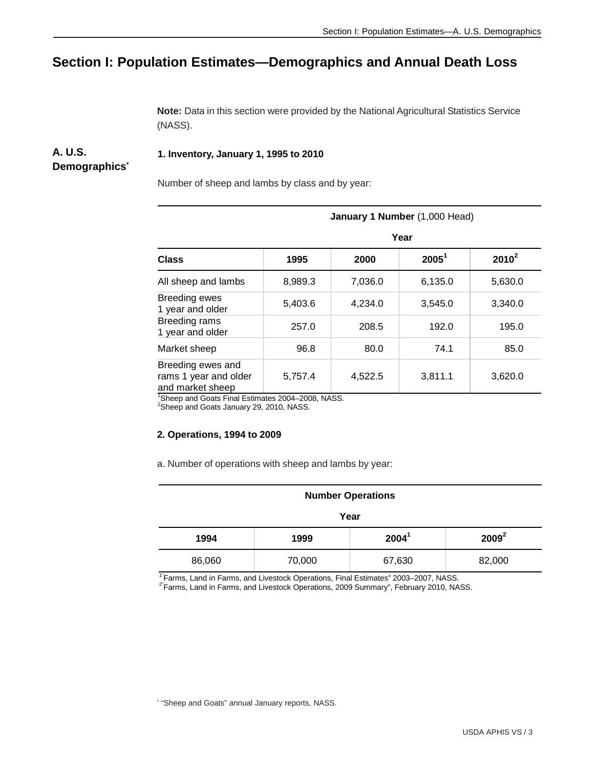## **Section I: Population Estimates—Demographics and Annual Death Loss**

**Note:** Data in this section were provided by the National Agricultural Statistics Service (NASS).

#### **1. Inventory, January 1, 1995 to 2010**

### **Demographics\***

**A. U.S.**

Number of sheep and lambs by class and by year:

|                                                                                                                                    | January 1 Number (1,000 Head) |         |          |          |  |  |  |  |
|------------------------------------------------------------------------------------------------------------------------------------|-------------------------------|---------|----------|----------|--|--|--|--|
|                                                                                                                                    | Year                          |         |          |          |  |  |  |  |
| <b>Class</b>                                                                                                                       | 1995                          | 2000    | $2005^1$ | $2010^2$ |  |  |  |  |
| All sheep and lambs                                                                                                                | 8,989.3                       | 7,036.0 | 6,135.0  | 5,630.0  |  |  |  |  |
| <b>Breeding ewes</b><br>1 year and older                                                                                           | 5,403.6                       | 4,234.0 | 3,545.0  | 3,340.0  |  |  |  |  |
| Breeding rams<br>1 year and older                                                                                                  | 257.0                         | 208.5   | 192.0    | 195.0    |  |  |  |  |
| Market sheep                                                                                                                       | 96.8                          | 80.0    | 74.1     | 85.0     |  |  |  |  |
| Breeding ewes and<br>rams 1 year and older<br>and market sheep<br>$10\text{ km}$ and $0\text{ m}$ Final Fatimeter 0004, 0000, NACO | 5,757.4                       | 4,522.5 | 3,811.1  | 3,620.0  |  |  |  |  |

1 Sheep and Goats Final Estimates 2004–2008, NASS. 2 Sheep and Goats January 29, 2010, NASS.

#### **2. Operations, 1994 to 2009**

a. Number of operations with sheep and lambs by year:

| <b>Number Operations</b> |        |          |          |  |  |  |
|--------------------------|--------|----------|----------|--|--|--|
| Year                     |        |          |          |  |  |  |
| 1994                     | 1999   | $2004^1$ | $2009^2$ |  |  |  |
| 86,060                   | 70,000 | 67,630   | 82,000   |  |  |  |

<sup>1"</sup>Farms, Land in Farms, and Livestock Operations, Final Estimates" 2003–2007, NASS.<br><sup>2"</sup>Farms, Land in Farms, and Livestock Operations, 2009 Summary", February 2010, NASS.

\* "Sheep and Goats" annual January reports, NASS.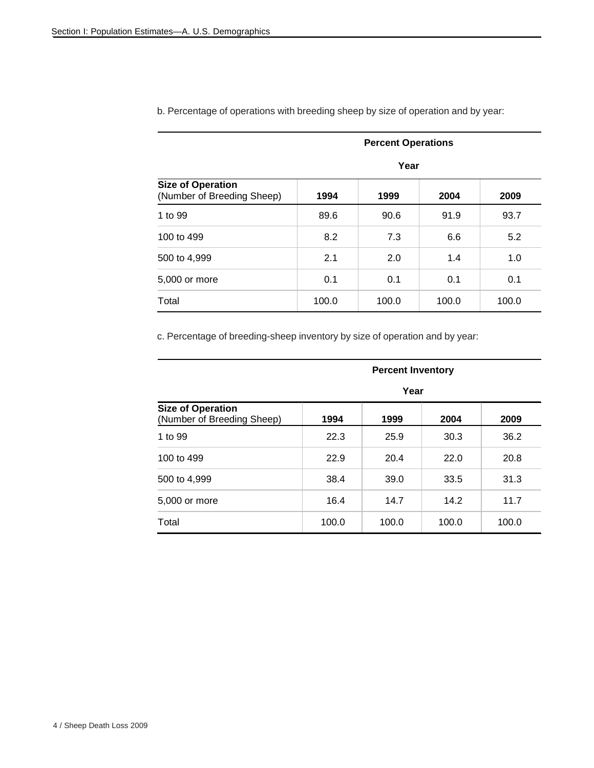|                                                        | <b>Percent Operations</b><br>Year |       |       |       |  |  |  |
|--------------------------------------------------------|-----------------------------------|-------|-------|-------|--|--|--|
|                                                        |                                   |       |       |       |  |  |  |
| <b>Size of Operation</b><br>(Number of Breeding Sheep) | 1994                              | 1999  | 2004  | 2009  |  |  |  |
| 1 to 99                                                | 89.6                              | 90.6  | 91.9  | 93.7  |  |  |  |
| 100 to 499                                             | 8.2                               | 7.3   | 6.6   | 5.2   |  |  |  |
| 500 to 4,999                                           | 2.1                               | 2.0   | 1.4   | 1.0   |  |  |  |
| 5,000 or more                                          | 0.1                               | 0.1   | 0.1   | 0.1   |  |  |  |
| Total                                                  | 100.0                             | 100.0 | 100.0 | 100.0 |  |  |  |

b. Percentage of operations with breeding sheep by size of operation and by year:

c. Percentage of breeding-sheep inventory by size of operation and by year:

|                                                        | <b>Percent Inventory</b><br>Year |       |       |       |  |  |
|--------------------------------------------------------|----------------------------------|-------|-------|-------|--|--|
|                                                        |                                  |       |       |       |  |  |
| <b>Size of Operation</b><br>(Number of Breeding Sheep) | 1994                             | 1999  | 2004  | 2009  |  |  |
| 1 to 99                                                | 22.3                             | 25.9  | 30.3  | 36.2  |  |  |
| 100 to 499                                             | 22.9                             | 20.4  | 22.0  | 20.8  |  |  |
| 500 to 4,999                                           | 38.4                             | 39.0  | 33.5  | 31.3  |  |  |
| 5,000 or more                                          | 16.4                             | 14.7  | 14.2  | 11.7  |  |  |
| Total                                                  | 100.0                            | 100.0 | 100.0 | 100.0 |  |  |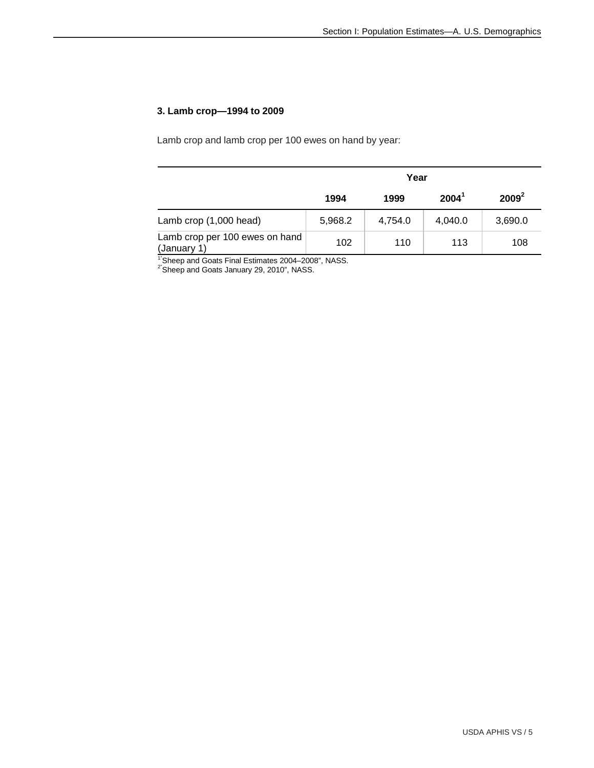#### **3. Lamb crop—1994 to 2009**

Lamb crop and lamb crop per 100 ewes on hand by year:

|                                               | Year    |         |          |          |  |  |
|-----------------------------------------------|---------|---------|----------|----------|--|--|
|                                               | 1994    | 1999    | $2004^1$ | $2009^2$ |  |  |
| Lamb crop (1,000 head)                        | 5,968.2 | 4,754.0 | 4,040.0  | 3,690.0  |  |  |
| Lamb crop per 100 ewes on hand<br>(January 1) | 102     | 110     | 113      | 108      |  |  |

<sup>1"</sup>Sheep and Goats Final Estimates 2004–2008", NASS.

 $2^{\degree}$ Sheep and Goats January 29, 2010", NASS.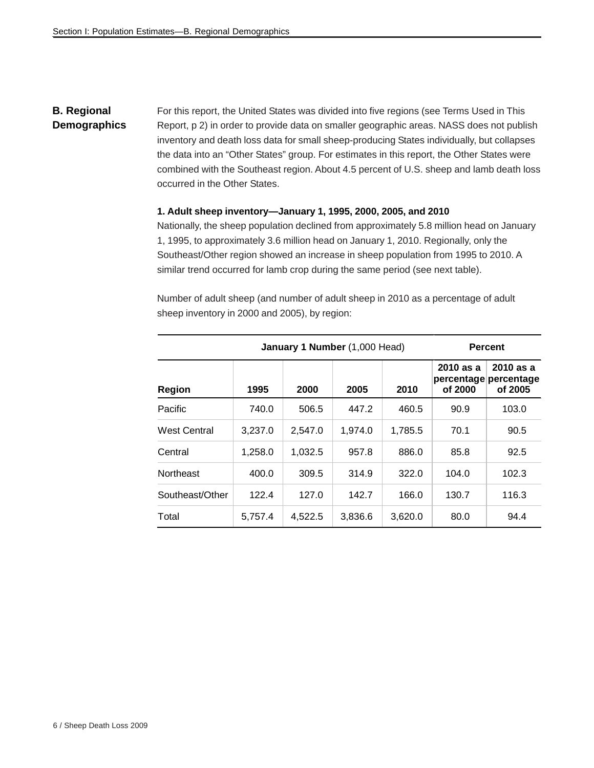#### **B. Regional Demographics** For this report, the United States was divided into five regions (see Terms Used in This Report, p 2) in order to provide data on smaller geographic areas. NASS does not publish inventory and death loss data for small sheep-producing States individually, but collapses the data into an "Other States" group. For estimates in this report, the Other States were combined with the Southeast region. About 4.5 percent of U.S. sheep and lamb death loss occurred in the Other States.

#### **1. Adult sheep inventory—January 1, 1995, 2000, 2005, and 2010**

Nationally, the sheep population declined from approximately 5.8 million head on January 1, 1995, to approximately 3.6 million head on January 1, 2010. Regionally, only the Southeast/Other region showed an increase in sheep population from 1995 to 2010. A similar trend occurred for lamb crop during the same period (see next table).

|                     | January 1 Number (1,000 Head) | <b>Percent</b> |         |         |                        |                                               |
|---------------------|-------------------------------|----------------|---------|---------|------------------------|-----------------------------------------------|
| <b>Region</b>       | 1995                          | 2000           | 2005    | 2010    | $2010$ as a<br>of 2000 | 2010 as a<br>percentage percentage<br>of 2005 |
| Pacific             | 740.0                         | 506.5          | 447.2   | 460.5   | 90.9                   | 103.0                                         |
| <b>West Central</b> | 3,237.0                       | 2.547.0        | 1.974.0 | 1,785.5 | 70.1                   | 90.5                                          |
| Central             | 1.258.0                       | 1.032.5        | 957.8   | 886.0   | 85.8                   | 92.5                                          |
| <b>Northeast</b>    | 400.0                         | 309.5          | 314.9   | 322.0   | 104.0                  | 102.3                                         |
| Southeast/Other     | 122.4                         | 127.0          | 142.7   | 166.0   | 130.7                  | 116.3                                         |
| Total               | 5,757.4                       | 4,522.5        | 3,836.6 | 3,620.0 | 80.0                   | 94.4                                          |

Number of adult sheep (and number of adult sheep in 2010 as a percentage of adult sheep inventory in 2000 and 2005), by region: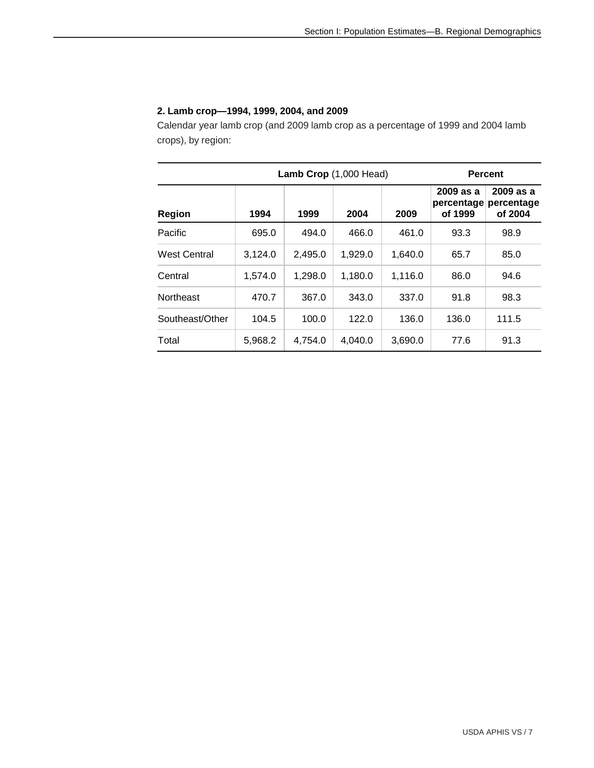#### **2. Lamb crop—1994, 1999, 2004, and 2009**

Calendar year lamb crop (and 2009 lamb crop as a percentage of 1999 and 2004 lamb crops), by region:

| Lamb Crop (1,000 Head) |         |         |         |         | <b>Percent</b>                     |                                    |  |
|------------------------|---------|---------|---------|---------|------------------------------------|------------------------------------|--|
| <b>Region</b>          | 1994    | 1999    | 2004    | 2009    | 2009 as a<br>percentage<br>of 1999 | 2009 as a<br>percentage<br>of 2004 |  |
| Pacific                | 695.0   | 494.0   | 466.0   | 461.0   | 93.3                               | 98.9                               |  |
| West Central           | 3,124.0 | 2,495.0 | 1,929.0 | 1,640.0 | 65.7                               | 85.0                               |  |
| Central                | 1,574.0 | 1,298.0 | 1,180.0 | 1,116.0 | 86.0                               | 94.6                               |  |
| <b>Northeast</b>       | 470.7   | 367.0   | 343.0   | 337.0   | 91.8                               | 98.3                               |  |
| Southeast/Other        | 104.5   | 100.0   | 122.0   | 136.0   | 136.0                              | 111.5                              |  |
| Total                  | 5,968.2 | 4,754.0 | 4,040.0 | 3,690.0 | 77.6                               | 91.3                               |  |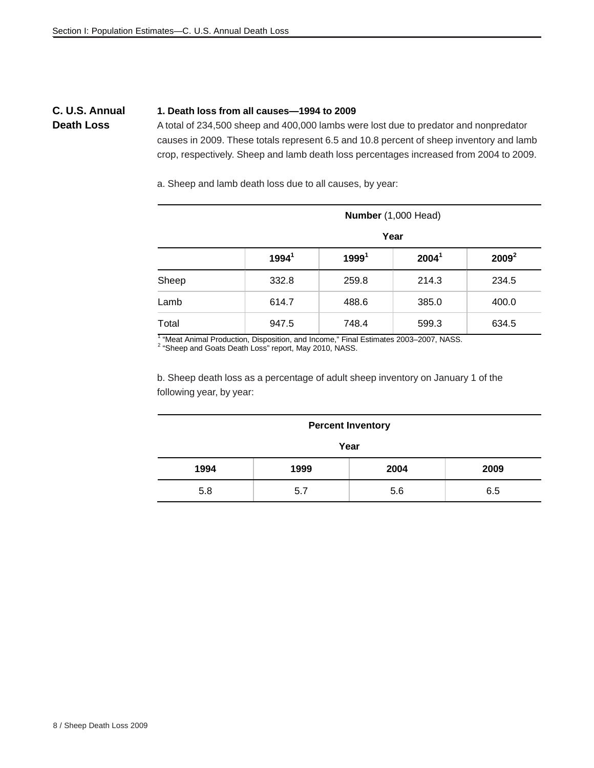### **C. U.S. Annual Death Loss**

#### **1. Death loss from all causes—1994 to 2009**

A total of 234,500 sheep and 400,000 lambs were lost due to predator and nonpredator causes in 2009. These totals represent 6.5 and 10.8 percent of sheep inventory and lamb crop, respectively. Sheep and lamb death loss percentages increased from 2004 to 2009.

a. Sheep and lamb death loss due to all causes, by year:

|       | Number (1,000 Head) |                   |                   |          |  |  |  |  |
|-------|---------------------|-------------------|-------------------|----------|--|--|--|--|
|       | Year                |                   |                   |          |  |  |  |  |
|       | 1994 <sup>1</sup>   | 1999 <sup>1</sup> | 2004 <sup>1</sup> | $2009^2$ |  |  |  |  |
| Sheep | 332.8               | 259.8             | 214.3             | 234.5    |  |  |  |  |
| Lamb  | 614.7               | 488.6             | 385.0             | 400.0    |  |  |  |  |
| Total | 947.5               | 748.4             | 599.3             | 634.5    |  |  |  |  |

<sup>1</sup> "Meat Animal Production, Disposition, and Income," Final Estimates 2003–2007, NASS.<br><sup>2</sup> "Sheep and Goats Death Loss" report, May 2010, NASS.

b. Sheep death loss as a percentage of adult sheep inventory on January 1 of the following year, by year:

#### **Percent Inventory**

**Year** 

| 1994 | 1999     | 2004 | 2009 |
|------|----------|------|------|
| 5.8  | ∽<br>◡.≀ | 5.6  | 6.5  |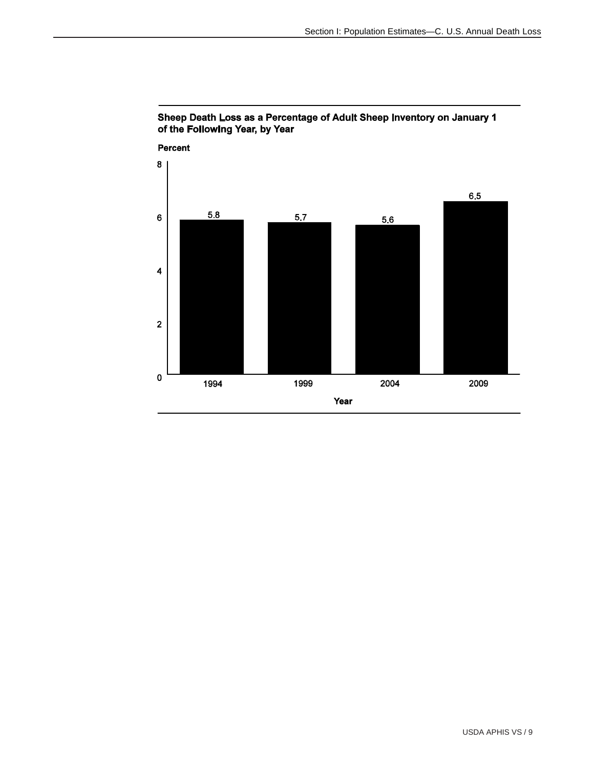

#### Sheep Death Loss as a Percentage of Adult Sheep Inventory on January 1 of the Following Year, by Year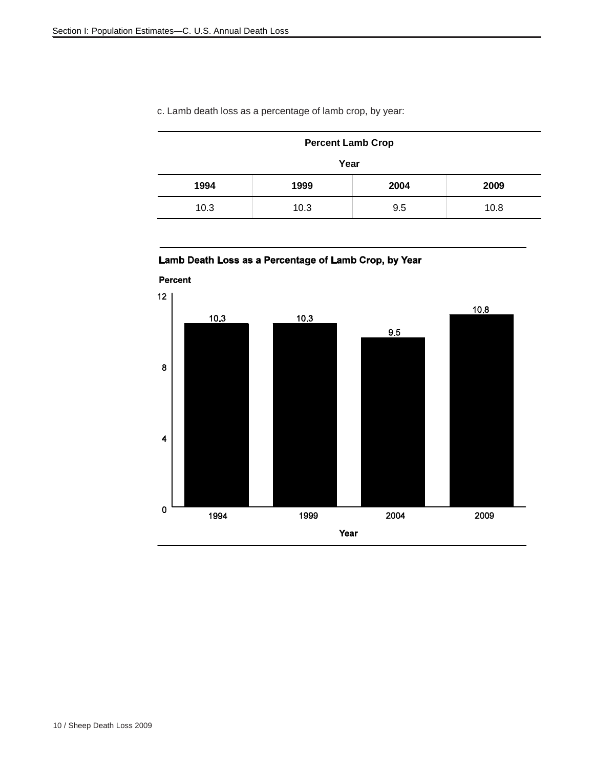| <b>Percent Lamb Crop</b> |      |      |      |  |  |  |
|--------------------------|------|------|------|--|--|--|
| Year                     |      |      |      |  |  |  |
| 1994                     | 1999 | 2004 | 2009 |  |  |  |
| 10.3                     | 10.3 | 9.5  | 10.8 |  |  |  |

### c. Lamb death loss as a percentage of lamb crop, by year:

### Lamb Death Loss as a Percentage of Lamb Crop, by Year

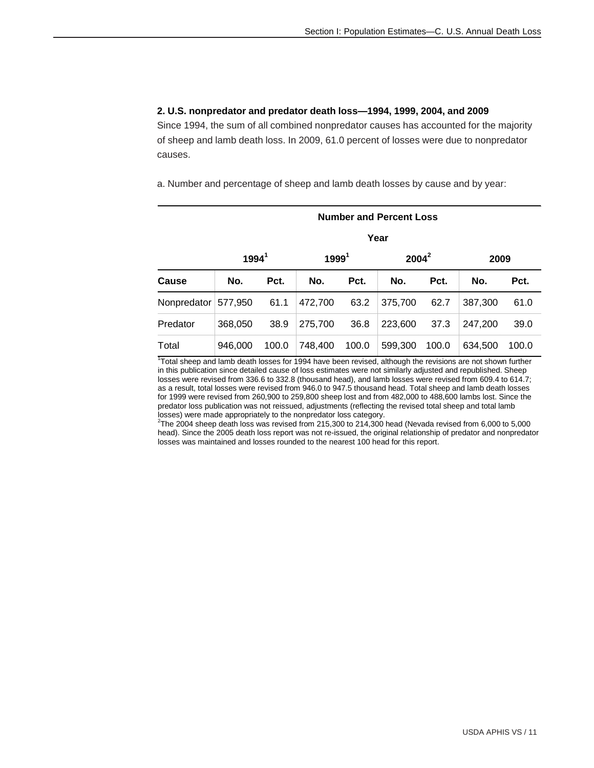#### **2. U.S. nonpredator and predator death loss—1994, 1999, 2004, and 2009**

Since 1994, the sum of all combined nonpredator causes has accounted for the majority of sheep and lamb death loss. In 2009, 61.0 percent of losses were due to nonpredator causes.

a. Number and percentage of sheep and lamb death losses by cause and by year:

|             | <b>Number and Percent Loss</b> |       |                   |       |          |       |         |       |  |
|-------------|--------------------------------|-------|-------------------|-------|----------|-------|---------|-------|--|
|             |                                | Year  |                   |       |          |       |         |       |  |
|             | $1994^1$                       |       | 1999 <sup>1</sup> |       | $2004^2$ |       | 2009    |       |  |
| Cause       | No.                            | Pct.  | No.               | Pct.  | No.      | Pct.  | No.     | Pct.  |  |
| Nonpredator | 577,950                        | 61.1  | 472,700           | 63.2  | 375,700  | 62.7  | 387,300 | 61.0  |  |
| Predator    | 368,050                        | 38.9  | 275,700           | 36.8  | 223,600  | 37.3  | 247,200 | 39.0  |  |
| Total       | 946.000                        | 100.0 | 748,400           | 100.0 | 599,300  | 100.0 | 634,500 | 100.0 |  |

Total sheep and lamb death losses for 1994 have been revised, although the revisions are not shown further in this publication since detailed cause of loss estimates were not similarly adjusted and republished. Sheep losses were revised from 336.6 to 332.8 (thousand head), and lamb losses were revised from 609.4 to 614.7; as a result, total losses were revised from 946.0 to 947.5 thousand head. Total sheep and lamb death losses for 1999 were revised from 260,900 to 259,800 sheep lost and from 482,000 to 488,600 lambs lost. Since the predator loss publication was not reissued, adjustments (reflecting the revised total sheep and total lamb losses) were made appropriately to the nonpredator loss category.

2 The 2004 sheep death loss was revised from 215,300 to 214,300 head (Nevada revised from 6,000 to 5,000 head). Since the 2005 death loss report was not re-issued, the original relationship of predator and nonpredator losses was maintained and losses rounded to the nearest 100 head for this report.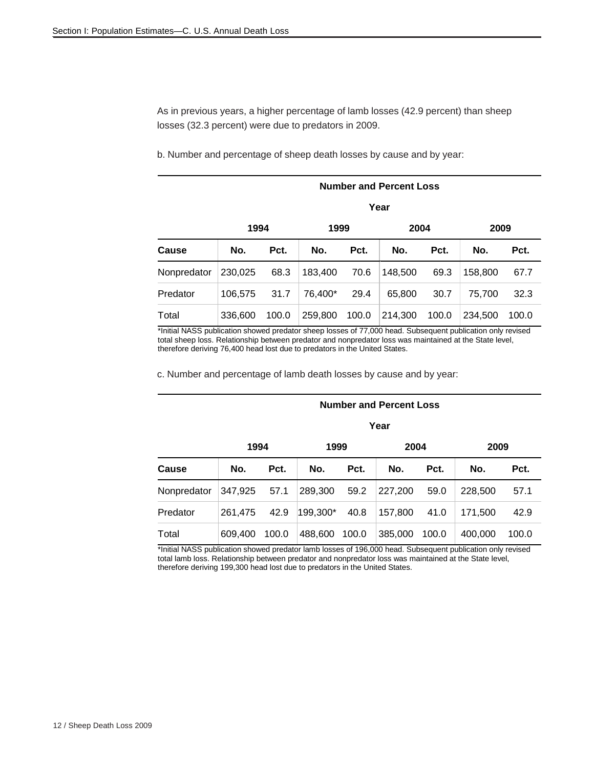As in previous years, a higher percentage of lamb losses (42.9 percent) than sheep losses (32.3 percent) were due to predators in 2009.

b. Number and percentage of sheep death losses by cause and by year:

| <b>Number and Percent Loss</b> |         |       |         |       |         |       |         |       |  |  |
|--------------------------------|---------|-------|---------|-------|---------|-------|---------|-------|--|--|
|                                |         | Year  |         |       |         |       |         |       |  |  |
|                                | 1994    |       | 1999    |       | 2004    |       | 2009    |       |  |  |
| Cause                          | No.     | Pct.  | No.     | Pct.  | No.     | Pct.  | No.     | Pct.  |  |  |
| Nonpredator                    | 230,025 | 68.3  | 183,400 | 70.6  | 148,500 | 69.3  | 158,800 | 67.7  |  |  |
| Predator                       | 106,575 | 31.7  | 76,400* | 29.4  | 65,800  | 30.7  | 75.700  | 32.3  |  |  |
| Total                          | 336,600 | 100.0 | 259,800 | 100.0 | 214,300 | 100.0 | 234,500 | 100.0 |  |  |

\*Initial NASS publication showed predator sheep losses of 77,000 head. Subsequent publication only revised total sheep loss. Relationship between predator and nonpredator loss was maintained at the State level, therefore deriving 76,400 head lost due to predators in the United States.

c. Number and percentage of lamb death losses by cause and by year:

|             | Year    |       |          |       |         |       |         |       |  |  |  |
|-------------|---------|-------|----------|-------|---------|-------|---------|-------|--|--|--|
|             | 1994    |       | 1999     |       | 2004    |       | 2009    |       |  |  |  |
| Cause       | No.     | Pct.  | No.      | Pct.  | No.     | Pct.  | No.     | Pct.  |  |  |  |
| Nonpredator | 347,925 | 57.1  | 289,300  | 59.2  | 227,200 | 59.0  | 228,500 | 57.1  |  |  |  |
| Predator    | 261.475 | 42.9  | 199,300* | 40.8  | 157,800 | 41.0  | 171,500 | 42.9  |  |  |  |
| Total       | 609,400 | 100.0 | 488,600  | 100.0 | 385,000 | 100.0 | 400,000 | 100.0 |  |  |  |

 **Number and Percent Loss** 

\*Initial NASS publication showed predator lamb losses of 196,000 head. Subsequent publication only revised total lamb loss. Relationship between predator and nonpredator loss was maintained at the State level, therefore deriving 199,300 head lost due to predators in the United States.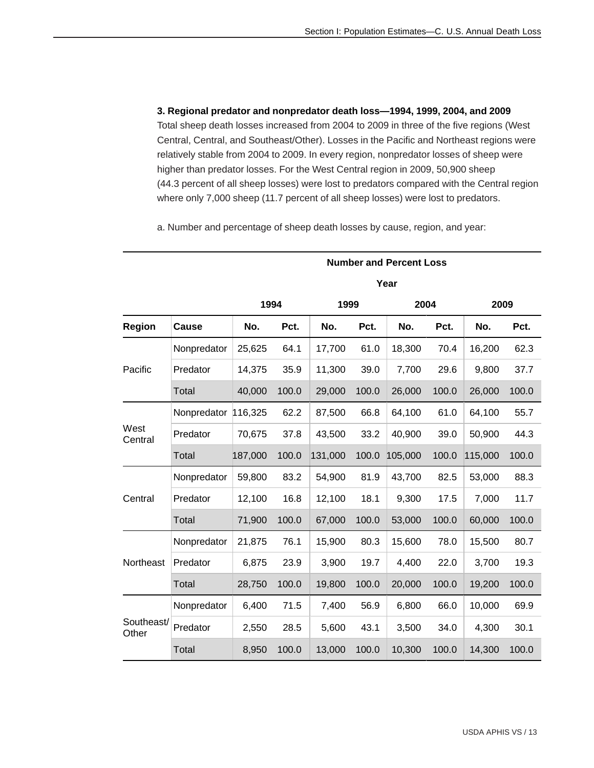**3. Regional predator and nonpredator death loss—1994, 1999, 2004, and 2009** Total sheep death losses increased from 2004 to 2009 in three of the five regions (West Central, Central, and Southeast/Other). Losses in the Pacific and Northeast regions were relatively stable from 2004 to 2009. In every region, nonpredator losses of sheep were higher than predator losses. For the West Central region in 2009, 50,900 sheep (44.3 percent of all sheep losses) were lost to predators compared with the Central region where only 7,000 sheep (11.7 percent of all sheep losses) were lost to predators.

a. Number and percentage of sheep death losses by cause, region, and year:

|                     |             |         |       |         |       | <b>Number and Percent Loss</b> |       |         |       |
|---------------------|-------------|---------|-------|---------|-------|--------------------------------|-------|---------|-------|
|                     |             |         |       |         |       | Year                           |       |         |       |
|                     |             | 1994    |       | 1999    |       | 2004                           |       | 2009    |       |
| Region              | Cause       | No.     | Pct.  | No.     | Pct.  | No.                            | Pct.  | No.     | Pct.  |
|                     | Nonpredator | 25,625  | 64.1  | 17,700  | 61.0  | 18,300                         | 70.4  | 16,200  | 62.3  |
| Pacific             | Predator    | 14,375  | 35.9  | 11,300  | 39.0  | 7,700                          | 29.6  | 9,800   | 37.7  |
|                     | Total       | 40,000  | 100.0 | 29,000  | 100.0 | 26,000                         | 100.0 | 26,000  | 100.0 |
|                     | Nonpredator | 116,325 | 62.2  | 87,500  | 66.8  | 64,100                         | 61.0  | 64,100  | 55.7  |
| West<br>Central     | Predator    | 70,675  | 37.8  | 43,500  | 33.2  | 40,900                         | 39.0  | 50,900  | 44.3  |
|                     | Total       | 187,000 | 100.0 | 131,000 | 100.0 | 105,000                        | 100.0 | 115,000 | 100.0 |
|                     | Nonpredator | 59,800  | 83.2  | 54,900  | 81.9  | 43,700                         | 82.5  | 53,000  | 88.3  |
| Central             | Predator    | 12,100  | 16.8  | 12,100  | 18.1  | 9,300                          | 17.5  | 7,000   | 11.7  |
|                     | Total       | 71,900  | 100.0 | 67,000  | 100.0 | 53,000                         | 100.0 | 60,000  | 100.0 |
|                     | Nonpredator | 21,875  | 76.1  | 15,900  | 80.3  | 15,600                         | 78.0  | 15,500  | 80.7  |
| Northeast           | Predator    | 6,875   | 23.9  | 3,900   | 19.7  | 4,400                          | 22.0  | 3,700   | 19.3  |
|                     | Total       | 28,750  | 100.0 | 19,800  | 100.0 | 20,000                         | 100.0 | 19,200  | 100.0 |
|                     | Nonpredator | 6,400   | 71.5  | 7,400   | 56.9  | 6,800                          | 66.0  | 10,000  | 69.9  |
| Southeast/<br>Other | Predator    | 2,550   | 28.5  | 5,600   | 43.1  | 3,500                          | 34.0  | 4,300   | 30.1  |
|                     | Total       | 8,950   | 100.0 | 13,000  | 100.0 | 10,300                         | 100.0 | 14,300  | 100.0 |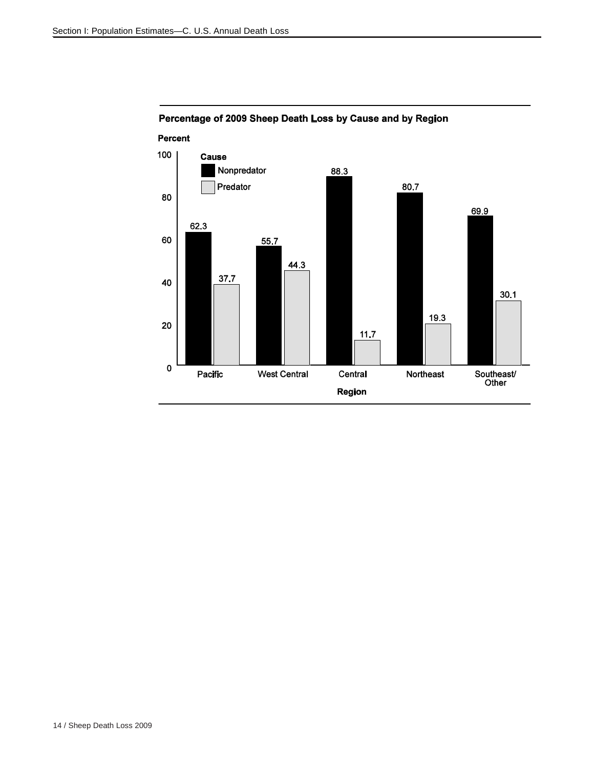

### Percentage of 2009 Sheep Death Loss by Cause and by Region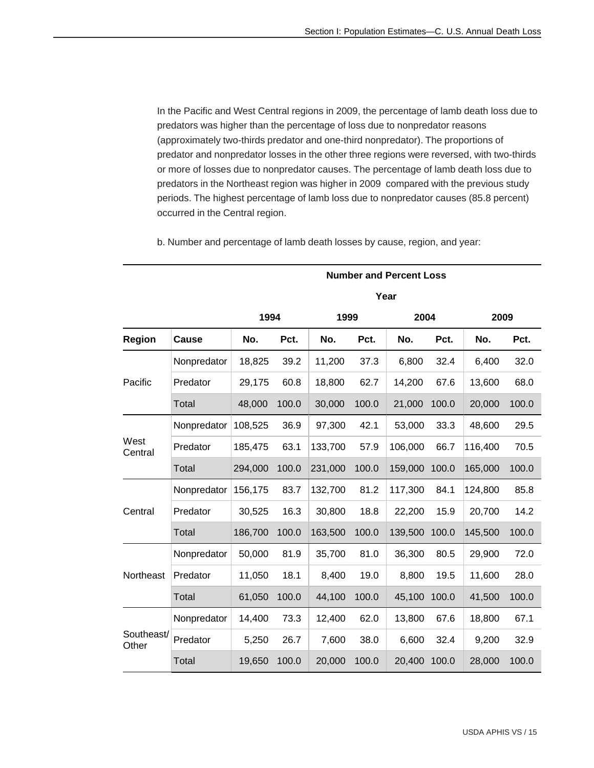In the Pacific and West Central regions in 2009, the percentage of lamb death loss due to predators was higher than the percentage of loss due to nonpredator reasons (approximately two-thirds predator and one-third nonpredator). The proportions of predator and nonpredator losses in the other three regions were reversed, with two-thirds or more of losses due to nonpredator causes. The percentage of lamb death loss due to predators in the Northeast region was higher in 2009 compared with the previous study periods. The highest percentage of lamb loss due to nonpredator causes (85.8 percent) occurred in the Central region.

b. Number and percentage of lamb death losses by cause, region, and year:

|                     |             |         |       |         |       | Year    |       |         |       |
|---------------------|-------------|---------|-------|---------|-------|---------|-------|---------|-------|
|                     |             | 1994    |       | 1999    |       | 2004    |       | 2009    |       |
| Region              | Cause       | No.     | Pct.  | No.     | Pct.  | No.     | Pct.  | No.     | Pct.  |
|                     | Nonpredator | 18,825  | 39.2  | 11,200  | 37.3  | 6,800   | 32.4  | 6,400   | 32.0  |
| Pacific             | Predator    | 29,175  | 60.8  | 18,800  | 62.7  | 14,200  | 67.6  | 13,600  | 68.0  |
|                     | Total       | 48,000  | 100.0 | 30,000  | 100.0 | 21,000  | 100.0 | 20,000  | 100.0 |
|                     | Nonpredator | 108,525 | 36.9  | 97,300  | 42.1  | 53,000  | 33.3  | 48,600  | 29.5  |
| West<br>Central     | Predator    | 185,475 | 63.1  | 133,700 | 57.9  | 106,000 | 66.7  | 116,400 | 70.5  |
|                     | Total       | 294,000 | 100.0 | 231,000 | 100.0 | 159,000 | 100.0 | 165,000 | 100.0 |
|                     | Nonpredator | 156,175 | 83.7  | 132,700 | 81.2  | 117,300 | 84.1  | 124,800 | 85.8  |
| Central             | Predator    | 30,525  | 16.3  | 30,800  | 18.8  | 22,200  | 15.9  | 20,700  | 14.2  |
|                     | Total       | 186,700 | 100.0 | 163,500 | 100.0 | 139,500 | 100.0 | 145,500 | 100.0 |
|                     | Nonpredator | 50,000  | 81.9  | 35,700  | 81.0  | 36,300  | 80.5  | 29,900  | 72.0  |
| Northeast           | Predator    | 11,050  | 18.1  | 8,400   | 19.0  | 8,800   | 19.5  | 11,600  | 28.0  |
|                     | Total       | 61,050  | 100.0 | 44,100  | 100.0 | 45,100  | 100.0 | 41,500  | 100.0 |
|                     | Nonpredator | 14,400  | 73.3  | 12,400  | 62.0  | 13,800  | 67.6  | 18,800  | 67.1  |
| Southeast/<br>Other | Predator    | 5,250   | 26.7  | 7,600   | 38.0  | 6,600   | 32.4  | 9,200   | 32.9  |
|                     | Total       | 19,650  | 100.0 | 20,000  | 100.0 | 20,400  | 100.0 | 28,000  | 100.0 |

 **Number and Percent Loss**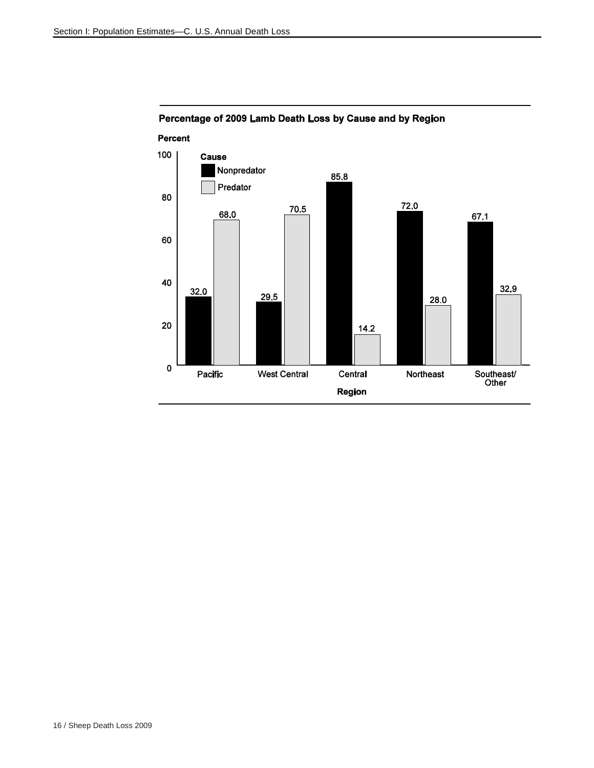

### Percentage of 2009 Lamb Death Loss by Cause and by Region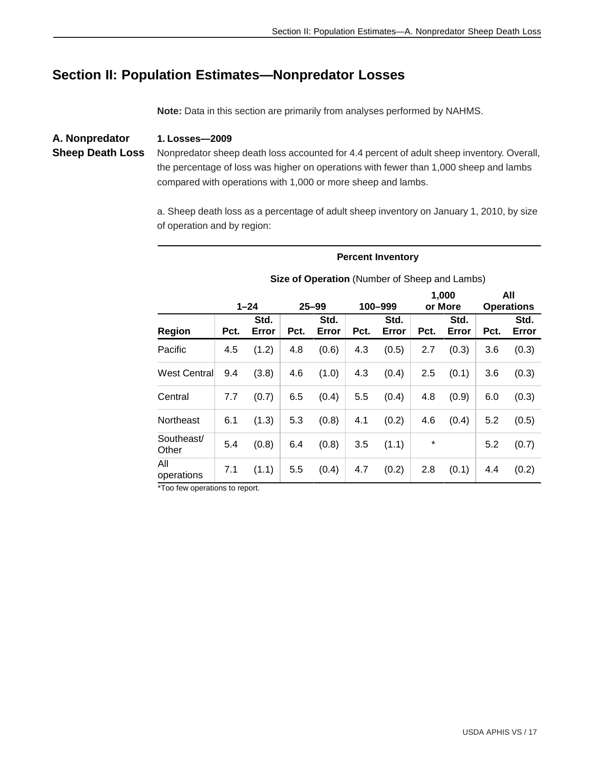# **Section II: Population Estimates—Nonpredator Losses**

**Note:** Data in this section are primarily from analyses performed by NAHMS.

**A. Nonpredator Sheep Death Loss 1. Losses—2009** Nonpredator sheep death loss accounted for 4.4 percent of adult sheep inventory. Overall, the percentage of loss was higher on operations with fewer than 1,000 sheep and lambs compared with operations with 1,000 or more sheep and lambs.

> a. Sheep death loss as a percentage of adult sheep inventory on January 1, 2010, by size of operation and by region:

#### **Percent Inventory**

|                     |      | $1 - 24$      |      | $25 - 99$     |      | 100-999       |        | 1,000<br>or More |      | All<br><b>Operations</b> |
|---------------------|------|---------------|------|---------------|------|---------------|--------|------------------|------|--------------------------|
| Region              | Pct. | Std.<br>Error | Pct. | Std.<br>Error | Pct. | Std.<br>Error | Pct.   | Std.<br>Error    | Pct. | Std.<br>Error            |
| Pacific             | 4.5  | (1.2)         | 4.8  | (0.6)         | 4.3  | (0.5)         | 2.7    | (0.3)            | 3.6  | (0.3)                    |
| West Central        | 9.4  | (3.8)         | 4.6  | (1.0)         | 4.3  | (0.4)         | 2.5    | (0.1)            | 3.6  | (0.3)                    |
| Central             | 7.7  | (0.7)         | 6.5  | (0.4)         | 5.5  | (0.4)         | 4.8    | (0.9)            | 6.0  | (0.3)                    |
| Northeast           | 6.1  | (1.3)         | 5.3  | (0.8)         | 4.1  | (0.2)         | 4.6    | (0.4)            | 5.2  | (0.5)                    |
| Southeast/<br>Other | 5.4  | (0.8)         | 6.4  | (0.8)         | 3.5  | (1.1)         | $\ast$ |                  | 5.2  | (0.7)                    |
| All<br>operations   | 7.1  | (1.1)         | 5.5  | (0.4)         | 4.7  | (0.2)         | 2.8    | (0.1)            | 4.4  | (0.2)                    |

**Size of Operation** (Number of Sheep and Lambs)

\*Too few operations to report.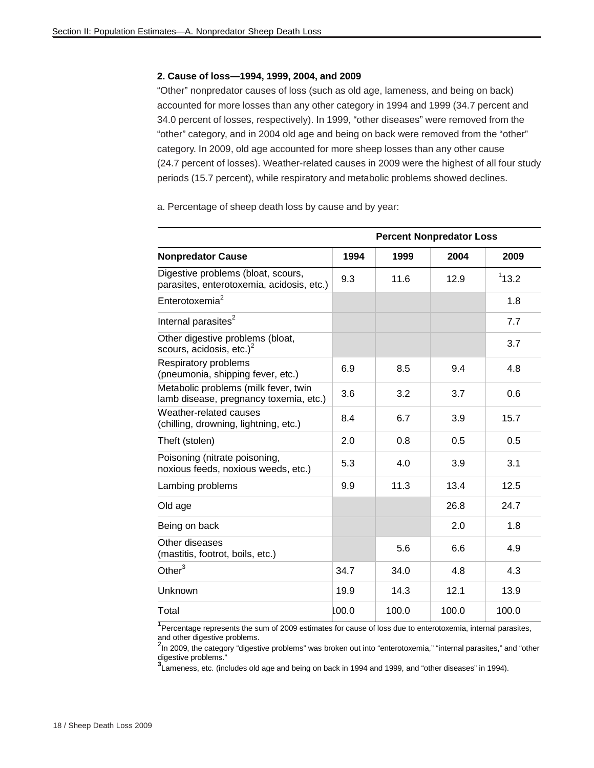#### **2. Cause of loss—1994, 1999, 2004, and 2009**

"Other" nonpredator causes of loss (such as old age, lameness, and being on back) accounted for more losses than any other category in 1994 and 1999 (34.7 percent and 34.0 percent of losses, respectively). In 1999, "other diseases" were removed from the "other" category, and in 2004 old age and being on back were removed from the "other" category. In 2009, old age accounted for more sheep losses than any other cause (24.7 percent of losses). Weather-related causes in 2009 were the highest of all four study periods (15.7 percent), while respiratory and metabolic problems showed declines.

a. Percentage of sheep death loss by cause and by year:

|                                                                                 |       |       | <b>Percent Nonpredator Loss</b> |       |
|---------------------------------------------------------------------------------|-------|-------|---------------------------------|-------|
| <b>Nonpredator Cause</b>                                                        | 1994  | 1999  | 2004                            | 2009  |
| Digestive problems (bloat, scours,<br>parasites, enterotoxemia, acidosis, etc.) | 9.3   | 11.6  | 12.9                            | 113.2 |
| Enterotoxemia <sup>2</sup>                                                      |       |       |                                 | 1.8   |
| Internal parasites <sup>2</sup>                                                 |       |       |                                 | 7.7   |
| Other digestive problems (bloat,<br>scours, acidosis, etc.) $2$                 |       |       |                                 | 3.7   |
| Respiratory problems<br>(pneumonia, shipping fever, etc.)                       | 6.9   | 8.5   | 9.4                             | 4.8   |
| Metabolic problems (milk fever, twin<br>lamb disease, pregnancy toxemia, etc.)  | 3.6   | 3.2   | 3.7                             | 0.6   |
| Weather-related causes<br>(chilling, drowning, lightning, etc.)                 | 8.4   | 6.7   | 3.9                             | 15.7  |
| Theft (stolen)                                                                  | 2.0   | 0.8   | 0.5                             | 0.5   |
| Poisoning (nitrate poisoning,<br>noxious feeds, noxious weeds, etc.)            | 5.3   | 4.0   | 3.9                             | 3.1   |
| Lambing problems                                                                | 9.9   | 11.3  | 13.4                            | 12.5  |
| Old age                                                                         |       |       | 26.8                            | 24.7  |
| Being on back                                                                   |       |       | 2.0                             | 1.8   |
| Other diseases<br>(mastitis, footrot, boils, etc.)                              |       | 5.6   | 6.6                             | 4.9   |
| Other $3$                                                                       | 34.7  | 34.0  | 4.8                             | 4.3   |
| Unknown                                                                         | 19.9  | 14.3  | 12.1                            | 13.9  |
| Total                                                                           | 100.0 | 100.0 | 100.0                           | 100.0 |

<sup>1</sup> Percentage represents the sum of 2009 estimates for cause of loss due to enterotoxemia, internal parasites, and other digestive problems.

<sup>2</sup>In 2009, the category "digestive problems" was broken out into "enterotoxemia," "internal parasites," and "other digestive problems."

**3** Lameness, etc. (includes old age and being on back in 1994 and 1999, and "other diseases" in 1994).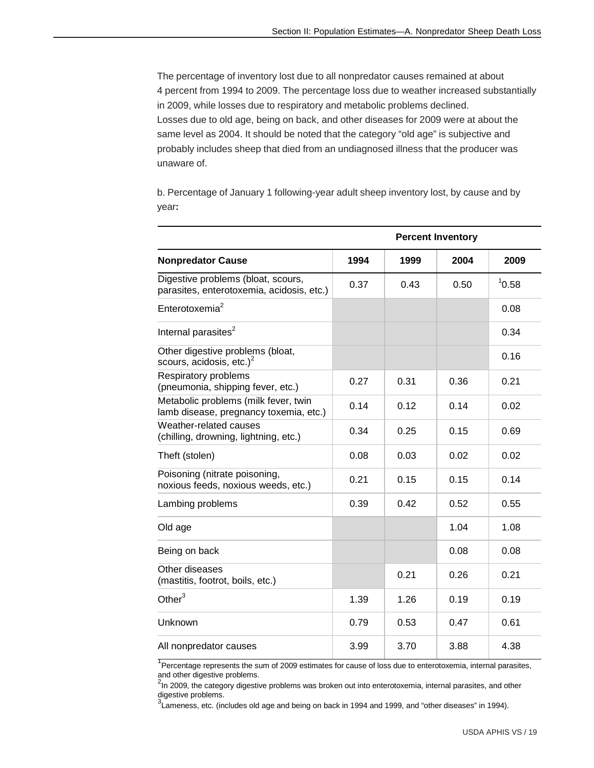The percentage of inventory lost due to all nonpredator causes remained at about 4 percent from 1994 to 2009. The percentage loss due to weather increased substantially in 2009, while losses due to respiratory and metabolic problems declined. Losses due to old age, being on back, and other diseases for 2009 were at about the same level as 2004. It should be noted that the category "old age" is subjective and probably includes sheep that died from an undiagnosed illness that the producer was unaware of.

b. Percentage of January 1 following-year adult sheep inventory lost, by cause and by year**:**

|                                                                                 |      |      | <b>Percent Inventory</b> |       |
|---------------------------------------------------------------------------------|------|------|--------------------------|-------|
| <b>Nonpredator Cause</b>                                                        | 1994 | 1999 | 2004                     | 2009  |
| Digestive problems (bloat, scours,<br>parasites, enterotoxemia, acidosis, etc.) | 0.37 | 0.43 | 0.50                     | 10.58 |
| Enterotoxemia <sup>2</sup>                                                      |      |      |                          | 0.08  |
| Internal parasites <sup>2</sup>                                                 |      |      |                          | 0.34  |
| Other digestive problems (bloat,<br>scours, acidosis, etc.) $2$                 |      |      |                          | 0.16  |
| Respiratory problems<br>(pneumonia, shipping fever, etc.)                       | 0.27 | 0.31 | 0.36                     | 0.21  |
| Metabolic problems (milk fever, twin<br>lamb disease, pregnancy toxemia, etc.)  | 0.14 | 0.12 | 0.14                     | 0.02  |
| Weather-related causes<br>(chilling, drowning, lightning, etc.)                 | 0.34 | 0.25 | 0.15                     | 0.69  |
| Theft (stolen)                                                                  | 0.08 | 0.03 | 0.02                     | 0.02  |
| Poisoning (nitrate poisoning,<br>noxious feeds, noxious weeds, etc.)            | 0.21 | 0.15 | 0.15                     | 0.14  |
| Lambing problems                                                                | 0.39 | 0.42 | 0.52                     | 0.55  |
| Old age                                                                         |      |      | 1.04                     | 1.08  |
| Being on back                                                                   |      |      | 0.08                     | 0.08  |
| Other diseases<br>(mastitis, footrot, boils, etc.)                              |      | 0.21 | 0.26                     | 0.21  |
| Other $3$                                                                       | 1.39 | 1.26 | 0.19                     | 0.19  |
| Unknown                                                                         | 0.79 | 0.53 | 0.47                     | 0.61  |
| All nonpredator causes                                                          | 3.99 | 3.70 | 3.88                     | 4.38  |

<sup>1</sup> Percentage represents the sum of 2009 estimates for cause of loss due to enterotoxemia, internal parasites, and other digestive problems.

<sup>2</sup>In 2009, the category digestive problems was broken out into enterotoxemia, internal parasites, and other digestive problems.

<sup>3</sup>Lameness, etc. (includes old age and being on back in 1994 and 1999, and "other diseases" in 1994).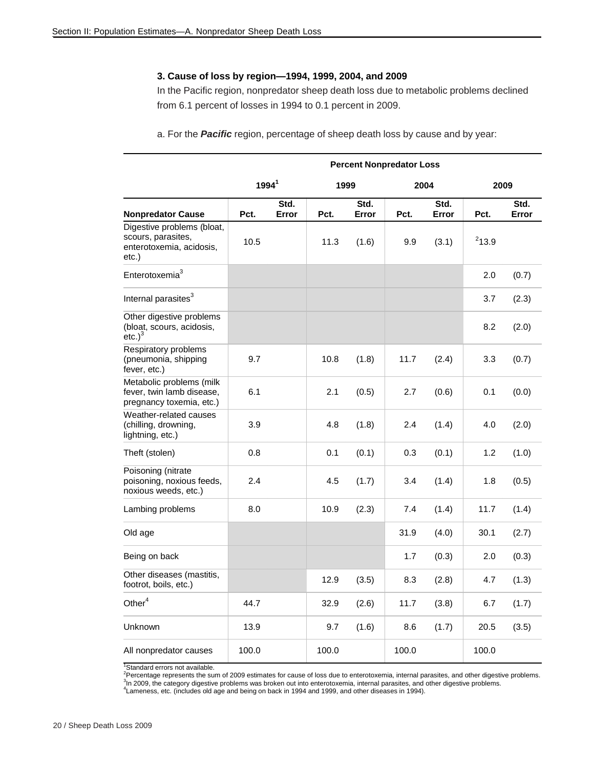#### **3. Cause of loss by region—1994, 1999, 2004, and 2009**

In the Pacific region, nonpredator sheep death loss due to metabolic problems declined from 6.1 percent of losses in 1994 to 0.1 percent in 2009.

a. For the *Pacific* region, percentage of sheep death loss by cause and by year:

|                                                                                       |                   |               |       |               | <b>Percent Nonpredator Loss</b> |               |          |               |
|---------------------------------------------------------------------------------------|-------------------|---------------|-------|---------------|---------------------------------|---------------|----------|---------------|
|                                                                                       | 1994 <sup>1</sup> |               | 1999  |               |                                 | 2004          | 2009     |               |
| <b>Nonpredator Cause</b>                                                              | Pct.              | Std.<br>Error | Pct.  | Std.<br>Error | Pct.                            | Std.<br>Error | Pct.     | Std.<br>Error |
| Digestive problems (bloat,<br>scours, parasites,<br>enterotoxemia, acidosis,<br>etc.) | 10.5              |               | 11.3  | (1.6)         | 9.9                             | (3.1)         | $2$ 13.9 |               |
| Enterotoxemia <sup>3</sup>                                                            |                   |               |       |               |                                 |               | 2.0      | (0.7)         |
| Internal parasites <sup>3</sup>                                                       |                   |               |       |               |                                 |               | 3.7      | (2.3)         |
| Other digestive problems<br>(bloat, scours, acidosis,<br>etc. <sup>3</sup>            |                   |               |       |               |                                 |               | 8.2      | (2.0)         |
| Respiratory problems<br>(pneumonia, shipping<br>fever, etc.)                          | 9.7               |               | 10.8  | (1.8)         | 11.7                            | (2.4)         | 3.3      | (0.7)         |
| Metabolic problems (milk<br>fever, twin lamb disease,<br>pregnancy toxemia, etc.)     | 6.1               |               | 2.1   | (0.5)         | 2.7                             | (0.6)         | 0.1      | (0.0)         |
| Weather-related causes<br>(chilling, drowning,<br>lightning, etc.)                    | 3.9               |               | 4.8   | (1.8)         | 2.4                             | (1.4)         | 4.0      | (2.0)         |
| Theft (stolen)                                                                        | 0.8               |               | 0.1   | (0.1)         | 0.3                             | (0.1)         | 1.2      | (1.0)         |
| Poisoning (nitrate<br>poisoning, noxious feeds,<br>noxious weeds, etc.)               | 2.4               |               | 4.5   | (1.7)         | 3.4                             | (1.4)         | 1.8      | (0.5)         |
| Lambing problems                                                                      | 8.0               |               | 10.9  | (2.3)         | 7.4                             | (1.4)         | 11.7     | (1.4)         |
| Old age                                                                               |                   |               |       |               | 31.9                            | (4.0)         | 30.1     | (2.7)         |
| Being on back                                                                         |                   |               |       |               | 1.7                             | (0.3)         | 2.0      | (0.3)         |
| Other diseases (mastitis,<br>footrot, boils, etc.)                                    |                   |               | 12.9  | (3.5)         | 8.3                             | (2.8)         | 4.7      | (1.3)         |
| Other $4$                                                                             | 44.7              |               | 32.9  | (2.6)         | 11.7                            | (3.8)         | 6.7      | (1.7)         |
| Unknown                                                                               | 13.9              |               | 9.7   | (1.6)         | 8.6                             | (1.7)         | 20.5     | (3.5)         |
| All nonpredator causes                                                                | 100.0             |               | 100.0 |               | 100.0                           |               | 100.0    |               |

<sup>1</sup>Standard errors not available.

<sup>2</sup>Percentage represents the sum of 2009 estimates for cause of loss due to enterotoxemia, internal parasites, and other digestive problems.<br><sup>3</sup> p. 2000, the estagent digestive problems was broken out inte estagglerished p <sup>3</sup>In 2009, the category digestive problems was broken out into enterotoxemia, internal parasites, and other digestive problems.

4 Lameness, etc. (includes old age and being on back in 1994 and 1999, and other diseases in 1994).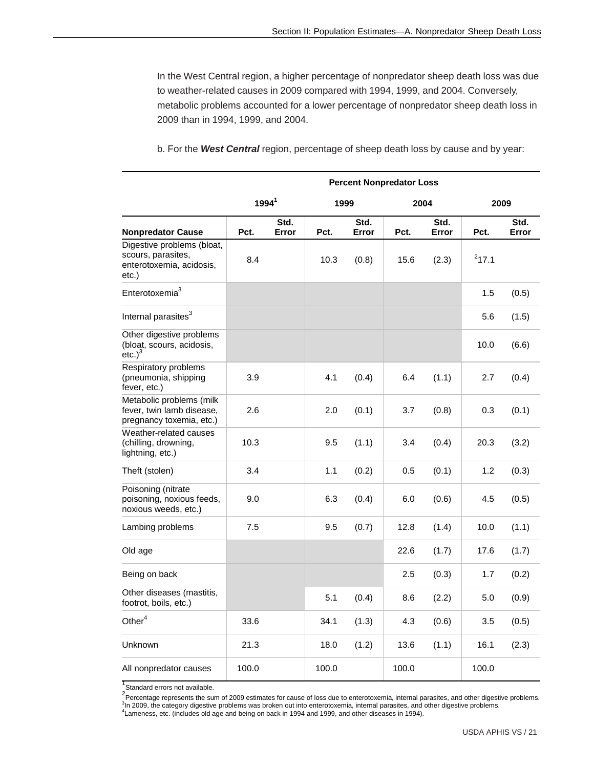In the West Central region, a higher percentage of nonpredator sheep death loss was due to weather-related causes in 2009 compared with 1994, 1999, and 2004. Conversely, metabolic problems accounted for a lower percentage of nonpredator sheep death loss in 2009 than in 1994, 1999, and 2004.

|                                                                                       |                   |               |       |               | <b>Percent Nonpredator Loss</b> |               |          |               |
|---------------------------------------------------------------------------------------|-------------------|---------------|-------|---------------|---------------------------------|---------------|----------|---------------|
|                                                                                       | 1994 <sup>1</sup> |               | 1999  |               |                                 | 2004          | 2009     |               |
| <b>Nonpredator Cause</b>                                                              | Pct.              | Std.<br>Error | Pct.  | Std.<br>Error | Pct.                            | Std.<br>Error | Pct.     | Std.<br>Error |
| Digestive problems (bloat,<br>scours, parasites,<br>enterotoxemia, acidosis,<br>etc.) | 8.4               |               | 10.3  | (0.8)         | 15.6                            | (2.3)         | $2$ 17.1 |               |
| Enterotoxemia <sup>3</sup>                                                            |                   |               |       |               |                                 |               | 1.5      | (0.5)         |
| Internal parasites <sup>3</sup>                                                       |                   |               |       |               |                                 |               | 5.6      | (1.5)         |
| Other digestive problems<br>(bloat, scours, acidosis,<br>etc.) <sup>3</sup>           |                   |               |       |               |                                 |               | 10.0     | (6.6)         |
| Respiratory problems<br>(pneumonia, shipping<br>fever, etc.)                          | 3.9               |               | 4.1   | (0.4)         | 6.4                             | (1.1)         | 2.7      | (0.4)         |
| Metabolic problems (milk<br>fever, twin lamb disease,<br>pregnancy toxemia, etc.)     | 2.6               |               | 2.0   | (0.1)         | 3.7                             | (0.8)         | 0.3      | (0.1)         |
| Weather-related causes<br>(chilling, drowning,<br>lightning, etc.)                    | 10.3              |               | 9.5   | (1.1)         | 3.4                             | (0.4)         | 20.3     | (3.2)         |
| Theft (stolen)                                                                        | 3.4               |               | 1.1   | (0.2)         | 0.5                             | (0.1)         | 1.2      | (0.3)         |
| Poisoning (nitrate<br>poisoning, noxious feeds,<br>noxious weeds, etc.)               | 9.0               |               | 6.3   | (0.4)         | 6.0                             | (0.6)         | 4.5      | (0.5)         |
| Lambing problems                                                                      | 7.5               |               | 9.5   | (0.7)         | 12.8                            | (1.4)         | 10.0     | (1.1)         |
| Old age                                                                               |                   |               |       |               | 22.6                            | (1.7)         | 17.6     | (1.7)         |
| Being on back                                                                         |                   |               |       |               | 2.5                             | (0.3)         | 1.7      | (0.2)         |
| Other diseases (mastitis,<br>footrot, boils, etc.)                                    |                   |               | 5.1   | (0.4)         | 8.6                             | (2.2)         | 5.0      | (0.9)         |
| Other $\rm ^4$                                                                        | 33.6              |               | 34.1  | (1.3)         | 4.3                             | (0.6)         | 3.5      | (0.5)         |
| Unknown                                                                               | 21.3              |               | 18.0  | (1.2)         | 13.6                            | (1.1)         | 16.1     | (2.3)         |
| All nonpredator causes                                                                | 100.0             |               | 100.0 |               | 100.0                           |               | 100.0    |               |

b. For the *West Central* region, percentage of sheep death loss by cause and by year:

<sup>1</sup>Standard errors not available.

2<br>Percentage represents the sum of 2009 estimates for cause of loss due to enterotoxemia, internal parasites, and other digestive problems.<br>3h 2000, the estagent digestive problems was broken out into orteratoxemia, intern <sup>3</sup>In 2009, the category digestive problems was broken out into enterotoxemia, internal parasites, and other digestive problems. 4 Lameness, etc. (includes old age and being on back in 1994 and 1999, and other diseases in 1994).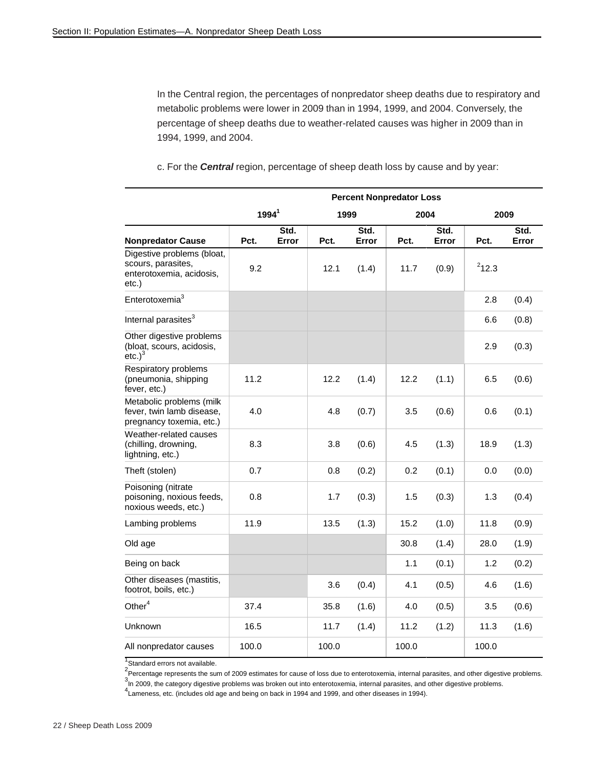In the Central region, the percentages of nonpredator sheep deaths due to respiratory and metabolic problems were lower in 2009 than in 1994, 1999, and 2004. Conversely, the percentage of sheep deaths due to weather-related causes was higher in 2009 than in 1994, 1999, and 2004.

c. For the *Central* region, percentage of sheep death loss by cause and by year:

|                                                                                       |                   |               |       |               | <b>Percent Nonpredator Loss</b> |               |       |               |
|---------------------------------------------------------------------------------------|-------------------|---------------|-------|---------------|---------------------------------|---------------|-------|---------------|
|                                                                                       | 1994 <sup>1</sup> |               |       | 1999          |                                 | 2004          | 2009  |               |
| <b>Nonpredator Cause</b>                                                              | Pct.              | Std.<br>Error | Pct.  | Std.<br>Error | Pct.                            | Std.<br>Error | Pct.  | Std.<br>Error |
| Digestive problems (bloat,<br>scours, parasites,<br>enterotoxemia, acidosis,<br>etc.) | 9.2               |               | 12.1  | (1.4)         | 11.7                            | (0.9)         | 212.3 |               |
| Enterotoxemia <sup>3</sup>                                                            |                   |               |       |               |                                 |               | 2.8   | (0.4)         |
| Internal parasites <sup>3</sup>                                                       |                   |               |       |               |                                 |               | 6.6   | (0.8)         |
| Other digestive problems<br>(bloat, scours, acidosis,<br>etc. <sup>3</sup>            |                   |               |       |               |                                 |               | 2.9   | (0.3)         |
| Respiratory problems<br>(pneumonia, shipping<br>fever, etc.)                          | 11.2              |               | 12.2  | (1.4)         | 12.2                            | (1.1)         | 6.5   | (0.6)         |
| Metabolic problems (milk<br>fever, twin lamb disease,<br>pregnancy toxemia, etc.)     | 4.0               |               | 4.8   | (0.7)         | 3.5                             | (0.6)         | 0.6   | (0.1)         |
| Weather-related causes<br>(chilling, drowning,<br>lightning, etc.)                    | 8.3               |               | 3.8   | (0.6)         | 4.5                             | (1.3)         | 18.9  | (1.3)         |
| Theft (stolen)                                                                        | 0.7               |               | 0.8   | (0.2)         | 0.2                             | (0.1)         | 0.0   | (0.0)         |
| Poisoning (nitrate<br>poisoning, noxious feeds,<br>noxious weeds, etc.)               | 0.8               |               | 1.7   | (0.3)         | 1.5                             | (0.3)         | 1.3   | (0.4)         |
| Lambing problems                                                                      | 11.9              |               | 13.5  | (1.3)         | 15.2                            | (1.0)         | 11.8  | (0.9)         |
| Old age                                                                               |                   |               |       |               | 30.8                            | (1.4)         | 28.0  | (1.9)         |
| Being on back                                                                         |                   |               |       |               | 1.1                             | (0.1)         | 1.2   | (0.2)         |
| Other diseases (mastitis,<br>footrot, boils, etc.)                                    |                   |               | 3.6   | (0.4)         | 4.1                             | (0.5)         | 4.6   | (1.6)         |
| Other <sup>4</sup>                                                                    | 37.4              |               | 35.8  | (1.6)         | 4.0                             | (0.5)         | 3.5   | (0.6)         |
| Unknown                                                                               | 16.5              |               | 11.7  | (1.4)         | 11.2                            | (1.2)         | 11.3  | (1.6)         |
| All nonpredator causes                                                                | 100.0             |               | 100.0 |               | 100.0                           |               | 100.0 |               |

<sup>1</sup> Standard errors not available.

 $^{2}$ Percentage represents the sum of 2009 estimates for cause of loss due to enterotoxemia, internal parasites, and other digestive problems.

 $3$ In 2009, the category digestive problems was broken out into enterotoxemia, internal parasites, and other digestive problems.

4<br>Lameness, etc. (includes old age and being on back in 1994 and 1999, and other diseases in 1994).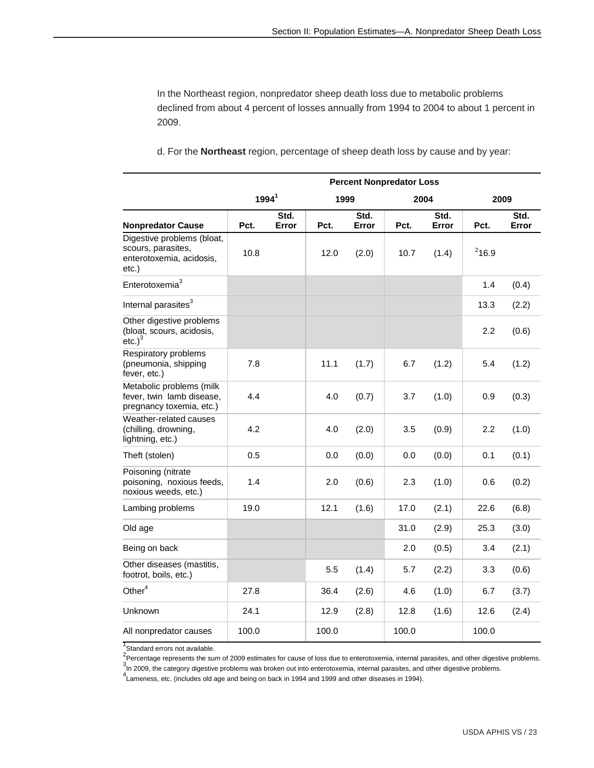In the Northeast region, nonpredator sheep death loss due to metabolic problems declined from about 4 percent of losses annually from 1994 to 2004 to about 1 percent in 2009.

|                                                                                       |          |               |       |               | <b>Percent Nonpredator Loss</b> |               |          |               |
|---------------------------------------------------------------------------------------|----------|---------------|-------|---------------|---------------------------------|---------------|----------|---------------|
|                                                                                       | $1994^1$ |               | 1999  |               |                                 | 2004          |          | 2009          |
| <b>Nonpredator Cause</b>                                                              | Pct.     | Std.<br>Error | Pct.  | Std.<br>Error | Pct.                            | Std.<br>Error | Pct.     | Std.<br>Error |
| Digestive problems (bloat,<br>scours, parasites,<br>enterotoxemia, acidosis,<br>etc.) | 10.8     |               | 12.0  | (2.0)         | 10.7                            | (1.4)         | $2$ 16.9 |               |
| Enterotoxemia <sup>3</sup>                                                            |          |               |       |               |                                 |               | 1.4      | (0.4)         |
| Internal parasites <sup>3</sup>                                                       |          |               |       |               |                                 |               | 13.3     | (2.2)         |
| Other digestive problems<br>(bloat, scours, acidosis,<br>etc. <sup>3</sup>            |          |               |       |               |                                 |               | 2.2      | (0.6)         |
| Respiratory problems<br>(pneumonia, shipping<br>fever, etc.)                          | 7.8      |               | 11.1  | (1.7)         | 6.7                             | (1.2)         | 5.4      | (1.2)         |
| Metabolic problems (milk<br>fever, twin lamb disease,<br>pregnancy toxemia, etc.)     | 4.4      |               | 4.0   | (0.7)         | 3.7                             | (1.0)         | 0.9      | (0.3)         |
| Weather-related causes<br>(chilling, drowning,<br>lightning, etc.)                    | 4.2      |               | 4.0   | (2.0)         | 3.5                             | (0.9)         | 2.2      | (1.0)         |
| Theft (stolen)                                                                        | 0.5      |               | 0.0   | (0.0)         | 0.0                             | (0.0)         | 0.1      | (0.1)         |
| Poisoning (nitrate<br>poisoning, noxious feeds,<br>noxious weeds, etc.)               | 1.4      |               | 2.0   | (0.6)         | 2.3                             | (1.0)         | 0.6      | (0.2)         |
| Lambing problems                                                                      | 19.0     |               | 12.1  | (1.6)         | 17.0                            | (2.1)         | 22.6     | (6.8)         |
| Old age                                                                               |          |               |       |               | 31.0                            | (2.9)         | 25.3     | (3.0)         |
| Being on back                                                                         |          |               |       |               | 2.0                             | (0.5)         | 3.4      | (2.1)         |
| Other diseases (mastitis,<br>footrot, boils, etc.)                                    |          |               | 5.5   | (1.4)         | 5.7                             | (2.2)         | 3.3      | (0.6)         |
| Other <sup>4</sup>                                                                    | 27.8     |               | 36.4  | (2.6)         | 4.6                             | (1.0)         | 6.7      | (3.7)         |
| Unknown                                                                               | 24.1     |               | 12.9  | (2.8)         | 12.8                            | (1.6)         | 12.6     | (2.4)         |
| All nonpredator causes                                                                | 100.0    |               | 100.0 |               | 100.0                           |               | 100.0    |               |

d. For the **Northeast** region, percentage of sheep death loss by cause and by year:

<sup>1</sup> Standard errors not available.

 $^{2}$ Percentage represents the sum of 2009 estimates for cause of loss due to enterotoxemia, internal parasites, and other digestive problems.

In 2009, the category digestive problems was broken out into enterotoxemia, internal parasites, and other digestive problems.

4 Lameness, etc. (includes old age and being on back in 1994 and 1999 and other diseases in 1994).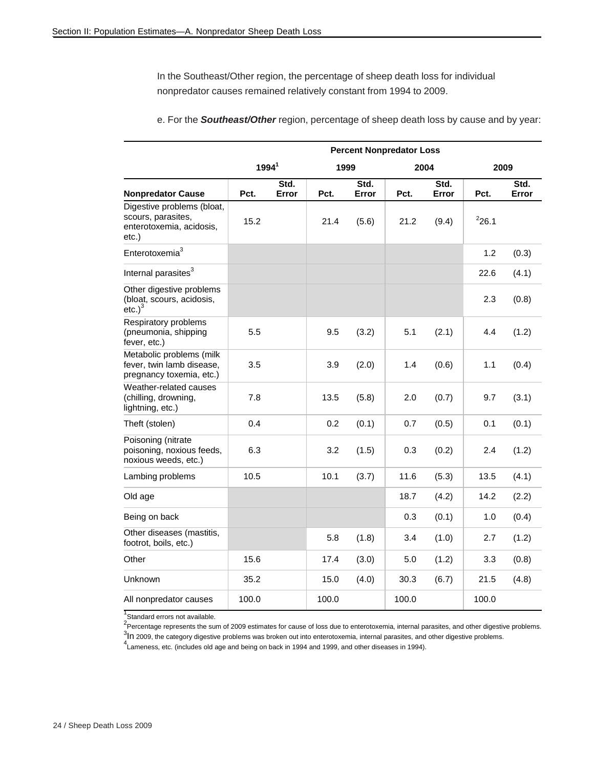In the Southeast/Other region, the percentage of sheep death loss for individual nonpredator causes remained relatively constant from 1994 to 2009.

|                                                                                       |                   |               |       |               | <b>Percent Nonpredator Loss</b> |               |       |               |
|---------------------------------------------------------------------------------------|-------------------|---------------|-------|---------------|---------------------------------|---------------|-------|---------------|
|                                                                                       | 1994 <sup>1</sup> |               | 1999  |               | 2004                            |               | 2009  |               |
| <b>Nonpredator Cause</b>                                                              | Pct.              | Std.<br>Error | Pct.  | Std.<br>Error | Pct.                            | Std.<br>Error | Pct.  | Std.<br>Error |
| Digestive problems (bloat,<br>scours, parasites,<br>enterotoxemia, acidosis,<br>etc.) | 15.2              |               | 21.4  | (5.6)         | 21.2                            | (9.4)         | 226.1 |               |
| Enterotoxemia <sup>3</sup>                                                            |                   |               |       |               |                                 |               | 1.2   | (0.3)         |
| Internal parasites <sup>3</sup>                                                       |                   |               |       |               |                                 |               | 22.6  | (4.1)         |
| Other digestive problems<br>(bloat, scours, acidosis,<br>etc.) $^3$                   |                   |               |       |               |                                 |               | 2.3   | (0.8)         |
| Respiratory problems<br>(pneumonia, shipping<br>fever, etc.)                          | 5.5               |               | 9.5   | (3.2)         | 5.1                             | (2.1)         | 4.4   | (1.2)         |
| Metabolic problems (milk<br>fever, twin lamb disease,<br>pregnancy toxemia, etc.)     | 3.5               |               | 3.9   | (2.0)         | 1.4                             | (0.6)         | 1.1   | (0.4)         |
| Weather-related causes<br>(chilling, drowning,<br>lightning, etc.)                    | 7.8               |               | 13.5  | (5.8)         | 2.0                             | (0.7)         | 9.7   | (3.1)         |
| Theft (stolen)                                                                        | 0.4               |               | 0.2   | (0.1)         | 0.7                             | (0.5)         | 0.1   | (0.1)         |
| Poisoning (nitrate<br>poisoning, noxious feeds,<br>noxious weeds, etc.)               | 6.3               |               | 3.2   | (1.5)         | 0.3                             | (0.2)         | 2.4   | (1.2)         |
| Lambing problems                                                                      | 10.5              |               | 10.1  | (3.7)         | 11.6                            | (5.3)         | 13.5  | (4.1)         |
| Old age                                                                               |                   |               |       |               | 18.7                            | (4.2)         | 14.2  | (2.2)         |
| Being on back                                                                         |                   |               |       |               | 0.3                             | (0.1)         | 1.0   | (0.4)         |
| Other diseases (mastitis,<br>footrot, boils, etc.)                                    |                   |               | 5.8   | (1.8)         | 3.4                             | (1.0)         | 2.7   | (1.2)         |
| Other                                                                                 | 15.6              |               | 17.4  | (3.0)         | 5.0                             | (1.2)         | 3.3   | (0.8)         |
| Unknown                                                                               | 35.2              |               | 15.0  | (4.0)         | 30.3                            | (6.7)         | 21.5  | (4.8)         |
| All nonpredator causes                                                                | 100.0             |               | 100.0 |               | 100.0                           |               | 100.0 |               |

e. For the *Southeast/Other* region, percentage of sheep death loss by cause and by year:

<sup>1</sup>Standard errors not available.

 $^{2}$ Percentage represents the sum of 2009 estimates for cause of loss due to enterotoxemia, internal parasites, and other digestive problems.

 $3$ In 2009, the category digestive problems was broken out into enterotoxemia, internal parasites, and other digestive problems.

<sup>4</sup> Lameness, etc. (includes old age and being on back in 1994 and 1999, and other diseases in 1994).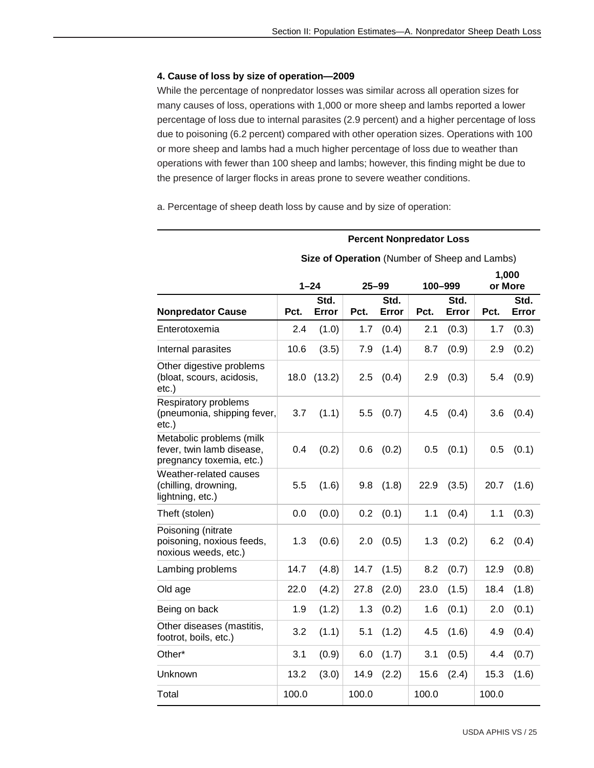#### **4. Cause of loss by size of operation—2009**

While the percentage of nonpredator losses was similar across all operation sizes for many causes of loss, operations with 1,000 or more sheep and lambs reported a lower percentage of loss due to internal parasites (2.9 percent) and a higher percentage of loss due to poisoning (6.2 percent) compared with other operation sizes. Operations with 100 or more sheep and lambs had a much higher percentage of loss due to weather than operations with fewer than 100 sheep and lambs; however, this finding might be due to the presence of larger flocks in areas prone to severe weather conditions.

a. Percentage of sheep death loss by cause and by size of operation:

#### **Percent Nonpredator Loss**

|                                                                                   |       | $1 - 24$      | $25 - 99$ |               |       | 100-999       | 1,000<br>or More |               |
|-----------------------------------------------------------------------------------|-------|---------------|-----------|---------------|-------|---------------|------------------|---------------|
| <b>Nonpredator Cause</b>                                                          | Pct.  | Std.<br>Error | Pct.      | Std.<br>Error | Pct.  | Std.<br>Error | Pct.             | Std.<br>Error |
| Enterotoxemia                                                                     | 2.4   | (1.0)         | 1.7       | (0.4)         | 2.1   | (0.3)         | 1.7              | (0.3)         |
| Internal parasites                                                                | 10.6  | (3.5)         | 7.9       | (1.4)         | 8.7   | (0.9)         | 2.9              | (0.2)         |
| Other digestive problems<br>(bloat, scours, acidosis,<br>$etc.$ )                 | 18.0  | (13.2)        | 2.5       | (0.4)         | 2.9   | (0.3)         | 5.4              | (0.9)         |
| Respiratory problems<br>(pneumonia, shipping fever,<br>$etc.$ )                   | 3.7   | (1.1)         | 5.5       | (0.7)         | 4.5   | (0.4)         | 3.6              | (0.4)         |
| Metabolic problems (milk<br>fever, twin lamb disease,<br>pregnancy toxemia, etc.) | 0.4   | (0.2)         | 0.6       | (0.2)         | 0.5   | (0.1)         | 0.5              | (0.1)         |
| Weather-related causes<br>(chilling, drowning,<br>lightning, etc.)                | 5.5   | (1.6)         | 9.8       | (1.8)         | 22.9  | (3.5)         | 20.7             | (1.6)         |
| Theft (stolen)                                                                    | 0.0   | (0.0)         | 0.2       | (0.1)         | 1.1   | (0.4)         | 1.1              | (0.3)         |
| Poisoning (nitrate<br>poisoning, noxious feeds,<br>noxious weeds, etc.)           | 1.3   | (0.6)         | 2.0       | (0.5)         | 1.3   | (0.2)         | 6.2              | (0.4)         |
| Lambing problems                                                                  | 14.7  | (4.8)         | 14.7      | (1.5)         | 8.2   | (0.7)         | 12.9             | (0.8)         |
| Old age                                                                           | 22.0  | (4.2)         | 27.8      | (2.0)         | 23.0  | (1.5)         | 18.4             | (1.8)         |
| Being on back                                                                     | 1.9   | (1.2)         | 1.3       | (0.2)         | 1.6   | (0.1)         | 2.0              | (0.1)         |
| Other diseases (mastitis,<br>footrot, boils, etc.)                                | 3.2   | (1.1)         | 5.1       | (1.2)         | 4.5   | (1.6)         | 4.9              | (0.4)         |
| Other*                                                                            | 3.1   | (0.9)         | 6.0       | (1.7)         | 3.1   | (0.5)         | 4.4              | (0.7)         |
| Unknown                                                                           | 13.2  | (3.0)         | 14.9      | (2.2)         | 15.6  | (2.4)         | 15.3             | (1.6)         |
| Total                                                                             | 100.0 |               | 100.0     |               | 100.0 |               | 100.0            |               |

#### **Size of Operation** (Number of Sheep and Lambs)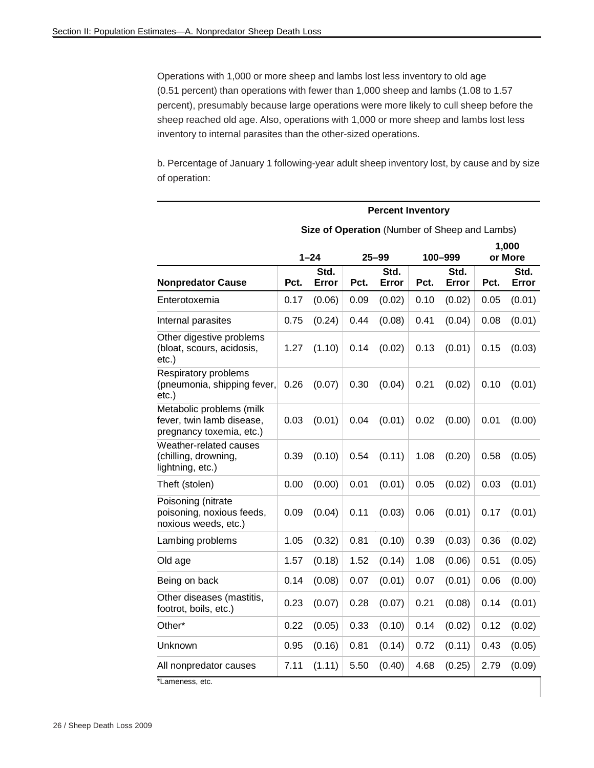Operations with 1,000 or more sheep and lambs lost less inventory to old age (0.51 percent) than operations with fewer than 1,000 sheep and lambs (1.08 to 1.57 percent), presumably because large operations were more likely to cull sheep before the sheep reached old age. Also, operations with 1,000 or more sheep and lambs lost less inventory to internal parasites than the other-sized operations.

b. Percentage of January 1 following-year adult sheep inventory lost, by cause and by size of operation:

|                                                                                   |      |               |      | <b>Percent Inventory</b> |      |                                               |      |                  |
|-----------------------------------------------------------------------------------|------|---------------|------|--------------------------|------|-----------------------------------------------|------|------------------|
|                                                                                   |      |               |      |                          |      | Size of Operation (Number of Sheep and Lambs) |      |                  |
|                                                                                   |      | $1 - 24$      |      | $25 - 99$                |      | 100-999                                       |      | 1,000<br>or More |
| <b>Nonpredator Cause</b>                                                          | Pct. | Std.<br>Error | Pct. | Std.<br>Error            | Pct. | Std.<br>Error                                 | Pct. | Std.<br>Error    |
| Enterotoxemia                                                                     | 0.17 | (0.06)        | 0.09 | (0.02)                   | 0.10 | (0.02)                                        | 0.05 | (0.01)           |
| Internal parasites                                                                | 0.75 | (0.24)        | 0.44 | (0.08)                   | 0.41 | (0.04)                                        | 0.08 | (0.01)           |
| Other digestive problems<br>(bloat, scours, acidosis,<br>etc.)                    | 1.27 | (1.10)        | 0.14 | (0.02)                   | 0.13 | (0.01)                                        | 0.15 | (0.03)           |
| Respiratory problems<br>(pneumonia, shipping fever,<br>etc.)                      | 0.26 | (0.07)        | 0.30 | (0.04)                   | 0.21 | (0.02)                                        | 0.10 | (0.01)           |
| Metabolic problems (milk<br>fever, twin lamb disease,<br>pregnancy toxemia, etc.) | 0.03 | (0.01)        | 0.04 | (0.01)                   | 0.02 | (0.00)                                        | 0.01 | (0.00)           |
| Weather-related causes<br>(chilling, drowning,<br>lightning, etc.)                | 0.39 | (0.10)        | 0.54 | (0.11)                   | 1.08 | (0.20)                                        | 0.58 | (0.05)           |
| Theft (stolen)                                                                    | 0.00 | (0.00)        | 0.01 | (0.01)                   | 0.05 | (0.02)                                        | 0.03 | (0.01)           |
| Poisoning (nitrate<br>poisoning, noxious feeds,<br>noxious weeds, etc.)           | 0.09 | (0.04)        | 0.11 | (0.03)                   | 0.06 | (0.01)                                        | 0.17 | (0.01)           |
| Lambing problems                                                                  | 1.05 | (0.32)        | 0.81 | (0.10)                   | 0.39 | (0.03)                                        | 0.36 | (0.02)           |
| Old age                                                                           | 1.57 | (0.18)        | 1.52 | (0.14)                   | 1.08 | (0.06)                                        | 0.51 | (0.05)           |
| Being on back                                                                     | 0.14 | (0.08)        | 0.07 | (0.01)                   | 0.07 | (0.01)                                        | 0.06 | (0.00)           |
| Other diseases (mastitis,<br>footrot, boils, etc.)                                | 0.23 | (0.07)        | 0.28 | (0.07)                   | 0.21 | (0.08)                                        | 0.14 | (0.01)           |
| Other*                                                                            | 0.22 | (0.05)        | 0.33 | (0.10)                   | 0.14 | (0.02)                                        | 0.12 | (0.02)           |
| Unknown                                                                           | 0.95 | (0.16)        | 0.81 | (0.14)                   | 0.72 | (0.11)                                        | 0.43 | (0.05)           |
| All nonpredator causes                                                            | 7.11 | (1.11)        | 5.50 | (0.40)                   | 4.68 | (0.25)                                        | 2.79 | (0.09)           |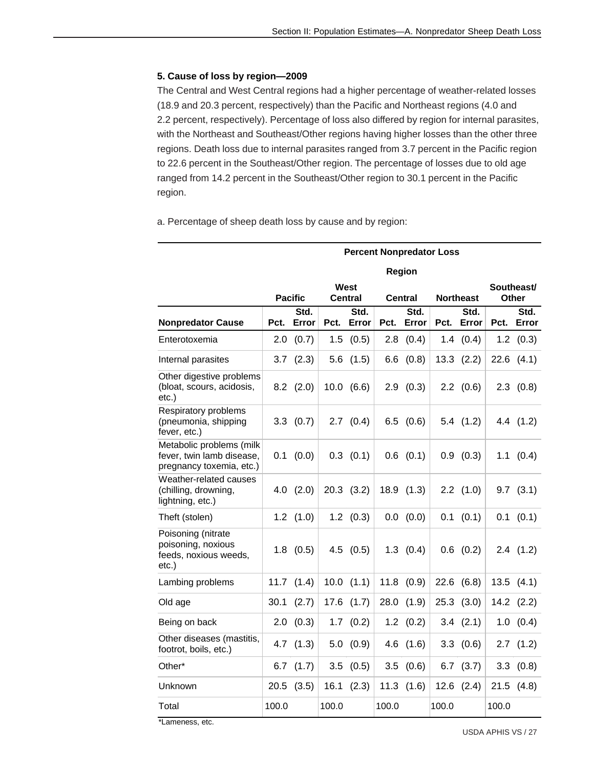#### **5. Cause of loss by region—2009**

The Central and West Central regions had a higher percentage of weather-related losses (18.9 and 20.3 percent, respectively) than the Pacific and Northeast regions (4.0 and 2.2 percent, respectively). Percentage of loss also differed by region for internal parasites, with the Northeast and Southeast/Other regions having higher losses than the other three regions. Death loss due to internal parasites ranged from 3.7 percent in the Pacific region to 22.6 percent in the Southeast/Other region. The percentage of losses due to old age ranged from 14.2 percent in the Southeast/Other region to 30.1 percent in the Pacific region.

a. Percentage of sheep death loss by cause and by region:

|                                                                                   | Region                                          |                |       |                |       |                |       |                   |       |                     |
|-----------------------------------------------------------------------------------|-------------------------------------------------|----------------|-------|----------------|-------|----------------|-------|-------------------|-------|---------------------|
|                                                                                   | <b>West</b><br><b>Pacific</b><br><b>Central</b> |                |       |                |       | <b>Central</b> |       | <b>Northeast</b>  |       | Southeast/<br>Other |
| <b>Nonpredator Cause</b>                                                          | Pct.                                            | Std.<br>Error  | Pct.  | Std.<br>Error  | Pct.  | Std.<br>Error  | Pct.  | Std.<br>Error     | Pct.  | Std.<br>Error       |
| Enterotoxemia                                                                     | 2.0                                             | (0.7)          | 1.5   | (0.5)          | 2.8   | (0.4)          | 1.4   | (0.4)             |       | $1.2$ $(0.3)$       |
| Internal parasites                                                                | 3.7                                             | (2.3)          |       | $5.6$ $(1.5)$  | 6.6   | (0.8)          | 13.3  | (2.2)             |       | $22.6$ $(4.1)$      |
| Other digestive problems<br>(bloat, scours, acidosis,<br>$etc.$ )                 |                                                 | $8.2$ $(2.0)$  |       | 10.0 (6.6)     |       | 2.9(0.3)       |       | $2.2 \quad (0.6)$ |       | $2.3$ $(0.8)$       |
| Respiratory problems<br>(pneumonia, shipping<br>fever, etc.)                      |                                                 | $3.3$ $(0.7)$  |       | $2.7$ $(0.4)$  |       | $6.5$ $(0.6)$  |       | 5.4(1.2)          |       | 4.4 (1.2)           |
| Metabolic problems (milk<br>fever, twin lamb disease,<br>pregnancy toxemia, etc.) | 0.1                                             | (0.0)          |       | $0.3$ $(0.1)$  |       | $0.6$ $(0.1)$  |       | $0.9$ $(0.3)$     |       | $1.1$ $(0.4)$       |
| Weather-related causes<br>(chilling, drowning,<br>lightning, etc.)                |                                                 | $4.0$ $(2.0)$  |       | $20.3$ $(3.2)$ |       | 18.9(1.3)      |       | $2.2$ $(1.0)$     |       | $9.7$ $(3.1)$       |
| Theft (stolen)                                                                    |                                                 | $1.2$ $(1.0)$  |       | $1.2$ $(0.3)$  |       | 0.0 (0.0)      | 0.1   | (0.1)             | 0.1   | (0.1)               |
| Poisoning (nitrate<br>poisoning, noxious<br>feeds, noxious weeds,<br>$etc.$ )     |                                                 | $1.8$ $(0.5)$  |       | $4.5$ $(0.5)$  |       | $1.3$ $(0.4)$  |       | $0.6$ $(0.2)$     |       | 2.4(1.2)            |
| Lambing problems                                                                  |                                                 | $11.7$ $(1.4)$ |       | $10.0$ $(1.1)$ |       | $11.8$ $(0.9)$ | 22.6  | (6.8)             |       | 13.5(4.1)           |
| Old age                                                                           | 30.1                                            | (2.7)          | 17.6  | (1.7)          | 28.0  | (1.9)          | 25.3  | (3.0)             |       | $14.2$ $(2.2)$      |
| Being on back                                                                     | 2.0                                             | (0.3)          | 1.7   | (0.2)          |       | $1.2$ $(0.2)$  |       | $3.4$ $(2.1)$     |       | 1.0 (0.4)           |
| Other diseases (mastitis,<br>footrot, boils, etc.)                                |                                                 | $4.7$ $(1.3)$  |       | $5.0$ $(0.9)$  |       | $4.6$ $(1.6)$  |       | 3.3(0.6)          |       | $2.7$ $(1.2)$       |
| Other*                                                                            |                                                 | 6.7 $(1.7)$    | 3.5   | (0.5)          | 3.5   | (0.6)          |       | $6.7$ $(3.7)$     |       | 3.3(0.8)            |
| Unknown                                                                           | 20.5                                            | (3.5)          | 16.1  | (2.3)          |       | $11.3$ $(1.6)$ | 12.6  | (2.4)             |       | $21.5$ $(4.8)$      |
| Total                                                                             | 100.0                                           |                | 100.0 |                | 100.0 |                | 100.0 |                   | 100.0 |                     |

#### **Percent Nonpredator Loss**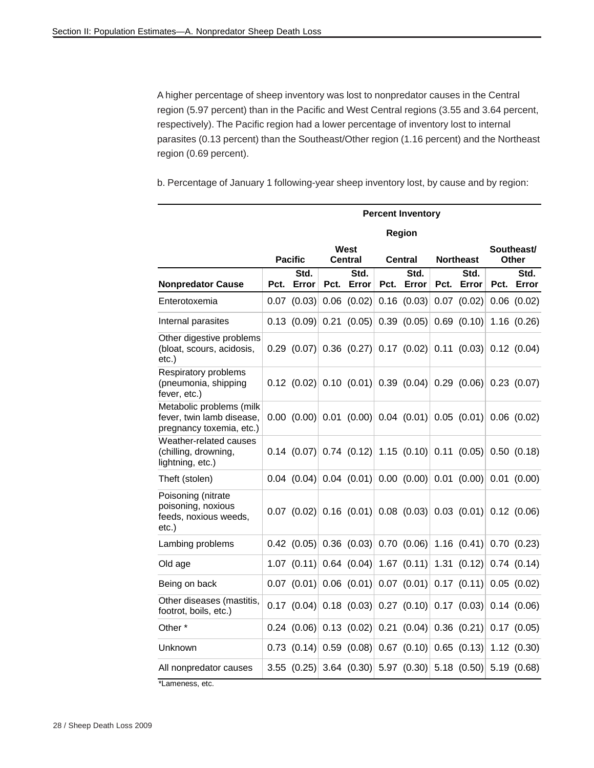A higher percentage of sheep inventory was lost to nonpredator causes in the Central region (5.97 percent) than in the Pacific and West Central regions (3.55 and 3.64 percent, respectively). The Pacific region had a lower percentage of inventory lost to internal parasites (0.13 percent) than the Southeast/Other region (1.16 percent) and the Northeast region (0.69 percent).

b. Percentage of January 1 following-year sheep inventory lost, by cause and by region:

|                                                                                   |      |                                       |      |                 |      | <b>Percent Inventory</b> |      |                                                                                  |      |                     |
|-----------------------------------------------------------------------------------|------|---------------------------------------|------|-----------------|------|--------------------------|------|----------------------------------------------------------------------------------|------|---------------------|
|                                                                                   |      |                                       |      |                 |      | Region                   |      |                                                                                  |      |                     |
|                                                                                   |      | <b>Pacific</b>                        |      | West<br>Central |      | Central                  |      | <b>Northeast</b>                                                                 |      | Southeast/<br>Other |
| <b>Nonpredator Cause</b>                                                          | Pct. | Std.<br>Error                         | Pct. | Std.<br>Error   | Pct. | Std.<br>Error            | Pct. | Std.<br>Error                                                                    | Pct. | Std.<br>Error       |
| Enterotoxemia                                                                     |      | 0.07 (0.03)                           | 0.06 | (0.02)          |      | $0.16$ $(0.03)$          |      | $0.07$ $(0.02)$                                                                  |      | $0.06$ $(0.02)$     |
| Internal parasites                                                                |      | $0.13$ (0.09)                         | 0.21 | (0.05)          |      | 0.39(0.05)               |      | $0.69$ $(0.10)$                                                                  |      | 1.16(0.26)          |
| Other digestive problems<br>(bloat, scours, acidosis,<br>etc.)                    |      |                                       |      |                 |      |                          |      | $0.29$ (0.07) 0.36 (0.27) 0.17 (0.02) 0.11 (0.03) 0.12 (0.04)                    |      |                     |
| Respiratory problems<br>(pneumonia, shipping<br>fever, etc.)                      |      |                                       |      |                 |      |                          |      | $0.12$ (0.02) 0.10 (0.01) 0.39 (0.04) 0.29 (0.06) 0.23 (0.07)                    |      |                     |
| Metabolic problems (milk<br>fever, twin lamb disease,<br>pregnancy toxemia, etc.) |      |                                       |      |                 |      |                          |      | $0.00$ $(0.00)$ $0.01$ $(0.00)$ $0.04$ $(0.01)$ $0.05$ $(0.01)$ $0.06$ $(0.02)$  |      |                     |
| Weather-related causes<br>(chilling, drowning,<br>lightning, etc.)                |      |                                       |      |                 |      |                          |      | $0.14$ (0.07) 0.74 (0.12) 1.15 (0.10) 0.11 (0.05)                                |      | 0.50(0.18)          |
| Theft (stolen)                                                                    |      |                                       |      |                 |      |                          |      | $[0.04 \ (0.04) \ 0.04 \ (0.01) \ 0.00 \ (0.00) \ 0.01 \ (0.00) \ 0.01 \ (0.00)$ |      |                     |
| Poisoning (nitrate<br>poisoning, noxious<br>feeds, noxious weeds,<br>etc.)        |      |                                       |      |                 |      |                          |      | $0.07$ (0.02) 0.16 (0.01) 0.08 (0.03) 0.03 (0.01) 0.12 (0.06)                    |      |                     |
| Lambing problems                                                                  |      |                                       |      |                 |      |                          |      | $0.42$ (0.05) 0.36 (0.03) 0.70 (0.06) 1.16 (0.41) 0.70 (0.23)                    |      |                     |
| Old age                                                                           |      | 1.07 $(0.11)$ 0.64 $(0.04)$           |      |                 |      | 1.67 $(0.11)$            |      | 1.31 (0.12)                                                                      |      | 0.74(0.14)          |
| Being on back                                                                     |      | $0.07$ (0.01) 0.06 (0.01)             |      |                 |      | $0.07$ (0.01)            |      | $0.17$ $(0.11)$                                                                  |      | 0.05(0.02)          |
| Other diseases (mastitis,<br>footrot, boils, etc.)                                |      | $0.17$ (0.04) 0.18 (0.03) 0.27 (0.10) |      |                 |      |                          |      | $0.17$ (0.03)                                                                    |      | 0.14(0.06)          |
| Other <sup>*</sup>                                                                |      | $0.24$ (0.06) 0.13 (0.02)             |      |                 |      | $0.21$ (0.04)            |      | $0.36$ (0.21)                                                                    |      | 0.17(0.05)          |
| Unknown                                                                           |      | $0.73$ (0.14) 0.59 (0.08) 0.67 (0.10) |      |                 |      |                          |      | $0.65$ $(0.13)$                                                                  |      | 1.12(0.30)          |
| All nonpredator causes                                                            |      | $3.55$ (0.25)                         |      |                 |      |                          |      | $3.64$ (0.30) 5.97 (0.30) 5.18 (0.50)                                            |      | 5.19(0.68)          |
| *Lameness, etc.                                                                   |      |                                       |      |                 |      |                          |      |                                                                                  |      |                     |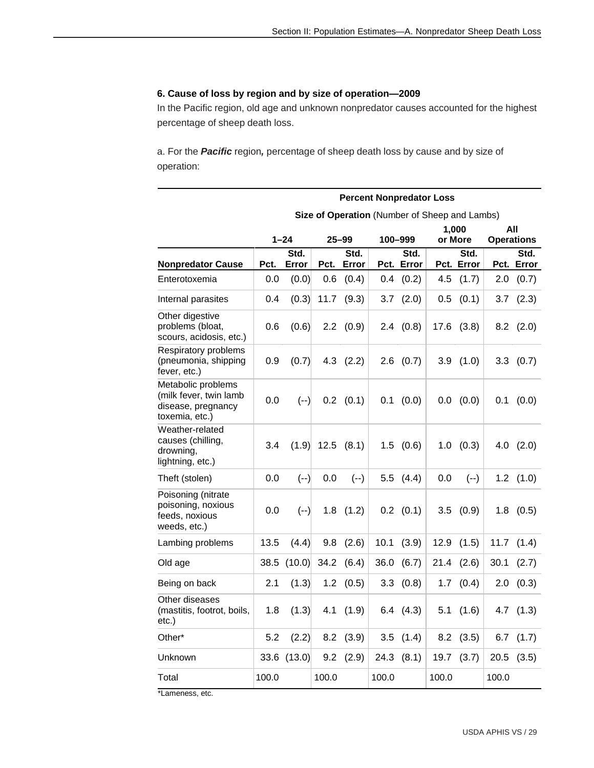#### **6. Cause of loss by region and by size of operation—2009**

In the Pacific region, old age and unknown nonpredator causes accounted for the highest percentage of sheep death loss.

a. For the *Pacific* region*,* percentage of sheep death loss by cause and by size of operation:

|                                                                                      | <b>Percent Nonpredator Loss</b> |          |           |                   |                                               |                |         |                  |                          |                   |  |
|--------------------------------------------------------------------------------------|---------------------------------|----------|-----------|-------------------|-----------------------------------------------|----------------|---------|------------------|--------------------------|-------------------|--|
|                                                                                      |                                 |          |           |                   | Size of Operation (Number of Sheep and Lambs) |                |         |                  |                          |                   |  |
|                                                                                      |                                 | $1 - 24$ | $25 - 99$ |                   |                                               | 100-999        |         | 1,000<br>or More | All<br><b>Operations</b> |                   |  |
|                                                                                      |                                 | Std.     |           | Std.              |                                               | Std.           |         | Std.             |                          | Std.              |  |
| <b>Nonpredator Cause</b>                                                             | Pct.                            | Error    | Pct.      | Error             |                                               | Pct. Error     |         | Pct. Error       |                          | Pct. Error        |  |
| Enterotoxemia                                                                        | 0.0                             | (0.0)    | 0.6       | (0.4)             | 0.4                                           | (0.2)          | 4.5     | (1.7)            | 2.0                      | (0.7)             |  |
| Internal parasites                                                                   | 0.4                             | (0.3)    | 11.7      | (9.3)             | 3.7                                           | (2.0)          | 0.5     | (0.1)            | 3.7                      | (2.3)             |  |
| Other digestive<br>problems (bloat,<br>scours, acidosis, etc.)                       | 0.6                             | (0.6)    |           | $2.2 \quad (0.9)$ |                                               | $2.4$ $(0.8)$  | 17.6    | (3.8)            |                          | $8.2$ $(2.0)$     |  |
| Respiratory problems<br>(pneumonia, shipping<br>fever, etc.)                         | 0.9                             | (0.7)    |           | $4.3$ $(2.2)$     |                                               | $2.6$ $(0.7)$  |         | 3.9(1.0)         |                          | $3.3 \quad (0.7)$ |  |
| Metabolic problems<br>(milk fever, twin lamb<br>disease, pregnancy<br>toxemia, etc.) | 0.0                             | $(--)$   |           | $0.2$ $(0.1)$     | 0.1                                           | (0.0)          | $0.0\,$ | (0.0)            | 0.1                      | (0.0)             |  |
| Weather-related<br>causes (chilling,<br>drowning,<br>lightning, etc.)                | 3.4                             | (1.9)    |           | $12.5$ $(8.1)$    |                                               | $1.5$ $(0.6)$  | 1.0     | (0.3)            | 4.0                      | (2.0)             |  |
| Theft (stolen)                                                                       | 0.0                             | $(--)$   | 0.0       | $(--)$            | 5.5                                           | (4.4)          | 0.0     | $(--)$           | 1.2                      | (1.0)             |  |
| Poisoning (nitrate<br>poisoning, noxious<br>feeds, noxious<br>weeds, etc.)           | 0.0                             | $(--)$   |           | $1.8$ $(1.2)$     |                                               | $0.2$ $(0.1)$  | 3.5     | (0.9)            | 1.8                      | (0.5)             |  |
| Lambing problems                                                                     | 13.5                            | (4.4)    | 9.8       | (2.6)             | 10.1                                          | (3.9)          | 12.9    | (1.5)            | 11.7                     | (1.4)             |  |
| Old age                                                                              | 38.5                            | (10.0)   |           | 34.2 (6.4)        | 36.0                                          | (6.7)          | 21.4    | (2.6)            | 30.1                     | (2.7)             |  |
| Being on back                                                                        | 2.1                             | (1.3)    | $1.2\,$   | (0.5)             | 3.3 <sub>2</sub>                              | (0.8)          | 1.7     | (0.4)            | 2.0                      | (0.3)             |  |
| Other diseases<br>(mastitis, footrot, boils,<br>etc.)                                | 1.8                             | (1.3)    | 4.1       | (1.9)             |                                               | 6.4(4.3)       | 5.1     | (1.6)            | 4.7                      | (1.3)             |  |
| Other*                                                                               | 5.2                             | (2.2)    | 8.2       | (3.9)             | 3.5                                           | (1.4)          | 8.2     | (3.5)            | 6.7                      | (1.7)             |  |
| Unknown                                                                              | 33.6                            | (13.0)   | 9.2       | (2.9)             |                                               | $24.3$ $(8.1)$ | 19.7    | (3.7)            | 20.5                     | (3.5)             |  |
| Total                                                                                | 100.0                           |          | 100.0     |                   | 100.0                                         |                | 100.0   |                  | 100.0                    |                   |  |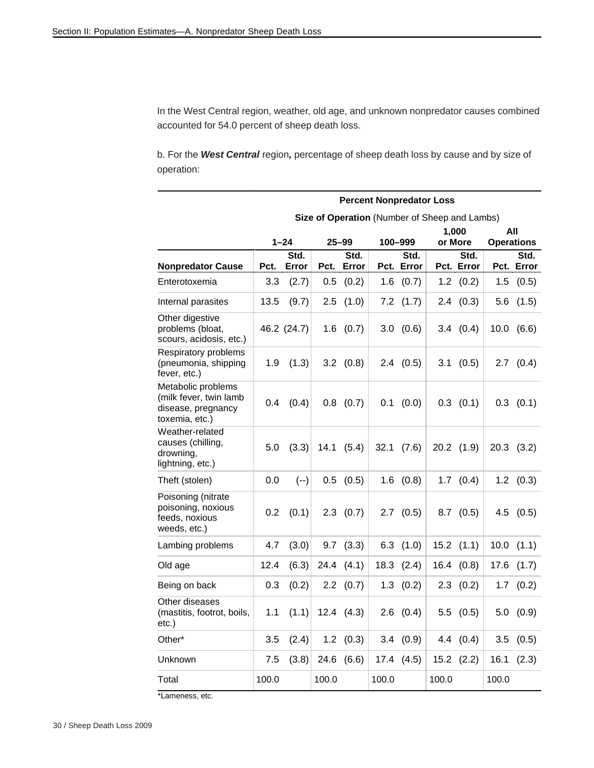In the West Central region, weather, old age, and unknown nonpredator causes combined accounted for 54.0 percent of sheep death loss.

b. For the *West Central* region*,* percentage of sheep death loss by cause and by size of operation:

|                                                                                      | <b>Percent Nonpredator Loss</b> |               |         |                |         |                    |                                               |                    |                   |                    |  |
|--------------------------------------------------------------------------------------|---------------------------------|---------------|---------|----------------|---------|--------------------|-----------------------------------------------|--------------------|-------------------|--------------------|--|
|                                                                                      |                                 |               |         |                |         |                    | Size of Operation (Number of Sheep and Lambs) |                    |                   |                    |  |
|                                                                                      |                                 |               |         |                |         |                    |                                               | 1,000              | All               |                    |  |
|                                                                                      |                                 | $1 - 24$      |         | $25 - 99$      | 100-999 |                    |                                               | or More            | <b>Operations</b> |                    |  |
| <b>Nonpredator Cause</b>                                                             | Pct.                            | Std.<br>Error | Pct.    | Std.<br>Error  |         | Std.<br>Pct. Error |                                               | Std.<br>Pct. Error |                   | Std.<br>Pct. Error |  |
| Enterotoxemia                                                                        | 3.3                             | (2.7)         | 0.5     | (0.2)          | 1.6     | (0.7)              | 1.2                                           | (0.2)              | 1.5               | (0.5)              |  |
|                                                                                      |                                 |               |         |                |         |                    |                                               |                    |                   |                    |  |
| Internal parasites                                                                   | 13.5                            | (9.7)         | 2.5     | (1.0)          | 7.2     | (1.7)              | 2.4                                           | (0.3)              | 5.6               | (1.5)              |  |
| Other digestive<br>problems (bloat,<br>scours, acidosis, etc.)                       |                                 | 46.2 (24.7)   |         | $1.6$ $(0.7)$  |         | 3.0 (0.6)          | 3.4                                           | (0.4)              | 10.0              | (6.6)              |  |
| Respiratory problems<br>(pneumonia, shipping<br>fever, etc.)                         | 1.9                             | (1.3)         |         | $3.2$ $(0.8)$  |         | $2.4$ $(0.5)$      | 3.1                                           | (0.5)              |                   | $2.7$ $(0.4)$      |  |
| Metabolic problems<br>(milk fever, twin lamb<br>disease, pregnancy<br>toxemia, etc.) | 0.4                             | (0.4)         |         | $0.8$ $(0.7)$  | 0.1     | (0.0)              |                                               | $0.3$ $(0.1)$      |                   | $0.3$ $(0.1)$      |  |
| Weather-related<br>causes (chilling,<br>drowning,<br>lightning, etc.)                | 5.0                             | (3.3)         |         | 14.1 (5.4)     | 32.1    | (7.6)              |                                               | $20.2$ $(1.9)$     |                   | $20.3$ $(3.2)$     |  |
| Theft (stolen)                                                                       | 0.0                             | $(--)$        | 0.5     | (0.5)          |         | $1.6$ $(0.8)$      | 1.7                                           | (0.4)              |                   | $1.2$ $(0.3)$      |  |
| Poisoning (nitrate<br>poisoning, noxious<br>feeds, noxious<br>weeds, etc.)           | 0.2                             | (0.1)         |         | $2.3$ $(0.7)$  |         | $2.7$ $(0.5)$      |                                               | $8.7$ $(0.5)$      |                   | $4.5$ $(0.5)$      |  |
| Lambing problems                                                                     | 4.7                             | (3.0)         |         | $9.7$ $(3.3)$  |         | $6.3$ $(1.0)$      |                                               | $15.2$ $(1.1)$     | 10.0              | (1.1)              |  |
| Old age                                                                              | 12.4                            | (6.3)         | 24.4    | (4.1)          |         | $18.3$ $(2.4)$     |                                               | $16.4$ $(0.8)$     | 17.6              | (1.7)              |  |
| Being on back                                                                        | 0.3                             | (0.2)         |         | $2.2$ (0.7)    |         | $1.3$ $(0.2)$      |                                               | $2.3$ $(0.2)$      | 1.7               | (0.2)              |  |
| Other diseases<br>(mastitis, footrot, boils,<br>etc.)                                | 1.1                             | (1.1)         |         | $12.4$ $(4.3)$ |         | $2.6$ $(0.4)$      | 5.5                                           | (0.5)              | 5.0               | (0.9)              |  |
| Other*                                                                               | 3.5                             | (2.4)         | $1.2\,$ | (0.3)          | 3.4     | (0.9)              |                                               | 4.4(0.4)           | 3.5               | (0.5)              |  |
| Unknown                                                                              | 7.5                             | (3.8)         | 24.6    | (6.6)          | 17.4    | (4.5)              | 15.2                                          | (2.2)              | 16.1              | (2.3)              |  |
| Total                                                                                | 100.0                           |               | 100.0   |                | 100.0   |                    | 100.0                                         |                    | 100.0             |                    |  |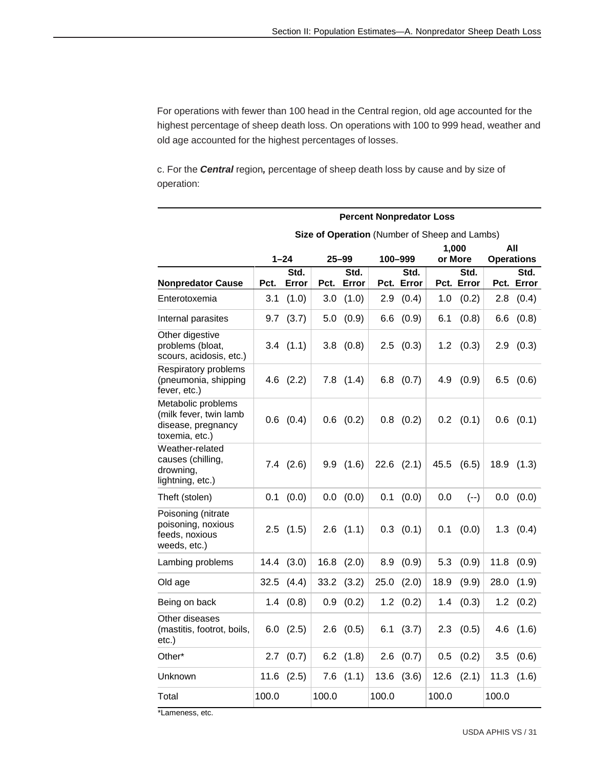For operations with fewer than 100 head in the Central region, old age accounted for the highest percentage of sheep death loss. On operations with 100 to 999 head, weather and old age accounted for the highest percentages of losses.

c. For the *Central* region*,* percentage of sheep death loss by cause and by size of operation:

|                                                                                      | <b>Percent Nonpredator Loss</b> |               |                                               |                |       |                |       |                  |       |                           |  |
|--------------------------------------------------------------------------------------|---------------------------------|---------------|-----------------------------------------------|----------------|-------|----------------|-------|------------------|-------|---------------------------|--|
|                                                                                      |                                 |               | Size of Operation (Number of Sheep and Lambs) |                |       |                |       |                  |       |                           |  |
|                                                                                      |                                 | $1 - 24$      | $25 - 99$                                     |                |       | 100-999        |       | 1,000<br>or More |       | All                       |  |
|                                                                                      |                                 | Std.          |                                               | Std.           |       | Std.           |       | Std.             |       | <b>Operations</b><br>Std. |  |
| <b>Nonpredator Cause</b>                                                             | Pct.                            | Error         | Pct.                                          | Error          |       | Pct. Error     |       | Pct. Error       |       | Pct. Error                |  |
| Enterotoxemia                                                                        | 3.1                             | (1.0)         | 3.0                                           | (1.0)          | 2.9   | (0.4)          | 1.0   | (0.2)            | 2.8   | (0.4)                     |  |
| Internal parasites                                                                   | 9.7                             | (3.7)         | 5.0                                           | (0.9)          | 6.6   | (0.9)          | 6.1   | (0.8)            | 6.6   | (0.8)                     |  |
| Other digestive<br>problems (bloat,<br>scours, acidosis, etc.)                       | 3.4                             | (1.1)         | 3.8                                           | (0.8)          |       | $2.5$ $(0.3)$  | 1.2   | (0.3)            | 2.9   | (0.3)                     |  |
| Respiratory problems<br>(pneumonia, shipping<br>fever, etc.)                         |                                 | $4.6$ $(2.2)$ |                                               | $7.8$ $(1.4)$  |       | $6.8$ $(0.7)$  | 4.9   | (0.9)            |       | $6.5$ $(0.6)$             |  |
| Metabolic problems<br>(milk fever, twin lamb<br>disease, pregnancy<br>toxemia, etc.) |                                 | $0.6$ $(0.4)$ |                                               | $0.6$ $(0.2)$  |       | $0.8$ $(0.2)$  |       | $0.2$ $(0.1)$    |       | $0.6$ $(0.1)$             |  |
| Weather-related<br>causes (chilling,<br>drowning,<br>lightning, etc.)                |                                 | $7.4$ $(2.6)$ |                                               | 9.9(1.6)       |       | $22.6$ $(2.1)$ | 45.5  | (6.5)            | 18.9  | (1.3)                     |  |
| Theft (stolen)                                                                       | 0.1                             | (0.0)         |                                               | 0.0 (0.0)      | 0.1   | (0.0)          | 0.0   | $(--)$           | 0.0   | (0.0)                     |  |
| Poisoning (nitrate<br>poisoning, noxious<br>feeds, noxious<br>weeds, etc.)           |                                 | $2.5$ $(1.5)$ |                                               | $2.6$ $(1.1)$  |       | $0.3$ $(0.1)$  | 0.1   | (0.0)            |       | $1.3$ $(0.4)$             |  |
| Lambing problems                                                                     | 14.4                            | (3.0)         | 16.8                                          | (2.0)          | 8.9   | (0.9)          | 5.3   | (0.9)            | 11.8  | (0.9)                     |  |
| Old age                                                                              | 32.5                            | (4.4)         |                                               | $33.2$ $(3.2)$ | 25.0  | (2.0)          | 18.9  | (9.9)            | 28.0  | (1.9)                     |  |
| Being on back                                                                        | 1.4                             | (0.8)         | 0.9                                           | (0.2)          |       | $1.2$ $(0.2)$  | 1.4   | (0.3)            |       | $1.2$ $(0.2)$             |  |
| Other diseases<br>(mastitis, footrot, boils,<br>etc.)                                | 6.0                             | (2.5)         | 2.6                                           | (0.5)          | 6.1   | (3.7)          | 2.3   | (0.5)            | 4.6   | (1.6)                     |  |
| Other*                                                                               | 2.7                             | (0.7)         |                                               | $6.2$ $(1.8)$  | 2.6   | (0.7)          | 0.5   | (0.2)            | 3.5   | (0.6)                     |  |
| Unknown                                                                              | 11.6                            | (2.5)         | 7.6                                           | (1.1)          | 13.6  | (3.6)          | 12.6  | (2.1)            | 11.3  | (1.6)                     |  |
| Total                                                                                | 100.0                           |               | 100.0                                         |                | 100.0 |                | 100.0 |                  | 100.0 |                           |  |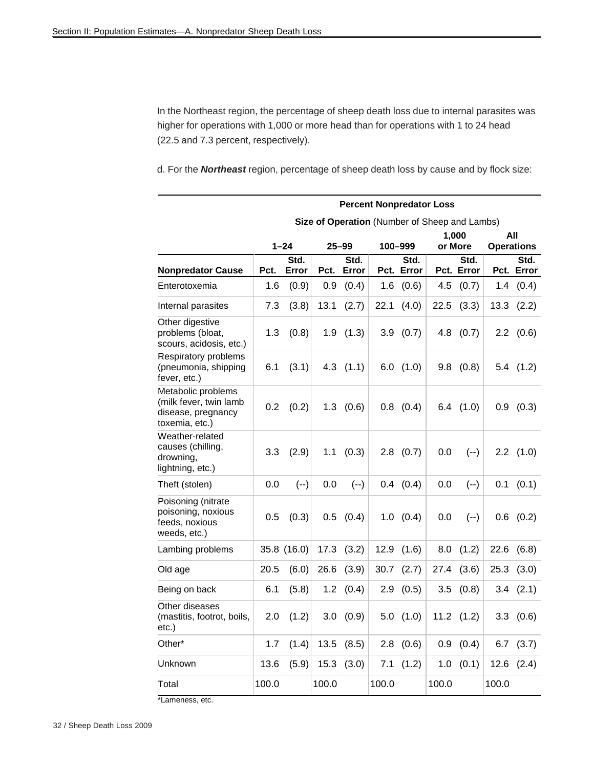In the Northeast region, the percentage of sheep death loss due to internal parasites was higher for operations with 1,000 or more head than for operations with 1 to 24 head (22.5 and 7.3 percent, respectively).

d. For the *Northeast* region, percentage of sheep death loss by cause and by flock size:

|                                                                                      | <b>Percent Nonpredator Loss</b> |               |       |               |       |                    |                                               |                    |       |                          |  |
|--------------------------------------------------------------------------------------|---------------------------------|---------------|-------|---------------|-------|--------------------|-----------------------------------------------|--------------------|-------|--------------------------|--|
|                                                                                      |                                 |               |       |               |       |                    | Size of Operation (Number of Sheep and Lambs) |                    |       |                          |  |
|                                                                                      |                                 | $1 - 24$      |       | $25 - 99$     |       | 100-999            |                                               | 1,000<br>or More   |       | All<br><b>Operations</b> |  |
| <b>Nonpredator Cause</b>                                                             | Pct.                            | Std.<br>Error | Pct.  | Std.<br>Error |       | Std.<br>Pct. Error |                                               | Std.<br>Pct. Error |       | Std.<br>Pct. Error       |  |
| Enterotoxemia                                                                        | 1.6                             | (0.9)         | 0.9   | (0.4)         | 1.6   | (0.6)              | 4.5                                           | (0.7)              | 1.4   | (0.4)                    |  |
| Internal parasites                                                                   | 7.3                             | (3.8)         | 13.1  | (2.7)         | 22.1  | (4.0)              | 22.5                                          | (3.3)              | 13.3  | (2.2)                    |  |
| Other digestive<br>problems (bloat,<br>scours, acidosis, etc.)                       | 1.3                             | (0.8)         | 1.9   | (1.3)         |       | 3.9(0.7)           | 4.8                                           | (0.7)              |       | $2.2 \quad (0.6)$        |  |
| Respiratory problems<br>(pneumonia, shipping<br>fever, etc.)                         | 6.1                             | (3.1)         |       | $4.3$ $(1.1)$ |       | $6.0$ $(1.0)$      | 9.8                                           | (0.8)              |       | $5.4$ $(1.2)$            |  |
| Metabolic problems<br>(milk fever, twin lamb<br>disease, pregnancy<br>toxemia, etc.) | 0.2                             | (0.2)         |       | $1.3$ $(0.6)$ |       | $0.8$ $(0.4)$      |                                               | $6.4$ $(1.0)$      | 0.9   | (0.3)                    |  |
| Weather-related<br>causes (chilling,<br>drowning,<br>lightning, etc.)                | 3.3                             | (2.9)         | 1.1   | (0.3)         |       | $2.8$ $(0.7)$      | 0.0                                           | $(--)$             |       | $2.2$ $(1.0)$            |  |
| Theft (stolen)                                                                       | 0.0                             | $(--)$        | 0.0   | $(--)$        |       | $0.4$ $(0.4)$      | 0.0                                           | $(--)$             | 0.1   | (0.1)                    |  |
| Poisoning (nitrate<br>poisoning, noxious<br>feeds, noxious<br>weeds, etc.)           | 0.5                             | (0.3)         | 0.5   | (0.4)         | 1.0   | (0.4)              | 0.0                                           | $(--)$             | 0.6   | (0.2)                    |  |
| Lambing problems                                                                     |                                 | 35.8 (16.0)   | 17.3  | (3.2)         | 12.9  | (1.6)              | 8.0                                           | (1.2)              | 22.6  | (6.8)                    |  |
| Old age                                                                              | 20.5                            | (6.0)         | 26.6  | (3.9)         | 30.7  | (2.7)              | 27.4                                          | (3.6)              | 25.3  | (3.0)                    |  |
| Being on back                                                                        | 6.1                             | (5.8)         | 1.2   | (0.4)         | 2.9   | (0.5)              | 3.5                                           | (0.8)              | 3.4   | (2.1)                    |  |
| Other diseases<br>(mastitis, footrot, boils,<br>etc.)                                | 2.0                             | (1.2)         | 3.0   | (0.9)         | 5.0   | (1.0)              | 11.2                                          | (1.2)              | 3.3   | (0.6)                    |  |
| Other*                                                                               | 1.7                             | (1.4)         | 13.5  | (8.5)         | 2.8   | (0.6)              | 0.9                                           | (0.4)              | 6.7   | (3.7)                    |  |
| Unknown                                                                              | 13.6                            | (5.9)         | 15.3  | (3.0)         | 7.1   | (1.2)              | 1.0                                           | (0.1)              | 12.6  | (2.4)                    |  |
| Total                                                                                | 100.0                           |               | 100.0 |               | 100.0 |                    | 100.0                                         |                    | 100.0 |                          |  |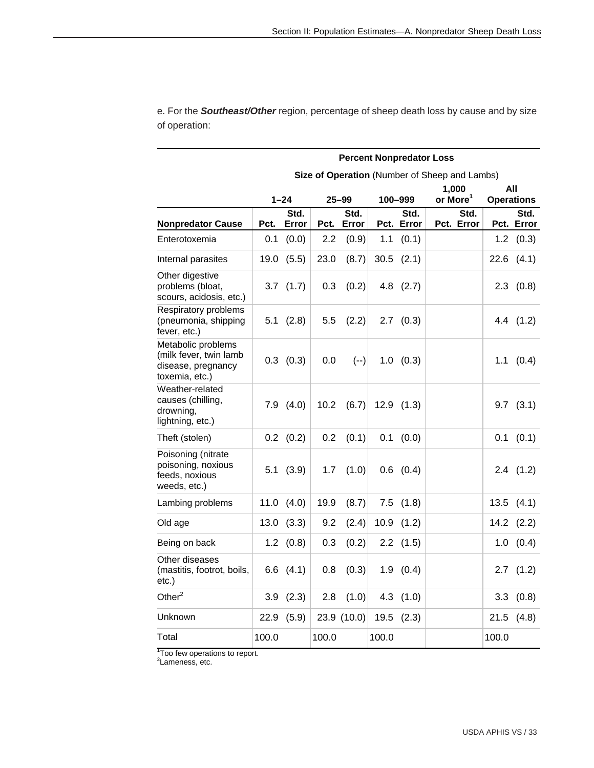|                                                                                      |       | <b>Percent Nonpredator Loss</b> |                  |                   |       |                 |                                               |       |                           |  |  |  |  |
|--------------------------------------------------------------------------------------|-------|---------------------------------|------------------|-------------------|-------|-----------------|-----------------------------------------------|-------|---------------------------|--|--|--|--|
|                                                                                      |       |                                 |                  |                   |       |                 | Size of Operation (Number of Sheep and Lambs) |       |                           |  |  |  |  |
|                                                                                      |       |                                 |                  |                   |       |                 | 1,000                                         |       | All                       |  |  |  |  |
|                                                                                      |       | $1 - 24$<br>Std.                |                  | $25 - 99$<br>Std. |       | 100-999<br>Std. | or More <sup>1</sup><br>Std.                  |       | <b>Operations</b><br>Std. |  |  |  |  |
| <b>Nonpredator Cause</b>                                                             | Pct.  | Error                           |                  | Pct. Error        |       | Pct. Error      | Pct. Error                                    |       | Pct. Error                |  |  |  |  |
| Enterotoxemia                                                                        | 0.1   | (0.0)                           | $2.2\phantom{0}$ | (0.9)             | 1.1   | (0.1)           |                                               |       | $1.2$ $(0.3)$             |  |  |  |  |
| Internal parasites                                                                   | 19.0  | (5.5)                           | 23.0             | (8.7)             | 30.5  | (2.1)           |                                               |       | $22.6$ $(4.1)$            |  |  |  |  |
| Other digestive<br>problems (bloat,<br>scours, acidosis, etc.)                       |       | $3.7$ $(1.7)$                   | 0.3              | (0.2)             |       | $4.8$ $(2.7)$   |                                               |       | $2.3$ $(0.8)$             |  |  |  |  |
| Respiratory problems<br>(pneumonia, shipping<br>fever, etc.)                         |       | $5.1$ $(2.8)$                   | 5.5              | (2.2)             |       | $2.7$ $(0.3)$   |                                               |       | 4.4 (1.2)                 |  |  |  |  |
| Metabolic problems<br>(milk fever, twin lamb<br>disease, pregnancy<br>toxemia, etc.) |       | $0.3$ $(0.3)$                   | 0.0              | $(--)$            |       | 1.0 (0.3)       |                                               |       | $1.1$ $(0.4)$             |  |  |  |  |
| Weather-related<br>causes (chilling,<br>drowning,<br>lightning, etc.)                |       | $7.9$ $(4.0)$                   | 10.2             | (6.7)             |       | $12.9$ $(1.3)$  |                                               |       | $9.7$ $(3.1)$             |  |  |  |  |
| Theft (stolen)                                                                       |       | $0.2$ $(0.2)$                   | 0.2              | (0.1)             | 0.1   | (0.0)           |                                               |       | $0.1$ $(0.1)$             |  |  |  |  |
| Poisoning (nitrate<br>poisoning, noxious<br>feeds, noxious<br>weeds, etc.)           |       | 5.1(3.9)                        | 1.7              | (1.0)             |       | $0.6$ $(0.4)$   |                                               |       | $2.4$ $(1.2)$             |  |  |  |  |
| Lambing problems                                                                     | 11.0  | (4.0)                           | 19.9             | (8.7)             | 7.5   | (1.8)           |                                               | 13.5  | (4.1)                     |  |  |  |  |
| Old age                                                                              | 13.0  | (3.3)                           | 9.2              | (2.4)             | 10.9  | (1.2)           |                                               |       | $14.2$ $(2.2)$            |  |  |  |  |
| Being on back                                                                        |       | $1.2$ $(0.8)$                   | 0.3              | (0.2)             | 2.2   | (1.5)           |                                               | 1.0   | (0.4)                     |  |  |  |  |
| Other diseases<br>(mastitis, footrot, boils,<br>$etc.$ )                             |       | $6.6$ $(4.1)$                   | 0.8              | (0.3)             |       | $1.9$ $(0.4)$   |                                               |       | $2.7$ $(1.2)$             |  |  |  |  |
| Other $^2$                                                                           |       | $3.9$ $(2.3)$                   | 2.8              | (1.0)             |       | $4.3$ $(1.0)$   |                                               |       | 3.3(0.8)                  |  |  |  |  |
| Unknown                                                                              | 22.9  | (5.9)                           |                  | 23.9 $(10.0)$     | 19.5  | (2.3)           |                                               | 21.5  | (4.8)                     |  |  |  |  |
| Total                                                                                | 100.0 |                                 | 100.0            |                   | 100.0 |                 |                                               | 100.0 |                           |  |  |  |  |

e. For the *Southeast/Other* region, percentage of sheep death loss by cause and by size of operation:

<sup>1</sup>Too few operations to report.<br><sup>2</sup>Lameness, etc.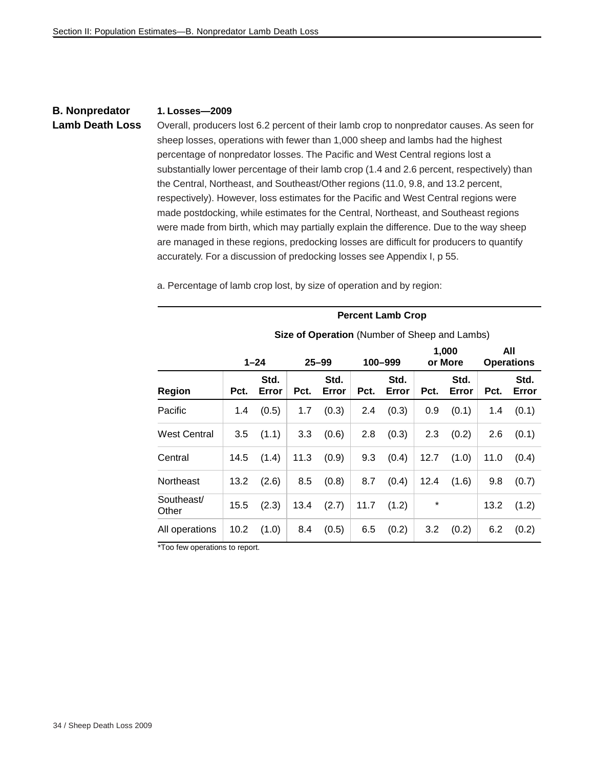#### **B. Nonpredator Lamb Death Loss**

#### **1. Losses—2009**

Overall, producers lost 6.2 percent of their lamb crop to nonpredator causes. As seen for sheep losses, operations with fewer than 1,000 sheep and lambs had the highest percentage of nonpredator losses. The Pacific and West Central regions lost a substantially lower percentage of their lamb crop (1.4 and 2.6 percent, respectively) than the Central, Northeast, and Southeast/Other regions (11.0, 9.8, and 13.2 percent, respectively). However, loss estimates for the Pacific and West Central regions were made postdocking, while estimates for the Central, Northeast, and Southeast regions were made from birth, which may partially explain the difference. Due to the way sheep are managed in these regions, predocking losses are difficult for producers to quantify accurately. For a discussion of predocking losses see Appendix I, p 55.

|                     | <b>Percent Lamb Crop</b>                      |               |      |               |      |               |      |                  |                          |               |  |  |  |
|---------------------|-----------------------------------------------|---------------|------|---------------|------|---------------|------|------------------|--------------------------|---------------|--|--|--|
|                     | Size of Operation (Number of Sheep and Lambs) |               |      |               |      |               |      |                  |                          |               |  |  |  |
|                     |                                               | $1 - 24$      |      | $25 - 99$     |      | 100-999       |      | 1,000<br>or More | All<br><b>Operations</b> |               |  |  |  |
| Region              | Pct.                                          | Std.<br>Error | Pct. | Std.<br>Error | Pct. | Std.<br>Error | Pct. | Std.<br>Error    | Pct.                     | Std.<br>Error |  |  |  |
| Pacific             | 1.4                                           | (0.5)         | 1.7  | (0.3)         | 2.4  | (0.3)         | 0.9  | (0.1)            | 1.4                      | (0.1)         |  |  |  |
| <b>West Central</b> | 3.5                                           | (1.1)         | 3.3  | (0.6)         | 2.8  | (0.3)         | 2.3  | (0.2)            | 2.6                      | (0.1)         |  |  |  |
| Central             | 14.5                                          | (1.4)         | 11.3 | (0.9)         | 9.3  | (0.4)         | 12.7 | (1.0)            | 11.0                     | (0.4)         |  |  |  |
| Northeast           | 13.2                                          | (2.6)         | 8.5  | (0.8)         | 8.7  | (0.4)         | 12.4 | (1.6)            | 9.8                      | (0.7)         |  |  |  |
| Southeast/<br>Other | 15.5                                          | (2.3)         | 13.4 | (2.7)         | 11.7 | (1.2)         | *    |                  | 13.2                     | (1.2)         |  |  |  |
| All operations      | 10.2                                          | (1.0)         | 8.4  | (0.5)         | 6.5  | (0.2)         | 3.2  | (0.2)            | 6.2                      | (0.2)         |  |  |  |

a. Percentage of lamb crop lost, by size of operation and by region:

\*Too few operations to report.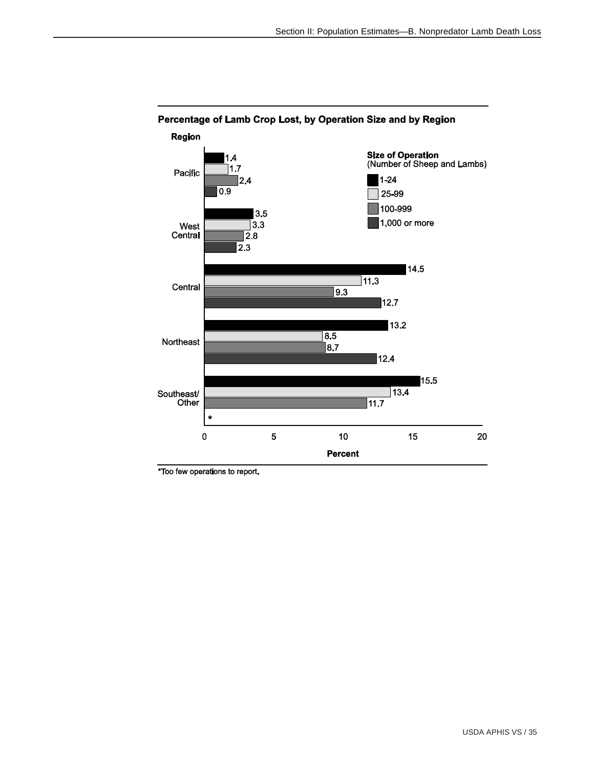

### Percentage of Lamb Crop Lost, by Operation Size and by Region

\*Too few operations to report.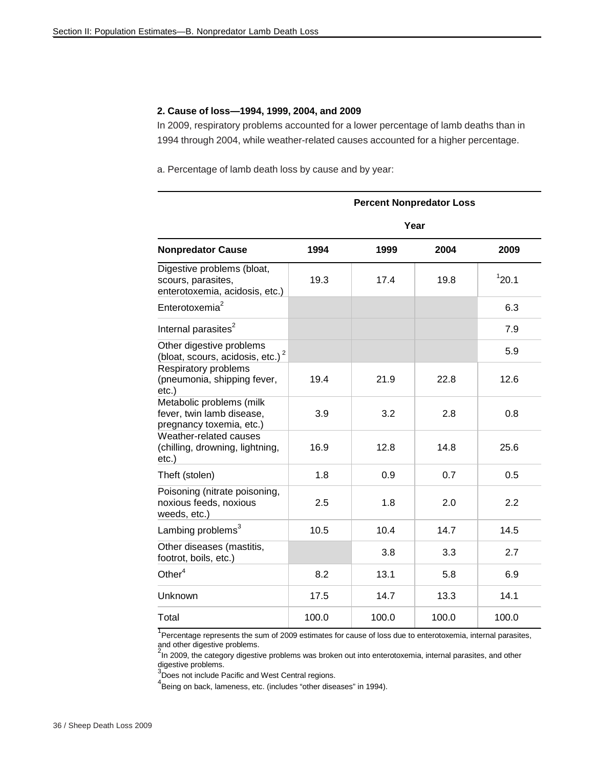#### **2. Cause of loss—1994, 1999, 2004, and 2009**

In 2009, respiratory problems accounted for a lower percentage of lamb deaths than in 1994 through 2004, while weather-related causes accounted for a higher percentage.

a. Percentage of lamb death loss by cause and by year:

|                                                                                    |       |       | <b>Percent Nonpredator Loss</b> |       |
|------------------------------------------------------------------------------------|-------|-------|---------------------------------|-------|
|                                                                                    |       |       | Year                            |       |
| <b>Nonpredator Cause</b>                                                           | 1994  | 1999  | 2004                            | 2009  |
| Digestive problems (bloat,<br>scours, parasites,<br>enterotoxemia, acidosis, etc.) | 19.3  | 17.4  | 19.8                            | 120.1 |
| Enterotoxemia <sup>2</sup>                                                         |       |       |                                 | 6.3   |
| Internal parasites <sup>2</sup>                                                    |       |       |                                 | 7.9   |
| Other digestive problems<br>(bloat, scours, acidosis, etc.) <sup>2</sup>           |       |       |                                 | 5.9   |
| Respiratory problems<br>(pneumonia, shipping fever,<br>$etc.$ )                    | 19.4  | 21.9  | 22.8                            | 12.6  |
| Metabolic problems (milk<br>fever, twin lamb disease,<br>pregnancy toxemia, etc.)  | 3.9   | 3.2   | 2.8                             | 0.8   |
| Weather-related causes<br>(chilling, drowning, lightning,<br>$etc.$ )              | 16.9  | 12.8  | 14.8                            | 25.6  |
| Theft (stolen)                                                                     | 1.8   | 0.9   | 0.7                             | 0.5   |
| Poisoning (nitrate poisoning,<br>noxious feeds, noxious<br>weeds, etc.)            | 2.5   | 1.8   | 2.0                             | 2.2   |
| Lambing problems <sup>3</sup>                                                      | 10.5  | 10.4  | 14.7                            | 14.5  |
| Other diseases (mastitis,<br>footrot, boils, etc.)                                 |       | 3.8   | 3.3                             | 2.7   |
| Other $4$                                                                          | 8.2   | 13.1  | 5.8                             | 6.9   |
| Unknown                                                                            | 17.5  | 14.7  | 13.3                            | 14.1  |
| Total                                                                              | 100.0 | 100.0 | 100.0                           | 100.0 |

<sup>1</sup><br>Percentage represents the sum of 2009 estimates for cause of loss due to enterotoxemia, internal parasites, and other digestive problems.

 $2<sup>2</sup>$ In 2009, the category digestive problems was broken out into enterotoxemia, internal parasites, and other digestive problems.<br><sup>3</sup>Does not include Pacific and West Central regions.

4 Being on back, lameness, etc. (includes "other diseases" in 1994).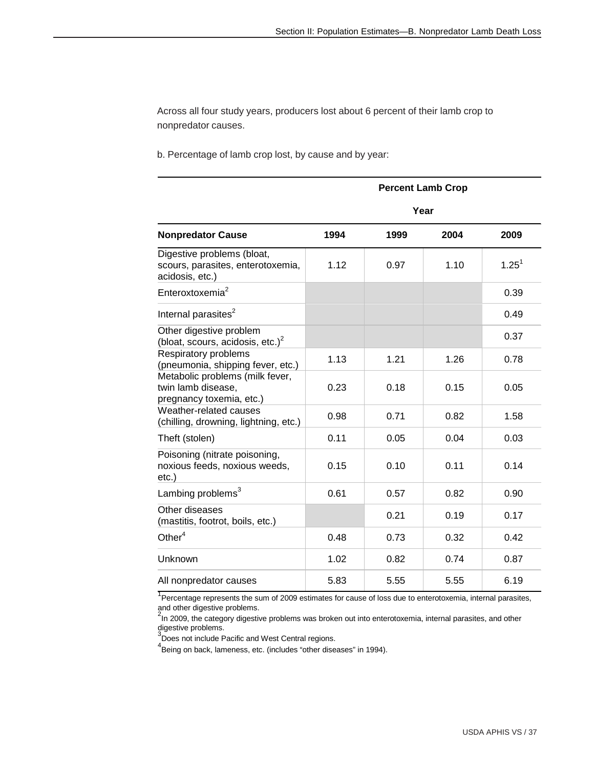Across all four study years, producers lost about 6 percent of their lamb crop to nonpredator causes.

b. Percentage of lamb crop lost, by cause and by year:

|                                                                                    |      |      | <b>Percent Lamb Crop</b> |            |
|------------------------------------------------------------------------------------|------|------|--------------------------|------------|
|                                                                                    |      |      | Year                     |            |
| <b>Nonpredator Cause</b>                                                           | 1994 | 1999 | 2004                     | 2009       |
| Digestive problems (bloat,<br>scours, parasites, enterotoxemia,<br>acidosis, etc.) | 1.12 | 0.97 | 1.10                     | $1.25^{1}$ |
| Enteroxtoxemia <sup>2</sup>                                                        |      |      |                          | 0.39       |
| Internal parasites <sup>2</sup>                                                    |      |      |                          | 0.49       |
| Other digestive problem<br>(bloat, scours, acidosis, etc.) <sup>2</sup>            |      |      |                          | 0.37       |
| Respiratory problems<br>(pneumonia, shipping fever, etc.)                          | 1.13 | 1.21 | 1.26                     | 0.78       |
| Metabolic problems (milk fever,<br>twin lamb disease,<br>pregnancy toxemia, etc.)  | 0.23 | 0.18 | 0.15                     | 0.05       |
| Weather-related causes<br>(chilling, drowning, lightning, etc.)                    | 0.98 | 0.71 | 0.82                     | 1.58       |
| Theft (stolen)                                                                     | 0.11 | 0.05 | 0.04                     | 0.03       |
| Poisoning (nitrate poisoning,<br>noxious feeds, noxious weeds,<br>$etc.$ )         | 0.15 | 0.10 | 0.11                     | 0.14       |
| Lambing problems <sup>3</sup>                                                      | 0.61 | 0.57 | 0.82                     | 0.90       |
| Other diseases<br>(mastitis, footrot, boils, etc.)                                 |      | 0.21 | 0.19                     | 0.17       |
| Other $4$                                                                          | 0.48 | 0.73 | 0.32                     | 0.42       |
| Unknown                                                                            | 1.02 | 0.82 | 0.74                     | 0.87       |
| All nonpredator causes                                                             | 5.83 | 5.55 | 5.55                     | 6.19       |

<sup>1</sup> Percentage represents the sum of 2009 estimates for cause of loss due to enterotoxemia, internal parasites, and other digestive problems.<br><sup>2</sup>In 2009, the category digestive problems was broken out into enterotoxemia, internal parasites, and other

digestive problems.

<sup>3</sup>Does not include Pacific and West Central regions.

4 Being on back, lameness, etc. (includes "other diseases" in 1994).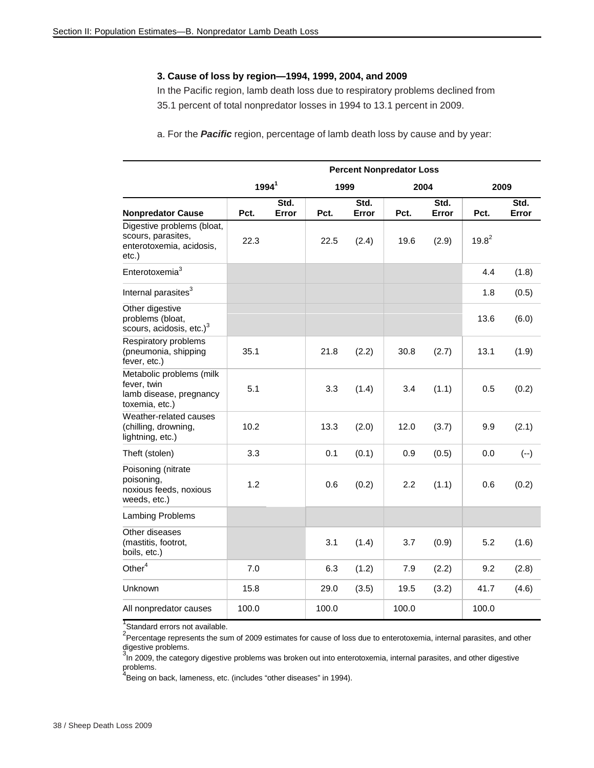#### **3. Cause of loss by region—1994, 1999, 2004, and 2009**

In the Pacific region, lamb death loss due to respiratory problems declined from 35.1 percent of total nonpredator losses in 1994 to 13.1 percent in 2009.

a. For the *Pacific* region, percentage of lamb death loss by cause and by year:

|                                                                                          |                   | <b>Percent Nonpredator Loss</b> |       |               |       |               |          |               |  |  |  |  |
|------------------------------------------------------------------------------------------|-------------------|---------------------------------|-------|---------------|-------|---------------|----------|---------------|--|--|--|--|
|                                                                                          | 1994 <sup>1</sup> |                                 | 1999  |               |       | 2004          | 2009     |               |  |  |  |  |
| <b>Nonpredator Cause</b>                                                                 | Pct.              | Std.<br>Error                   | Pct.  | Std.<br>Error | Pct.  | Std.<br>Error | Pct.     | Std.<br>Error |  |  |  |  |
| Digestive problems (bloat,<br>scours, parasites,<br>enterotoxemia, acidosis,<br>$etc.$ ) | 22.3              |                                 | 22.5  | (2.4)         | 19.6  | (2.9)         | $19.8^2$ |               |  |  |  |  |
| Enterotoxemia <sup>3</sup>                                                               |                   |                                 |       |               |       |               | 4.4      | (1.8)         |  |  |  |  |
| Internal parasites <sup>3</sup>                                                          |                   |                                 |       |               |       |               | 1.8      | (0.5)         |  |  |  |  |
| Other digestive<br>problems (bloat,<br>scours, acidosis, etc.) <sup>3</sup>              |                   |                                 |       |               |       |               | 13.6     | (6.0)         |  |  |  |  |
| Respiratory problems<br>(pneumonia, shipping<br>fever, etc.)                             | 35.1              |                                 | 21.8  | (2.2)         | 30.8  | (2.7)         | 13.1     | (1.9)         |  |  |  |  |
| Metabolic problems (milk<br>fever, twin<br>lamb disease, pregnancy<br>toxemia, etc.)     | 5.1               |                                 | 3.3   | (1.4)         | 3.4   | (1.1)         | 0.5      | (0.2)         |  |  |  |  |
| Weather-related causes<br>(chilling, drowning,<br>lightning, etc.)                       | 10.2              |                                 | 13.3  | (2.0)         | 12.0  | (3.7)         | 9.9      | (2.1)         |  |  |  |  |
| Theft (stolen)                                                                           | 3.3               |                                 | 0.1   | (0.1)         | 0.9   | (0.5)         | 0.0      | $(--)$        |  |  |  |  |
| Poisoning (nitrate<br>poisoning,<br>noxious feeds, noxious<br>weeds, etc.)               | 1.2               |                                 | 0.6   | (0.2)         | 2.2   | (1.1)         | 0.6      | (0.2)         |  |  |  |  |
| Lambing Problems                                                                         |                   |                                 |       |               |       |               |          |               |  |  |  |  |
| Other diseases<br>(mastitis, footrot,<br>boils, etc.)                                    |                   |                                 | 3.1   | (1.4)         | 3.7   | (0.9)         | 5.2      | (1.6)         |  |  |  |  |
| Other <sup>4</sup>                                                                       | 7.0               |                                 | 6.3   | (1.2)         | 7.9   | (2.2)         | 9.2      | (2.8)         |  |  |  |  |
| Unknown                                                                                  | 15.8              |                                 | 29.0  | (3.5)         | 19.5  | (3.2)         | 41.7     | (4.6)         |  |  |  |  |
| All nonpredator causes                                                                   | 100.0             |                                 | 100.0 |               | 100.0 |               | 100.0    |               |  |  |  |  |

<sup>1</sup>Standard errors not available.

<sup>2</sup> Percentage represents the sum of 2009 estimates for cause of loss due to enterotoxemia, internal parasites, and other digestive problems.

3<sup>3</sup> In 2009, the category digestive problems was broken out into enterotoxemia, internal parasites, and other digestive problems.<br><sup>4</sup>Being on back, lameness, etc. (includes "other diseases" in 1994).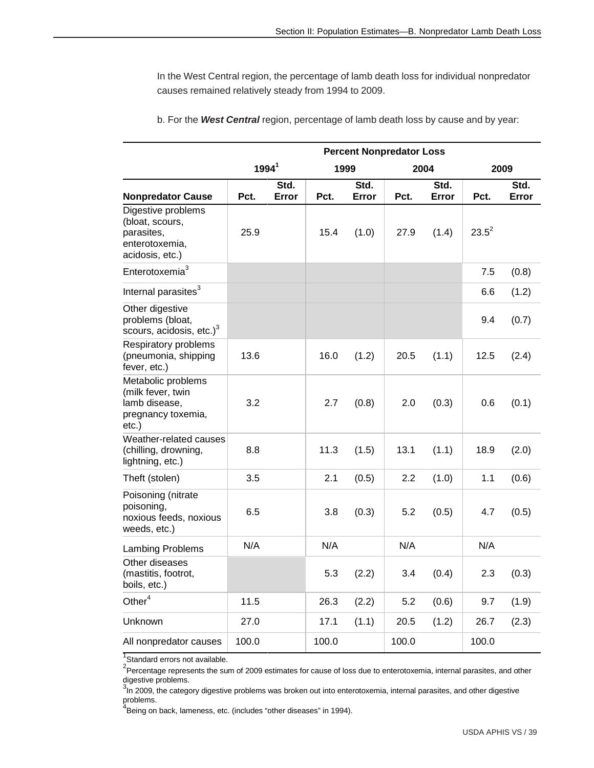In the West Central region, the percentage of lamb death loss for individual nonpredator causes remained relatively steady from 1994 to 2009.

|                                                                                          | <b>Percent Nonpredator Loss</b> |               |       |               |       |               |          |               |  |
|------------------------------------------------------------------------------------------|---------------------------------|---------------|-------|---------------|-------|---------------|----------|---------------|--|
|                                                                                          | 1994 <sup>1</sup>               |               | 1999  |               |       | 2004          |          | 2009          |  |
| <b>Nonpredator Cause</b>                                                                 | Pct.                            | Std.<br>Error | Pct.  | Std.<br>Error | Pct.  | Std.<br>Error | Pct.     | Std.<br>Error |  |
| Digestive problems<br>(bloat, scours,<br>parasites,<br>enterotoxemia,<br>acidosis, etc.) | 25.9                            |               | 15.4  | (1.0)         | 27.9  | (1.4)         | $23.5^2$ |               |  |
| Enterotoxemia <sup>3</sup>                                                               |                                 |               |       |               |       |               | 7.5      | (0.8)         |  |
| Internal parasites <sup>3</sup>                                                          |                                 |               |       |               |       |               | 6.6      | (1.2)         |  |
| Other digestive<br>problems (bloat,<br>scours, acidosis, etc.) <sup>3</sup>              |                                 |               |       |               |       |               | 9.4      | (0.7)         |  |
| Respiratory problems<br>(pneumonia, shipping<br>fever, etc.)                             | 13.6                            |               | 16.0  | (1.2)         | 20.5  | (1.1)         | 12.5     | (2.4)         |  |
| Metabolic problems<br>(milk fever, twin<br>lamb disease,<br>pregnancy toxemia,<br>etc.)  | 3.2                             |               | 2.7   | (0.8)         | 2.0   | (0.3)         | 0.6      | (0.1)         |  |
| Weather-related causes<br>(chilling, drowning,<br>lightning, etc.)                       | 8.8                             |               | 11.3  | (1.5)         | 13.1  | (1.1)         | 18.9     | (2.0)         |  |
| Theft (stolen)                                                                           | 3.5                             |               | 2.1   | (0.5)         | 2.2   | (1.0)         | 1.1      | (0.6)         |  |
| Poisoning (nitrate<br>poisoning,<br>noxious feeds, noxious<br>weeds, etc.)               | 6.5                             |               | 3.8   | (0.3)         | 5.2   | (0.5)         | 4.7      | (0.5)         |  |
| <b>Lambing Problems</b>                                                                  | N/A                             |               | N/A   |               | N/A   |               | N/A      |               |  |
| Other diseases<br>(mastitis, footrot,<br>boils, etc.)                                    |                                 |               | 5.3   | (2.2)         | 3.4   | (0.4)         | 2.3      | (0.3)         |  |
| Other $\mathrm{^4}$                                                                      | 11.5                            |               | 26.3  | (2.2)         | 5.2   | (0.6)         | 9.7      | (1.9)         |  |
| Unknown                                                                                  | 27.0                            |               | 17.1  | (1.1)         | 20.5  | (1.2)         | 26.7     | (2.3)         |  |
| All nonpredator causes                                                                   | 100.0                           |               | 100.0 |               | 100.0 |               | 100.0    |               |  |

b. For the *West Central* region, percentage of lamb death loss by cause and by year:

<sup>1</sup>Standard errors not available.

<sup>2</sup>Percentage represents the sum of 2009 estimates for cause of loss due to enterotoxemia, internal parasites, and other

digestive problems.<br><sup>3</sup>In 2009, the category digestive problems was broken out into enterotoxemia, internal parasites, and other digestive

problems.<br><sup>4</sup>Being on back, lameness, etc. (includes "other diseases" in 1994).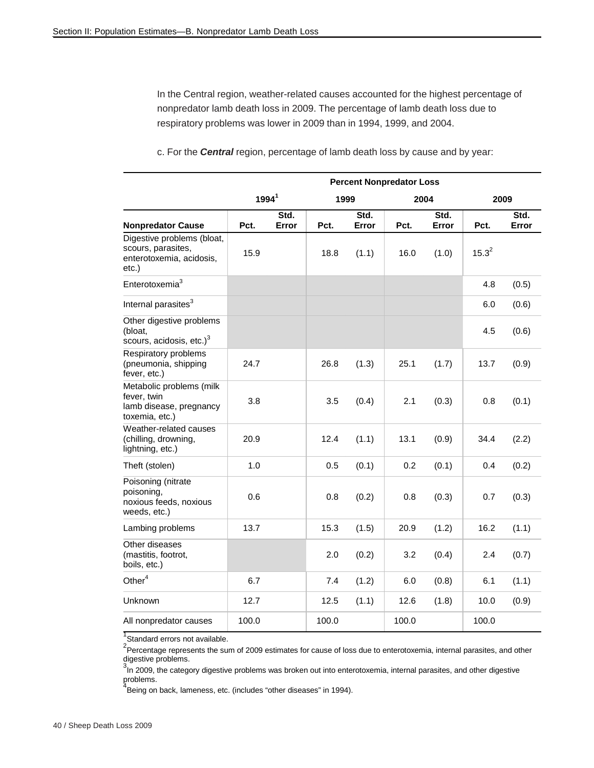In the Central region, weather-related causes accounted for the highest percentage of nonpredator lamb death loss in 2009. The percentage of lamb death loss due to respiratory problems was lower in 2009 than in 1994, 1999, and 2004.

|                                                                                          | <b>Percent Nonpredator Loss</b> |               |       |               |       |               |            |               |  |  |  |
|------------------------------------------------------------------------------------------|---------------------------------|---------------|-------|---------------|-------|---------------|------------|---------------|--|--|--|
|                                                                                          | $1994^1$                        |               | 1999  |               |       | 2004          | 2009       |               |  |  |  |
| <b>Nonpredator Cause</b>                                                                 | Pct.                            | Std.<br>Error | Pct.  | Std.<br>Error | Pct.  | Std.<br>Error | Pct.       | Std.<br>Error |  |  |  |
| Digestive problems (bloat,<br>scours, parasites,<br>enterotoxemia, acidosis,<br>$etc.$ ) | 15.9                            |               | 18.8  | (1.1)         | 16.0  | (1.0)         | $15.3^{2}$ |               |  |  |  |
| Enterotoxemia $3$                                                                        |                                 |               |       |               |       |               | 4.8        | (0.5)         |  |  |  |
| Internal parasites <sup>3</sup>                                                          |                                 |               |       |               |       |               | 6.0        | (0.6)         |  |  |  |
| Other digestive problems<br>(bloat,<br>scours, acidosis, etc.) <sup>3</sup>              |                                 |               |       |               |       |               | 4.5        | (0.6)         |  |  |  |
| Respiratory problems<br>(pneumonia, shipping<br>fever, etc.)                             | 24.7                            |               | 26.8  | (1.3)         | 25.1  | (1.7)         | 13.7       | (0.9)         |  |  |  |
| Metabolic problems (milk<br>fever, twin<br>lamb disease, pregnancy<br>toxemia, etc.)     | 3.8                             |               | 3.5   | (0.4)         | 2.1   | (0.3)         | 0.8        | (0.1)         |  |  |  |
| Weather-related causes<br>(chilling, drowning,<br>lightning, etc.)                       | 20.9                            |               | 12.4  | (1.1)         | 13.1  | (0.9)         | 34.4       | (2.2)         |  |  |  |
| Theft (stolen)                                                                           | 1.0                             |               | 0.5   | (0.1)         | 0.2   | (0.1)         | 0.4        | (0.2)         |  |  |  |
| Poisoning (nitrate<br>poisoning,<br>noxious feeds, noxious<br>weeds, etc.)               | 0.6                             |               | 0.8   | (0.2)         | 0.8   | (0.3)         | 0.7        | (0.3)         |  |  |  |
| Lambing problems                                                                         | 13.7                            |               | 15.3  | (1.5)         | 20.9  | (1.2)         | 16.2       | (1.1)         |  |  |  |
| Other diseases<br>(mastitis, footrot,<br>boils, etc.)                                    |                                 |               | 2.0   | (0.2)         | 3.2   | (0.4)         | 2.4        | (0.7)         |  |  |  |
| Other $4$                                                                                | 6.7                             |               | 7.4   | (1.2)         | 6.0   | (0.8)         | 6.1        | (1.1)         |  |  |  |
| Unknown                                                                                  | 12.7                            |               | 12.5  | (1.1)         | 12.6  | (1.8)         | 10.0       | (0.9)         |  |  |  |
| All nonpredator causes                                                                   | 100.0                           |               | 100.0 |               | 100.0 |               | 100.0      |               |  |  |  |

c. For the *Central* region, percentage of lamb death loss by cause and by year:

<sup>1</sup>Standard errors not available.

<sup>2</sup>Percentage represents the sum of 2009 estimates for cause of loss due to enterotoxemia, internal parasites, and other

digestive problems.<br><sup>3</sup>In 2009, the category digestive problems was broken out into enterotoxemia, internal parasites, and other digestive problems.<br><sup>4</sup>Being on back, lameness, etc. (includes "other diseases" in 1994).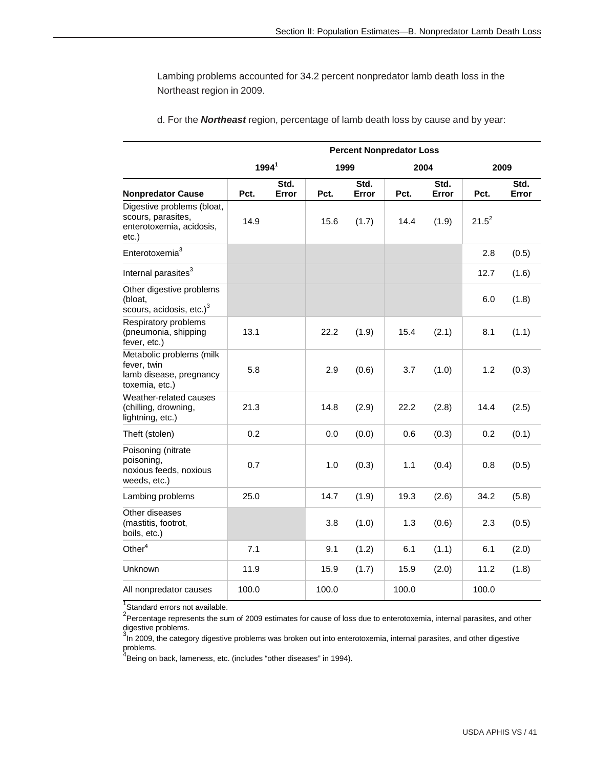Lambing problems accounted for 34.2 percent nonpredator lamb death loss in the Northeast region in 2009.

|                                                                                       | <b>Percent Nonpredator Loss</b> |               |       |               |       |               |          |               |  |  |  |
|---------------------------------------------------------------------------------------|---------------------------------|---------------|-------|---------------|-------|---------------|----------|---------------|--|--|--|
|                                                                                       | $1994^1$                        |               | 1999  |               | 2004  |               | 2009     |               |  |  |  |
| <b>Nonpredator Cause</b>                                                              | Pct.                            | Std.<br>Error | Pct.  | Std.<br>Error | Pct.  | Std.<br>Error | Pct.     | Std.<br>Error |  |  |  |
| Digestive problems (bloat,<br>scours, parasites,<br>enterotoxemia, acidosis,<br>etc.) | 14.9                            |               | 15.6  | (1.7)         | 14.4  | (1.9)         | $21.5^2$ |               |  |  |  |
| Enterotoxemia <sup>3</sup>                                                            |                                 |               |       |               |       |               | 2.8      | (0.5)         |  |  |  |
| Internal parasites <sup>3</sup>                                                       |                                 |               |       |               |       |               | 12.7     | (1.6)         |  |  |  |
| Other digestive problems<br>(bloat,<br>scours, acidosis, etc.) <sup>3</sup>           |                                 |               |       |               |       |               | 6.0      | (1.8)         |  |  |  |
| Respiratory problems<br>(pneumonia, shipping<br>fever, etc.)                          | 13.1                            |               | 22.2  | (1.9)         | 15.4  | (2.1)         | 8.1      | (1.1)         |  |  |  |
| Metabolic problems (milk<br>fever, twin<br>lamb disease, pregnancy<br>toxemia, etc.)  | 5.8                             |               | 2.9   | (0.6)         | 3.7   | (1.0)         | 1.2      | (0.3)         |  |  |  |
| Weather-related causes<br>(chilling, drowning,<br>lightning, etc.)                    | 21.3                            |               | 14.8  | (2.9)         | 22.2  | (2.8)         | 14.4     | (2.5)         |  |  |  |
| Theft (stolen)                                                                        | 0.2                             |               | 0.0   | (0.0)         | 0.6   | (0.3)         | 0.2      | (0.1)         |  |  |  |
| Poisoning (nitrate<br>poisoning,<br>noxious feeds, noxious<br>weeds, etc.)            | 0.7                             |               | 1.0   | (0.3)         | 1.1   | (0.4)         | 0.8      | (0.5)         |  |  |  |
| Lambing problems                                                                      | 25.0                            |               | 14.7  | (1.9)         | 19.3  | (2.6)         | 34.2     | (5.8)         |  |  |  |
| Other diseases<br>(mastitis, footrot,<br>boils, etc.)                                 |                                 |               | 3.8   | (1.0)         | 1.3   | (0.6)         | 2.3      | (0.5)         |  |  |  |
| Other $4$                                                                             | 7.1                             |               | 9.1   | (1.2)         | 6.1   | (1.1)         | 6.1      | (2.0)         |  |  |  |
| Unknown                                                                               | 11.9                            |               | 15.9  | (1.7)         | 15.9  | (2.0)         | 11.2     | (1.8)         |  |  |  |
| All nonpredator causes                                                                | 100.0                           |               | 100.0 |               | 100.0 |               | 100.0    |               |  |  |  |

d. For the *Northeast* region, percentage of lamb death loss by cause and by year:

<sup>1</sup>Standard errors not available.

<sup>2</sup>Percentage represents the sum of 2009 estimates for cause of loss due to enterotoxemia, internal parasites, and other digestive problems.<br><sup>3</sup>In 2009, the category digestive problems was broken out into enterotoxemia, internal parasites, and other digestive

problems.<br><sup>4</sup>Being on back, lameness, etc. (includes "other diseases" in 1994).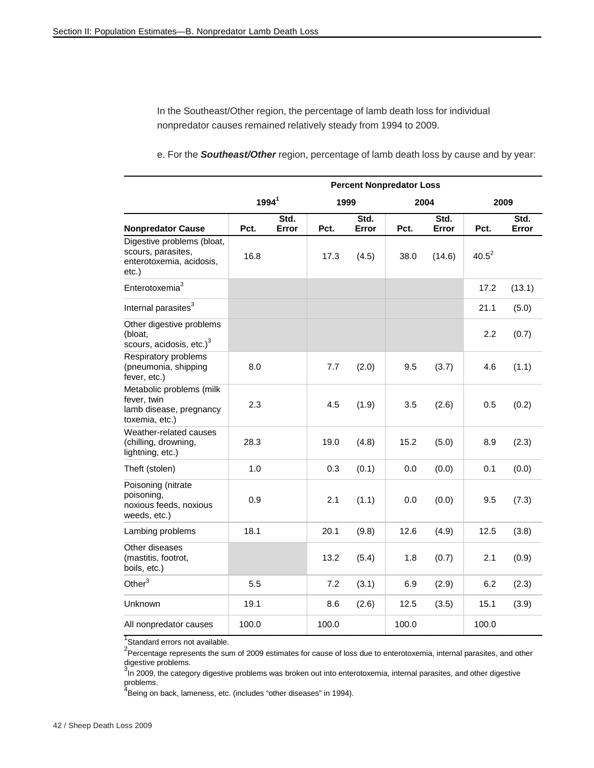In the Southeast/Other region, the percentage of lamb death loss for individual nonpredator causes remained relatively steady from 1994 to 2009.

e. For the *Southeast/Other* region, percentage of lamb death loss by cause and by year:

|                                                                                          | <b>Percent Nonpredator Loss</b> |               |       |               |       |               |          |               |  |  |  |
|------------------------------------------------------------------------------------------|---------------------------------|---------------|-------|---------------|-------|---------------|----------|---------------|--|--|--|
|                                                                                          | 1994 <sup>1</sup>               |               | 1999  |               |       | 2004          |          | 2009          |  |  |  |
| <b>Nonpredator Cause</b>                                                                 | Pct.                            | Std.<br>Error | Pct.  | Std.<br>Error | Pct.  | Std.<br>Error | Pct.     | Std.<br>Error |  |  |  |
| Digestive problems (bloat,<br>scours, parasites,<br>enterotoxemia, acidosis,<br>$etc.$ ) | 16.8                            |               | 17.3  | (4.5)         | 38.0  | (14.6)        | $40.5^2$ |               |  |  |  |
| Enterotoxemia <sup>3</sup>                                                               |                                 |               |       |               |       |               | 17.2     | (13.1)        |  |  |  |
| Internal parasites <sup>3</sup>                                                          |                                 |               |       |               |       |               | 21.1     | (5.0)         |  |  |  |
| Other digestive problems<br>(bloat,<br>scours, acidosis, etc.) $3$                       |                                 |               |       |               |       |               | 2.2      | (0.7)         |  |  |  |
| Respiratory problems<br>(pneumonia, shipping<br>fever, etc.)                             | 8.0                             |               | 7.7   | (2.0)         | 9.5   | (3.7)         | 4.6      | (1.1)         |  |  |  |
| Metabolic problems (milk<br>fever, twin<br>lamb disease, pregnancy<br>toxemia, etc.)     | 2.3                             |               | 4.5   | (1.9)         | 3.5   | (2.6)         | 0.5      | (0.2)         |  |  |  |
| Weather-related causes<br>(chilling, drowning,<br>lightning, etc.)                       | 28.3                            |               | 19.0  | (4.8)         | 15.2  | (5.0)         | 8.9      | (2.3)         |  |  |  |
| Theft (stolen)                                                                           | 1.0                             |               | 0.3   | (0.1)         | 0.0   | (0.0)         | 0.1      | (0.0)         |  |  |  |
| Poisoning (nitrate<br>poisoning,<br>noxious feeds, noxious<br>weeds, etc.)               | 0.9                             |               | 2.1   | (1.1)         | 0.0   | (0.0)         | 9.5      | (7.3)         |  |  |  |
| Lambing problems                                                                         | 18.1                            |               | 20.1  | (9.8)         | 12.6  | (4.9)         | 12.5     | (3.8)         |  |  |  |
| Other diseases<br>(mastitis, footrot,<br>boils, etc.)                                    |                                 |               | 13.2  | (5.4)         | 1.8   | (0.7)         | 2.1      | (0.9)         |  |  |  |
| Other $3$                                                                                | 5.5                             |               | 7.2   | (3.1)         | 6.9   | (2.9)         | 6.2      | (2.3)         |  |  |  |
| <b>Unknown</b>                                                                           | 19.1                            |               | 8.6   | (2.6)         | 12.5  | (3.5)         | 15.1     | (3.9)         |  |  |  |
| All nonpredator causes                                                                   | 100.0                           |               | 100.0 |               | 100.0 |               | 100.0    |               |  |  |  |

<sup>1</sup>Standard errors not available.

<sup>2</sup>Percentage represents the sum of 2009 estimates for cause of loss due to enterotoxemia, internal parasites, and other digestive problems.

<sup>3</sup>In 2009, the category digestive problems was broken out into enterotoxemia, internal parasites, and other digestive problems.

<sup>4</sup><br>Being on back, lameness, etc. (includes "other diseases" in 1994).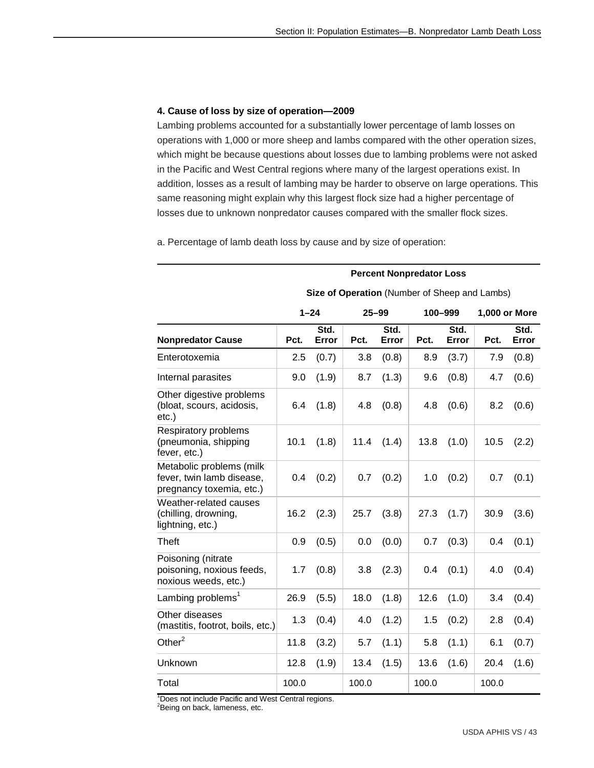**Percent Nonpredator Loss** 

#### **4. Cause of loss by size of operation—2009**

Lambing problems accounted for a substantially lower percentage of lamb losses on operations with 1,000 or more sheep and lambs compared with the other operation sizes, which might be because questions about losses due to lambing problems were not asked in the Pacific and West Central regions where many of the largest operations exist. In addition, losses as a result of lambing may be harder to observe on large operations. This same reasoning might explain why this largest flock size had a higher percentage of losses due to unknown nonpredator causes compared with the smaller flock sizes.

a. Percentage of lamb death loss by cause and by size of operation:

#### **Size of Operation** (Number of Sheep and Lambs)  **1–24 25–99 100–999 1,000 or More Nonpredator Cause Pct. Std.**  Error Pct. **Std.**  Error Pct. **Std.**  Error Pct. **Std. Error**  Enterotoxemia 2.5 (0.7) 3.8 (0.8) 8.9 (3.7) 7.9 (0.8) Internal parasites  $\vert$  9.0 (1.9) 8.7 (1.3) 9.6 (0.8) 4.7 (0.6) Other digestive problems (bloat, scours, acidosis, etc.) 6.4  $(1.8)$  4.8  $(0.8)$  4.8  $(0.6)$  8.2  $(0.6)$ Respiratory problems (pneumonia, shipping fever, etc.) 10.1  $(1.8)$  11.4  $(1.4)$  13.8  $(1.0)$  10.5  $(2.2)$ Metabolic problems (milk fever, twin lamb disease, pregnancy toxemia, etc.)  $0.4$  (0.2) 0.7 (0.2) 1.0 (0.2) 0.7 (0.1) Weather-related causes (chilling, drowning, lightning, etc.) 16.2 (2.3) 25.7 (3.8) 27.3 (1.7) 30.9 (3.6) Theft 0.9 (0.5) 0.0 (0.0) 0.7 (0.3) 0.4 (0.1) Poisoning (nitrate poisoning, noxious feeds, noxious weeds, etc.) 1.7  $(0.8)$  3.8  $(2.3)$  0.4  $(0.1)$  4.0  $(0.4)$ Lambing problems<sup>1</sup> 26.9 (5.5) 18.0 (1.8) 12.6 (1.0) 3.4 (0.4) Other diseases Unier diseases<br>(mastitis, footrot, boils, etc.)  $1.3 \t(0.4) 4.0 \t(1.2) 1.5 \t(0.2) 2.8 \t(0.4)$  $O$ ther<sup>2</sup>  $\vert$  11.8 (3.2) 5.7 (1.1) 5.8 (1.1) 6.1 (0.7) Unknown 12.8 (1.9) 13.4 (1.5) 13.6 (1.6) 20.4 (1.6) Total 100.0 100.0 100.0 100.0 100.0

<sup>1</sup> Does not include Pacific and West Central regions.

<sup>2</sup>Being on back, lameness, etc.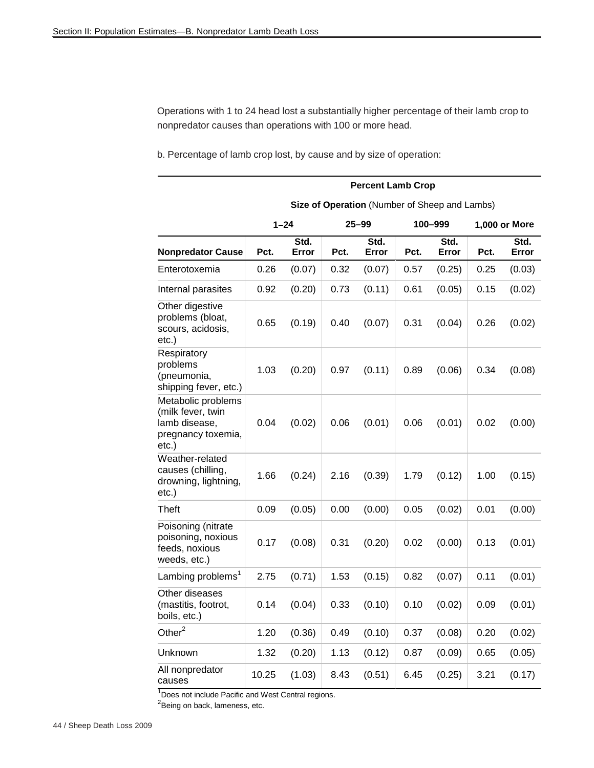Operations with 1 to 24 head lost a substantially higher percentage of their lamb crop to nonpredator causes than operations with 100 or more head.

b. Percentage of lamb crop lost, by cause and by size of operation:

|                                                                                            | <b>Percent Lamb Crop</b> |               |      |                                               |      |               |      |               |  |  |  |  |
|--------------------------------------------------------------------------------------------|--------------------------|---------------|------|-----------------------------------------------|------|---------------|------|---------------|--|--|--|--|
|                                                                                            |                          |               |      | Size of Operation (Number of Sheep and Lambs) |      |               |      |               |  |  |  |  |
|                                                                                            |                          | $1 - 24$      |      | 25–99                                         |      | 100-999       |      | 1,000 or More |  |  |  |  |
| <b>Nonpredator Cause</b>                                                                   | Pct.                     | Std.<br>Error | Pct. | Std.<br>Error                                 | Pct. | Std.<br>Error | Pct. | Std.<br>Error |  |  |  |  |
| Enterotoxemia                                                                              | 0.26                     | (0.07)        | 0.32 | (0.07)                                        | 0.57 | (0.25)        | 0.25 | (0.03)        |  |  |  |  |
| Internal parasites                                                                         | 0.92                     | (0.20)        | 0.73 | (0.11)                                        | 0.61 | (0.05)        | 0.15 | (0.02)        |  |  |  |  |
| Other digestive<br>problems (bloat,<br>scours, acidosis,<br>$etc.$ )                       | 0.65                     | (0.19)        | 0.40 | (0.07)                                        | 0.31 | (0.04)        | 0.26 | (0.02)        |  |  |  |  |
| Respiratory<br>problems<br>(pneumonia,<br>shipping fever, etc.)                            | 1.03                     | (0.20)        | 0.97 | (0.11)                                        | 0.89 | (0.06)        | 0.34 | (0.08)        |  |  |  |  |
| Metabolic problems<br>(milk fever, twin<br>lamb disease,<br>pregnancy toxemia,<br>$etc.$ ) | 0.04                     | (0.02)        | 0.06 | (0.01)                                        | 0.06 | (0.01)        | 0.02 | (0.00)        |  |  |  |  |
| Weather-related<br>causes (chilling,<br>drowning, lightning,<br>$etc.$ )                   | 1.66                     | (0.24)        | 2.16 | (0.39)                                        | 1.79 | (0.12)        | 1.00 | (0.15)        |  |  |  |  |
| <b>Theft</b>                                                                               | 0.09                     | (0.05)        | 0.00 | (0.00)                                        | 0.05 | (0.02)        | 0.01 | (0.00)        |  |  |  |  |
| Poisoning (nitrate<br>poisoning, noxious<br>feeds, noxious<br>weeds, etc.)                 | 0.17                     | (0.08)        | 0.31 | (0.20)                                        | 0.02 | (0.00)        | 0.13 | (0.01)        |  |  |  |  |
| Lambing problems <sup>1</sup>                                                              | 2.75                     | (0.71)        | 1.53 | (0.15)                                        | 0.82 | (0.07)        | 0.11 | (0.01)        |  |  |  |  |
| Other diseases<br>(mastitis, footrot,<br>boils, etc.)                                      | 0.14                     | (0.04)        | 0.33 | (0.10)                                        | 0.10 | (0.02)        | 0.09 | (0.01)        |  |  |  |  |
| Other $2$                                                                                  | 1.20                     | (0.36)        | 0.49 | (0.10)                                        | 0.37 | (0.08)        | 0.20 | (0.02)        |  |  |  |  |
| Unknown                                                                                    | 1.32                     | (0.20)        | 1.13 | (0.12)                                        | 0.87 | (0.09)        | 0.65 | (0.05)        |  |  |  |  |
| All nonpredator<br>causes                                                                  | 10.25                    | (1.03)        | 8.43 | (0.51)                                        | 6.45 | (0.25)        | 3.21 | (0.17)        |  |  |  |  |

<sup>1</sup>Does not include Pacific and West Central regions.<br><sup>2</sup>Being on back, lameness, etc.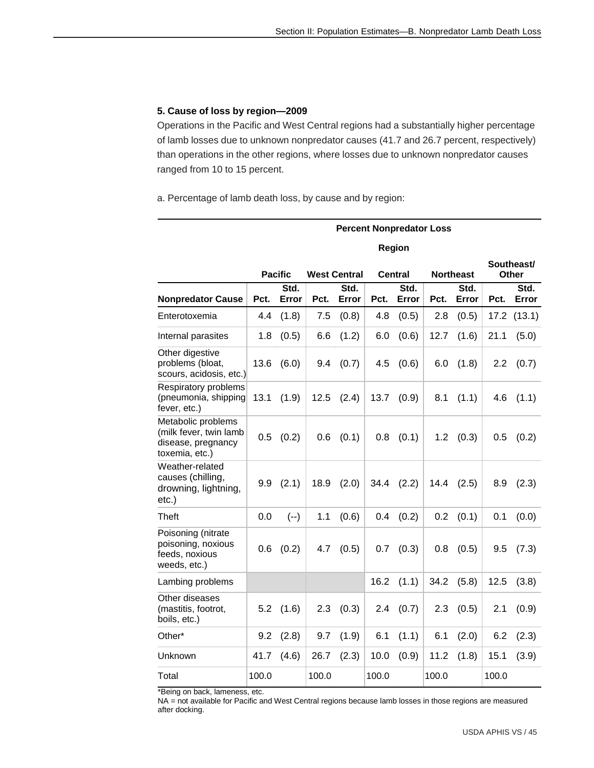#### **5. Cause of loss by region—2009**

Operations in the Pacific and West Central regions had a substantially higher percentage of lamb losses due to unknown nonpredator causes (41.7 and 26.7 percent, respectively) than operations in the other regions, where losses due to unknown nonpredator causes ranged from 10 to 15 percent.

a. Percentage of lamb death loss, by cause and by region:

|                                                                                      | <b>Percent Nonpredator Loss</b> |                |       |                     |       |                |       |                  |       |                     |  |  |
|--------------------------------------------------------------------------------------|---------------------------------|----------------|-------|---------------------|-------|----------------|-------|------------------|-------|---------------------|--|--|
|                                                                                      |                                 |                |       |                     |       | Region         |       |                  |       |                     |  |  |
|                                                                                      |                                 | <b>Pacific</b> |       | <b>West Central</b> |       | <b>Central</b> |       | <b>Northeast</b> |       | Southeast/<br>Other |  |  |
| <b>Nonpredator Cause</b>                                                             | Pct.                            | Std.<br>Error  | Pct.  | Std.<br>Error       | Pct.  | Std.<br>Error  | Pct.  | Std.<br>Error    | Pct.  | Std.<br>Error       |  |  |
| Enterotoxemia                                                                        | 4.4                             | (1.8)          | 7.5   | (0.8)               | 4.8   | (0.5)          | 2.8   | (0.5)            | 17.2  | (13.1)              |  |  |
| Internal parasites                                                                   | 1.8                             | (0.5)          | 6.6   | (1.2)               | 6.0   | (0.6)          | 12.7  | (1.6)            | 21.1  | (5.0)               |  |  |
| Other digestive<br>problems (bloat,<br>scours, acidosis, etc.)                       | 13.6                            | (6.0)          | 9.4   | (0.7)               | 4.5   | (0.6)          | 6.0   | (1.8)            | 2.2   | (0.7)               |  |  |
| Respiratory problems<br>(pneumonia, shipping<br>fever, etc.)                         | 13.1                            | (1.9)          | 12.5  | (2.4)               | 13.7  | (0.9)          | 8.1   | (1.1)            | 4.6   | (1.1)               |  |  |
| Metabolic problems<br>(milk fever, twin lamb<br>disease, pregnancy<br>toxemia, etc.) | 0.5                             | (0.2)          | 0.6   | (0.1)               | 0.8   | (0.1)          | 1.2   | (0.3)            | 0.5   | (0.2)               |  |  |
| Weather-related<br>causes (chilling,<br>drowning, lightning,<br>$etc.$ )             | 9.9                             | (2.1)          | 18.9  | (2.0)               | 34.4  | (2.2)          | 14.4  | (2.5)            | 8.9   | (2.3)               |  |  |
| Theft                                                                                | 0.0                             | $(--)$         | 1.1   | (0.6)               | 0.4   | (0.2)          | 0.2   | (0.1)            | 0.1   | (0.0)               |  |  |
| Poisoning (nitrate<br>poisoning, noxious<br>feeds, noxious<br>weeds, etc.)           | 0.6                             | (0.2)          | 4.7   | (0.5)               | 0.7   | (0.3)          | 0.8   | (0.5)            | 9.5   | (7.3)               |  |  |
| Lambing problems                                                                     |                                 |                |       |                     | 16.2  | (1.1)          | 34.2  | (5.8)            | 12.5  | (3.8)               |  |  |
| Other diseases<br>(mastitis, footrot,<br>boils, etc.)                                | 5.2                             | (1.6)          | 2.3   | (0.3)               | 2.4   | (0.7)          | 2.3   | (0.5)            | 2.1   | (0.9)               |  |  |
| Other*                                                                               | 9.2                             | (2.8)          | 9.7   | (1.9)               | 6.1   | (1.1)          | 6.1   | (2.0)            | 6.2   | (2.3)               |  |  |
| Unknown                                                                              | 41.7                            | (4.6)          | 26.7  | (2.3)               | 10.0  | (0.9)          | 11.2  | (1.8)            | 15.1  | (3.9)               |  |  |
| Total                                                                                | 100.0                           |                | 100.0 |                     | 100.0 |                | 100.0 |                  | 100.0 |                     |  |  |

\*Being on back, lameness, etc.

NA = not available for Pacific and West Central regions because lamb losses in those regions are measured after docking.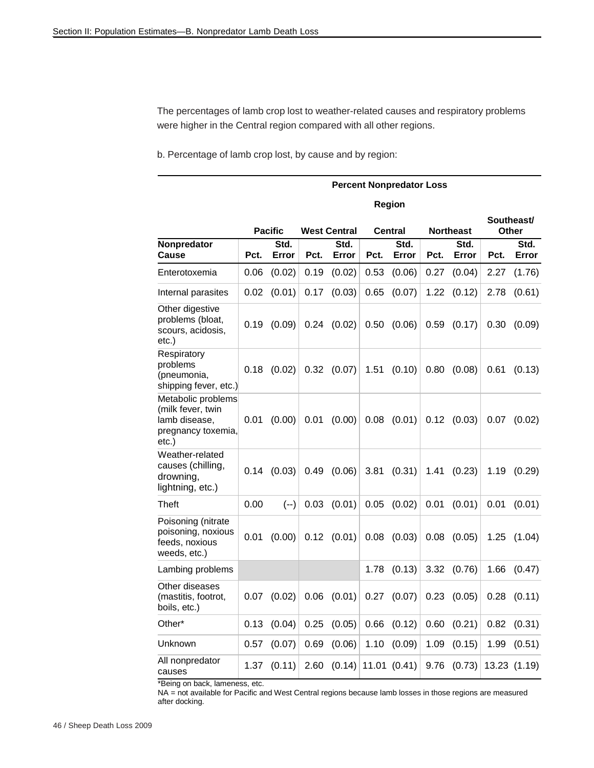The percentages of lamb crop lost to weather-related causes and respiratory problems were higher in the Central region compared with all other regions.

b. Percentage of lamb crop lost, by cause and by region:

|                                                                                         | <b>Percent Nonpredator Loss</b> |                |      |                     |      |                |      |                  |      |                     |  |
|-----------------------------------------------------------------------------------------|---------------------------------|----------------|------|---------------------|------|----------------|------|------------------|------|---------------------|--|
|                                                                                         |                                 |                |      |                     |      | Region         |      |                  |      |                     |  |
|                                                                                         |                                 | <b>Pacific</b> |      | <b>West Central</b> |      | <b>Central</b> |      | <b>Northeast</b> |      | Southeast/<br>Other |  |
| Nonpredator<br>Cause                                                                    | Pct.                            | Std.<br>Error  | Pct. | Std.<br>Error       | Pct. | Std.<br>Error  | Pct. | Std.<br>Error    | Pct. | Std.<br>Error       |  |
| Enterotoxemia                                                                           | 0.06                            | (0.02)         | 0.19 | (0.02)              | 0.53 | (0.06)         | 0.27 | (0.04)           | 2.27 | (1.76)              |  |
| Internal parasites                                                                      | 0.02                            | (0.01)         | 0.17 | (0.03)              | 0.65 | (0.07)         | 1.22 | (0.12)           | 2.78 | (0.61)              |  |
| Other digestive<br>problems (bloat,<br>scours, acidosis,<br>etc.)                       | 0.19                            | (0.09)         | 0.24 | (0.02)              | 0.50 | (0.06)         | 0.59 | (0.17)           | 0.30 | (0.09)              |  |
| Respiratory<br>problems<br>(pneumonia,<br>shipping fever, etc.)                         | 0.18                            | (0.02)         | 0.32 | (0.07)              | 1.51 | (0.10)         | 0.80 | (0.08)           | 0.61 | (0.13)              |  |
| Metabolic problems<br>(milk fever, twin<br>lamb disease,<br>pregnancy toxemia,<br>etc.) | 0.01                            | (0.00)         | 0.01 | (0.00)              | 0.08 | (0.01)         | 0.12 | (0.03)           | 0.07 | (0.02)              |  |
| Weather-related<br>causes (chilling,<br>drowning,<br>lightning, etc.)                   | 0.14                            | (0.03)         | 0.49 | (0.06)              | 3.81 | (0.31)         | 1.41 | (0.23)           | 1.19 | (0.29)              |  |
| Theft                                                                                   | 0.00                            | $(--)$         | 0.03 | (0.01)              | 0.05 | (0.02)         | 0.01 | (0.01)           | 0.01 | (0.01)              |  |
| Poisoning (nitrate<br>poisoning, noxious<br>feeds, noxious<br>weeds, etc.)              | 0.01                            | (0.00)         |      | $0.12$ $(0.01)$     | 0.08 | (0.03)         | 0.08 | (0.05)           | 1.25 | (1.04)              |  |
| Lambing problems                                                                        |                                 |                |      |                     | 1.78 | (0.13)         | 3.32 | (0.76)           | 1.66 | (0.47)              |  |
| Other diseases<br>(mastitis, footrot,<br>boils, etc.)                                   | 0.07                            | (0.02)         | 0.06 | (0.01)              | 0.27 | (0.07)         | 0.23 | (0.05)           | 0.28 | (0.11)              |  |
| Other*                                                                                  | 0.13                            | (0.04)         | 0.25 | (0.05)              | 0.66 | (0.12)         | 0.60 | (0.21)           | 0.82 | (0.31)              |  |
| Unknown                                                                                 | 0.57                            | (0.07)         | 0.69 | (0.06)              | 1.10 | (0.09)         | 1.09 | (0.15)           | 1.99 | (0.51)              |  |
| All nonpredator<br>causes                                                               | 1.37                            | (0.11)         | 2.60 | (0.14)              |      | 11.01 (0.41)   | 9.76 | (0.73)           |      | 13.23 (1.19)        |  |

\*Being on back, lameness, etc.

NA = not available for Pacific and West Central regions because lamb losses in those regions are measured after docking.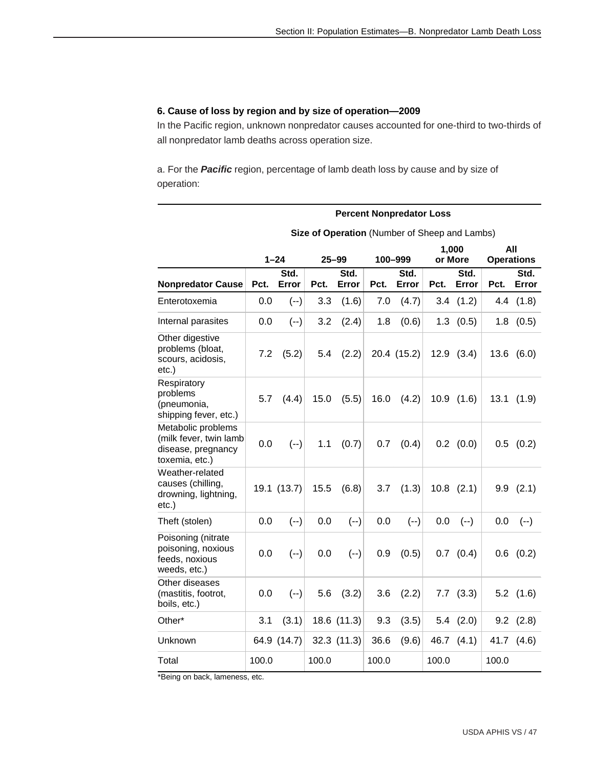**Percent Nonpredator Loss** 

#### **6. Cause of loss by region and by size of operation—2009**

In the Pacific region, unknown nonpredator causes accounted for one-third to two-thirds of all nonpredator lamb deaths across operation size.

a. For the *Pacific* region, percentage of lamb death loss by cause and by size of operation:

|                                                                                      | Size of Operation (Number of Sheep and Lambs) |               |       |                 |       |               |       |                  |       |                          |  |
|--------------------------------------------------------------------------------------|-----------------------------------------------|---------------|-------|-----------------|-------|---------------|-------|------------------|-------|--------------------------|--|
|                                                                                      |                                               | $1 - 24$      |       | $25 - 99$       |       | 100-999       |       | 1,000<br>or More |       | All<br><b>Operations</b> |  |
| <b>Nonpredator Cause</b>                                                             | Pct.                                          | Std.<br>Error | Pct.  | Std.<br>Error   | Pct.  | Std.<br>Error | Pct.  | Std.<br>Error    | Pct.  | Std.<br>Error            |  |
| Enterotoxemia                                                                        | 0.0                                           | $(--)$        | 3.3   | (1.6)           | 7.0   | (4.7)         |       | 3.4(1.2)         | 4.4   | (1.8)                    |  |
| Internal parasites                                                                   | 0.0                                           | $(--)$        | 3.2   | (2.4)           | 1.8   | (0.6)         |       | $1.3$ $(0.5)$    |       | $1.8$ $(0.5)$            |  |
| Other digestive<br>problems (bloat,<br>scours, acidosis,<br>$etc.$ )                 | 7.2                                           | (5.2)         | 5.4   | (2.2)           |       | 20.4 (15.2)   |       | $12.9$ $(3.4)$   | 13.6  | (6.0)                    |  |
| Respiratory<br>problems<br>(pneumonia,<br>shipping fever, etc.)                      | 5.7                                           | (4.4)         | 15.0  | (5.5)           | 16.0  | (4.2)         |       | $10.9$ $(1.6)$   |       | 13.1(1.9)                |  |
| Metabolic problems<br>(milk fever, twin lamb<br>disease, pregnancy<br>toxemia, etc.) | 0.0                                           | $(--)$        | 1.1   | (0.7)           | 0.7   | (0.4)         |       | $0.2$ $(0.0)$    |       | $0.5$ $(0.2)$            |  |
| Weather-related<br>causes (chilling,<br>drowning, lightning,<br>$etc.$ )             |                                               | 19.1 (13.7)   | 15.5  | (6.8)           | 3.7   | (1.3)         |       | $10.8$ $(2.1)$   |       | $9.9$ $(2.1)$            |  |
| Theft (stolen)                                                                       | 0.0                                           | $(--)$        | 0.0   | $(--)$          | 0.0   | $(--)$        | 0.0   | $(--)$           | 0.0   | $(--)$                   |  |
| Poisoning (nitrate<br>poisoning, noxious<br>feeds, noxious<br>weeds, etc.)           | 0.0                                           | $(--)$        | 0.0   | $(--)$          | 0.9   | (0.5)         |       | $0.7$ $(0.4)$    |       | $0.6$ $(0.2)$            |  |
| Other diseases<br>(mastitis, footrot,<br>boils, etc.)                                | 0.0                                           | $(--)$        | 5.6   | (3.2)           | 3.6   | (2.2)         |       | $7.7$ $(3.3)$    |       | $5.2$ $(1.6)$            |  |
| Other*                                                                               | 3.1                                           | (3.1)         |       | 18.6 (11.3)     | 9.3   | (3.5)         |       | $5.4$ $(2.0)$    |       | $9.2$ $(2.8)$            |  |
| Unknown                                                                              |                                               | 64.9 (14.7)   |       | $32.3$ $(11.3)$ | 36.6  | (9.6)         |       | 46.7 (4.1)       | 41.7  | (4.6)                    |  |
| Total                                                                                | 100.0                                         |               | 100.0 |                 | 100.0 |               | 100.0 |                  | 100.0 |                          |  |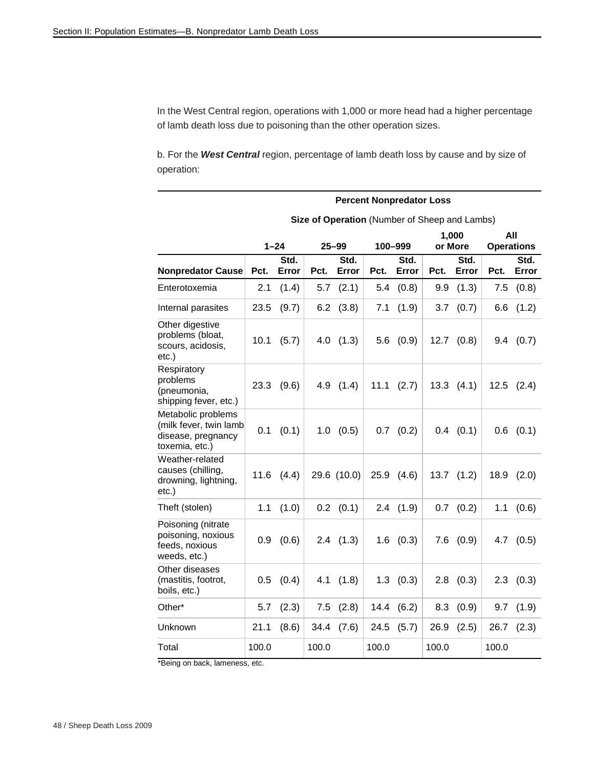In the West Central region, operations with 1,000 or more head had a higher percentage of lamb death loss due to poisoning than the other operation sizes.

b. For the *West Central* region, percentage of lamb death loss by cause and by size of operation:

|                                                                                      |       | <b>Percent Nonpredator Loss</b> |       |                                               |       |                |       |                  |       |                          |  |  |
|--------------------------------------------------------------------------------------|-------|---------------------------------|-------|-----------------------------------------------|-------|----------------|-------|------------------|-------|--------------------------|--|--|
|                                                                                      |       |                                 |       | Size of Operation (Number of Sheep and Lambs) |       |                |       |                  |       |                          |  |  |
|                                                                                      |       | $1 - 24$                        |       | $25 - 99$                                     |       | 100-999        |       | 1,000<br>or More |       | All<br><b>Operations</b> |  |  |
| <b>Nonpredator Cause</b>                                                             | Pct.  | Std.<br>Error                   | Pct.  | Std.<br>Error                                 | Pct.  | Std.<br>Error  | Pct.  | Std.<br>Error    | Pct.  | Std.<br>Error            |  |  |
| Enterotoxemia                                                                        | 2.1   | (1.4)                           | 5.7   | (2.1)                                         | 5.4   | (0.8)          | 9.9   | (1.3)            | 7.5   | (0.8)                    |  |  |
| Internal parasites                                                                   | 23.5  | (9.7)                           | 6.2   | (3.8)                                         | 7.1   | (1.9)          | 3.7   | (0.7)            | 6.6   | (1.2)                    |  |  |
| Other digestive<br>problems (bloat,<br>scours, acidosis,<br>etc.)                    | 10.1  | (5.7)                           |       | $4.0$ $(1.3)$                                 | 5.6   | (0.9)          |       | $12.7$ $(0.8)$   | 9.4   | (0.7)                    |  |  |
| Respiratory<br>problems<br>(pneumonia,<br>shipping fever, etc.)                      | 23.3  | (9.6)                           | 4.9   | (1.4)                                         | 11.1  | (2.7)          |       | $13.3$ $(4.1)$   |       | $12.5$ $(2.4)$           |  |  |
| Metabolic problems<br>(milk fever, twin lamb<br>disease, pregnancy<br>toxemia, etc.) | 0.1   | (0.1)                           | 1.0   | (0.5)                                         | 0.7   | (0.2)          |       | $0.4$ $(0.1)$    | 0.6   | (0.1)                    |  |  |
| Weather-related<br>causes (chilling,<br>drowning, lightning,<br>etc.)                | 11.6  | (4.4)                           |       | 29.6 (10.0)                                   |       | $25.9$ $(4.6)$ |       | $13.7$ $(1.2)$   | 18.9  | (2.0)                    |  |  |
| Theft (stolen)                                                                       | 1.1   | (1.0)                           |       | $0.2$ $(0.1)$                                 |       | $2.4$ $(1.9)$  |       | $0.7$ $(0.2)$    | 1.1   | (0.6)                    |  |  |
| Poisoning (nitrate<br>poisoning, noxious<br>feeds, noxious<br>weeds, etc.)           | 0.9   | (0.6)                           |       | $2.4$ $(1.3)$                                 |       | $1.6$ $(0.3)$  |       | $7.6$ $(0.9)$    | 4.7   | (0.5)                    |  |  |
| Other diseases<br>(mastitis, footrot,<br>boils, etc.)                                | 0.5   | (0.4)                           | 4.1   | (1.8)                                         |       | $1.3$ $(0.3)$  | 2.8   | (0.3)            |       | $2.3$ $(0.3)$            |  |  |
| Other*                                                                               | 5.7   | (2.3)                           | 7.5   | (2.8)                                         | 14.4  | (6.2)          | 8.3   | (0.9)            | 9.7   | (1.9)                    |  |  |
| Unknown                                                                              | 21.1  | (8.6)                           | 34.4  | (7.6)                                         | 24.5  | (5.7)          | 26.9  | (2.5)            | 26.7  | (2.3)                    |  |  |
| Total                                                                                | 100.0 |                                 | 100.0 |                                               | 100.0 |                | 100.0 |                  | 100.0 |                          |  |  |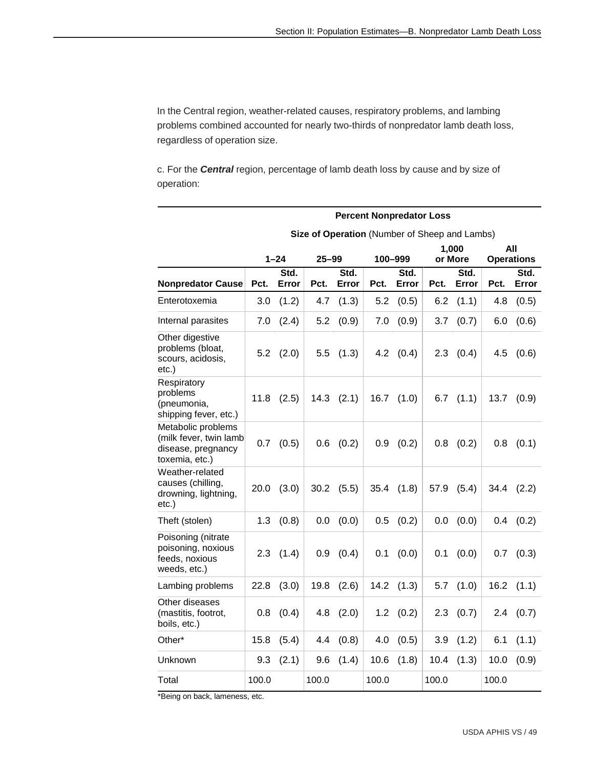In the Central region, weather-related causes, respiratory problems, and lambing problems combined accounted for nearly two-thirds of nonpredator lamb death loss, regardless of operation size.

c. For the *Central* region, percentage of lamb death loss by cause and by size of operation:

|                                                                                      |                                           | <b>Percent Nonpredator Loss</b> |           |               |                                               |               |      |               |      |                   |  |  |
|--------------------------------------------------------------------------------------|-------------------------------------------|---------------------------------|-----------|---------------|-----------------------------------------------|---------------|------|---------------|------|-------------------|--|--|
|                                                                                      |                                           |                                 |           |               | Size of Operation (Number of Sheep and Lambs) |               |      |               |      |                   |  |  |
|                                                                                      |                                           |                                 |           |               |                                               |               |      | 1,000         |      | All               |  |  |
|                                                                                      |                                           | $1 - 24$                        | $25 - 99$ |               | 100-999                                       |               |      | or More       |      | <b>Operations</b> |  |  |
| <b>Nonpredator Cause</b>                                                             | Pct.                                      | Std.<br>Error                   | Pct.      | Std.<br>Error | Pct.                                          | Std.<br>Error | Pct. | Std.<br>Error | Pct. | Std.<br>Error     |  |  |
| Enterotoxemia                                                                        | 3.0                                       | (1.2)                           | 4.7       | (1.3)         | 5.2                                           | (0.5)         | 6.2  | (1.1)         | 4.8  | (0.5)             |  |  |
| Internal parasites                                                                   | 7.0                                       | (2.4)                           | 5.2       | (0.9)         | 7.0                                           | (0.9)         | 3.7  | (0.7)         | 6.0  | (0.6)             |  |  |
| Other digestive<br>problems (bloat,<br>scours, acidosis,<br>$etc.$ )                 | 5.2                                       | (2.0)                           | 5.5       | (1.3)         | 4.2                                           | (0.4)         | 2.3  | (0.4)         | 4.5  | (0.6)             |  |  |
| Respiratory<br>problems<br>(pneumonia,<br>shipping fever, etc.)                      | 11.8                                      | (2.5)                           | 14.3      | (2.1)         | 16.7                                          | (1.0)         | 6.7  | (1.1)         | 13.7 | (0.9)             |  |  |
| Metabolic problems<br>(milk fever, twin lamb<br>disease, pregnancy<br>toxemia, etc.) | 0.7                                       | (0.5)                           | 0.6       | (0.2)         | 0.9                                           | (0.2)         | 0.8  | (0.2)         | 0.8  | (0.1)             |  |  |
| Weather-related<br>causes (chilling,<br>drowning, lightning,<br>$etc.$ )             | 20.0                                      | (3.0)                           | 30.2      | (5.5)         | 35.4                                          | (1.8)         | 57.9 | (5.4)         | 34.4 | (2.2)             |  |  |
| Theft (stolen)                                                                       | 1.3                                       | (0.8)                           | 0.0       | (0.0)         | 0.5                                           | (0.2)         | 0.0  | (0.0)         | 0.4  | (0.2)             |  |  |
| Poisoning (nitrate<br>poisoning, noxious<br>feeds, noxious<br>weeds, etc.)           | 2.3                                       | (1.4)                           | 0.9       | (0.4)         | 0.1                                           | (0.0)         | 0.1  | (0.0)         | 0.7  | (0.3)             |  |  |
| Lambing problems                                                                     | 22.8                                      | (3.0)                           | 19.8      | (2.6)         | 14.2                                          | (1.3)         | 5.7  | (1.0)         | 16.2 | (1.1)             |  |  |
| Other diseases<br>(mastitis, footrot,<br>boils, etc.)                                | 0.8                                       | (0.4)                           | 4.8       | (2.0)         | 1.2                                           | (0.2)         | 2.3  | (0.7)         | 2.4  | (0.7)             |  |  |
| Other*                                                                               | 15.8                                      | (5.4)                           | 4.4       | (0.8)         | 4.0                                           | (0.5)         | 3.9  | (1.2)         | 6.1  | (1.1)             |  |  |
| Unknown                                                                              | 9.3                                       | (2.1)                           | 9.6       | (1.4)         | 10.6                                          | (1.8)         | 10.4 | (1.3)         | 10.0 | (0.9)             |  |  |
| Total                                                                                | 100.0<br>100.0<br>100.0<br>100.0<br>100.0 |                                 |           |               |                                               |               |      |               |      |                   |  |  |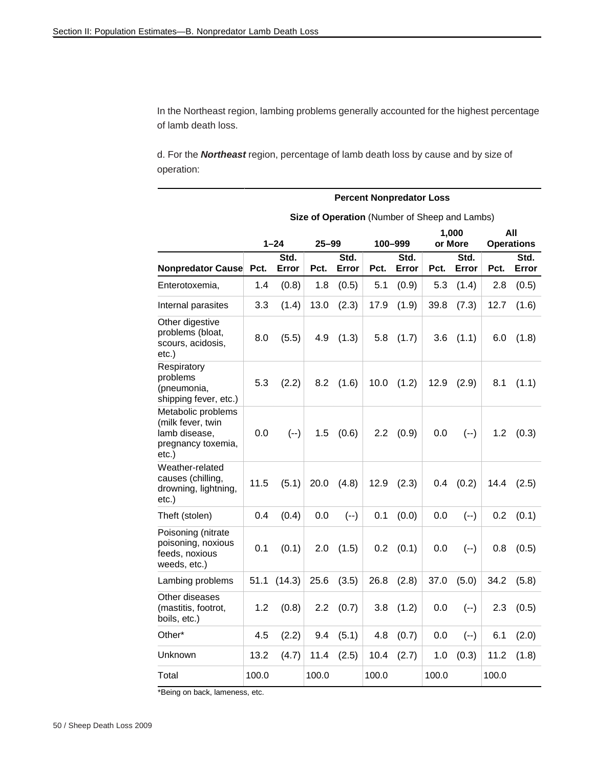In the Northeast region, lambing problems generally accounted for the highest percentage of lamb death loss.

d. For the *Northeast* region, percentage of lamb death loss by cause and by size of operation:

|                                                                                         | <b>Percent Nonpredator Loss</b> |               |           |               |       |                                               |       |                  |                          |               |  |
|-----------------------------------------------------------------------------------------|---------------------------------|---------------|-----------|---------------|-------|-----------------------------------------------|-------|------------------|--------------------------|---------------|--|
|                                                                                         |                                 |               |           |               |       | Size of Operation (Number of Sheep and Lambs) |       |                  |                          |               |  |
|                                                                                         |                                 | $1 - 24$      | $25 - 99$ |               |       | 100-999                                       |       | 1,000<br>or More | All<br><b>Operations</b> |               |  |
| Nonpredator Cause                                                                       | Pct.                            | Std.<br>Error | Pct.      | Std.<br>Error | Pct.  | Std.<br>Error                                 | Pct.  | Std.<br>Error    | Pct.                     | Std.<br>Error |  |
| Enterotoxemia,                                                                          | 1.4                             | (0.8)         | 1.8       | (0.5)         | 5.1   | (0.9)                                         | 5.3   | (1.4)            | 2.8                      | (0.5)         |  |
| Internal parasites                                                                      | 3.3                             | (1.4)         | 13.0      | (2.3)         | 17.9  | (1.9)                                         | 39.8  | (7.3)            | 12.7                     | (1.6)         |  |
| Other digestive<br>problems (bloat,<br>scours, acidosis,<br>etc.)                       | 8.0                             | (5.5)         | 4.9       | (1.3)         | 5.8   | (1.7)                                         | 3.6   | (1.1)            | 6.0                      | (1.8)         |  |
| Respiratory<br>problems<br>(pneumonia,<br>shipping fever, etc.)                         | 5.3                             | (2.2)         | 8.2       | (1.6)         | 10.0  | (1.2)                                         | 12.9  | (2.9)            | 8.1                      | (1.1)         |  |
| Metabolic problems<br>(milk fever, twin<br>lamb disease,<br>pregnancy toxemia,<br>etc.) | 0.0                             | $(--)$        | 1.5       | (0.6)         | 2.2   | (0.9)                                         | 0.0   | $(--)$           | 1.2                      | (0.3)         |  |
| Weather-related<br>causes (chilling,<br>drowning, lightning,<br>etc.)                   | 11.5                            | (5.1)         | 20.0      | (4.8)         | 12.9  | (2.3)                                         | 0.4   | (0.2)            | 14.4                     | (2.5)         |  |
| Theft (stolen)                                                                          | 0.4                             | (0.4)         | 0.0       | $(--)$        | 0.1   | (0.0)                                         | 0.0   | $(--)$           | 0.2                      | (0.1)         |  |
| Poisoning (nitrate<br>poisoning, noxious<br>feeds, noxious<br>weeds, etc.)              | 0.1                             | (0.1)         | 2.0       | (1.5)         | 0.2   | (0.1)                                         | 0.0   | $(--)$           | 0.8                      | (0.5)         |  |
| Lambing problems                                                                        | 51.1                            | (14.3)        | 25.6      | (3.5)         | 26.8  | (2.8)                                         | 37.0  | (5.0)            | 34.2                     | (5.8)         |  |
| Other diseases<br>(mastitis, footrot,<br>boils, etc.)                                   | 1.2                             | (0.8)         | 2.2       | (0.7)         | 3.8   | (1.2)                                         | 0.0   | $(--)$           | 2.3                      | (0.5)         |  |
| Other*                                                                                  | 4.5                             | (2.2)         | 9.4       | (5.1)         | 4.8   | (0.7)                                         | 0.0   | $(--)$           | 6.1                      | (2.0)         |  |
| Unknown                                                                                 | 13.2                            | (4.7)         | 11.4      | (2.5)         | 10.4  | (2.7)                                         | 1.0   | (0.3)            | 11.2                     | (1.8)         |  |
| Total                                                                                   | 100.0                           |               | 100.0     |               | 100.0 |                                               | 100.0 |                  | 100.0                    |               |  |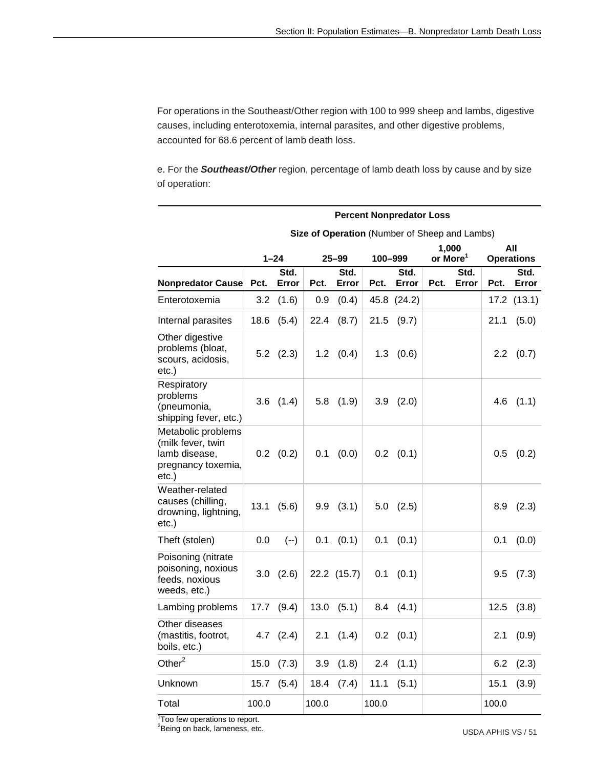For operations in the Southeast/Other region with 100 to 999 sheep and lambs, digestive causes, including enterotoxemia, internal parasites, and other digestive problems, accounted for 68.6 percent of lamb death loss.

e. For the *Southeast/Other* region, percentage of lamb death loss by cause and by size of operation:

|                                                                                            | <b>Percent Nonpredator Loss</b> |               |       |               |         |                                               |                      |               |               |                          |  |  |
|--------------------------------------------------------------------------------------------|---------------------------------|---------------|-------|---------------|---------|-----------------------------------------------|----------------------|---------------|---------------|--------------------------|--|--|
|                                                                                            |                                 |               |       |               |         | Size of Operation (Number of Sheep and Lambs) |                      |               |               |                          |  |  |
|                                                                                            |                                 | $1 - 24$      |       | $25 - 99$     | 100-999 |                                               | or More <sup>1</sup> | 1,000         |               | All<br><b>Operations</b> |  |  |
| <b>Nonpredator Cause</b>                                                                   | Pct.                            | Std.<br>Error | Pct.  | Std.<br>Error | Pct.    | Std.<br>Error                                 | Pct.                 | Std.<br>Error | Pct.          | Std.<br>Error            |  |  |
| Enterotoxemia                                                                              | 3.2                             | (1.6)         | 0.9   | (0.4)         |         | 45.8 (24.2)                                   |                      |               |               | 17.2 (13.1)              |  |  |
| Internal parasites                                                                         | 18.6                            | (5.4)         | 22.4  | (8.7)         | 21.5    | (9.7)                                         |                      |               | 21.1          | (5.0)                    |  |  |
| Other digestive<br>problems (bloat,<br>scours, acidosis,<br>$etc.$ )                       |                                 | $5.2$ $(2.3)$ | 1.2   | (0.4)         | 1.3     | (0.6)                                         |                      |               | $2.2^{\circ}$ | (0.7)                    |  |  |
| Respiratory<br>problems<br>(pneumonia,<br>shipping fever, etc.)                            | 3.6                             | (1.4)         |       | $5.8$ $(1.9)$ | 3.9     | (2.0)                                         |                      |               | 4.6           | (1.1)                    |  |  |
| Metabolic problems<br>(milk fever, twin<br>lamb disease,<br>pregnancy toxemia,<br>$etc.$ ) | $0.2\,$                         | (0.2)         | 0.1   | (0.0)         | $0.2\,$ | (0.1)                                         |                      |               | 0.5           | (0.2)                    |  |  |
| Weather-related<br>causes (chilling,<br>drowning, lightning,<br>$etc.$ )                   | 13.1                            | (5.6)         | 9.9   | (3.1)         | 5.0     | (2.5)                                         |                      |               | 8.9           | (2.3)                    |  |  |
| Theft (stolen)                                                                             | 0.0                             | $(-)$         | 0.1   | (0.1)         | 0.1     | (0.1)                                         |                      |               | 0.1           | (0.0)                    |  |  |
| Poisoning (nitrate<br>poisoning, noxious<br>feeds, noxious<br>weeds, etc.)                 | 3.0                             | (2.6)         |       | 22.2 (15.7)   | 0.1     | (0.1)                                         |                      |               | 9.5           | (7.3)                    |  |  |
| Lambing problems                                                                           | 17.7                            | (9.4)         | 13.0  | (5.1)         | 8.4     | (4.1)                                         |                      |               | 12.5          | (3.8)                    |  |  |
| Other diseases<br>(mastitis, footrot,<br>boils, etc.)                                      | 4.7                             | (2.4)         | 2.1   | (1.4)         | 0.2     | (0.1)                                         |                      |               | 2.1           | (0.9)                    |  |  |
| Other $2$                                                                                  | 15.0                            | (7.3)         | 3.9   | (1.8)         | 2.4     | (1.1)                                         |                      |               | 6.2           | (2.3)                    |  |  |
| Unknown                                                                                    | 15.7                            | (5.4)         | 18.4  | (7.4)         | 11.1    | (5.1)                                         |                      |               | 15.1          | (3.9)                    |  |  |
| Total                                                                                      | 100.0                           |               | 100.0 |               | 100.0   |                                               |                      |               | 100.0         |                          |  |  |

<sup>1</sup> Too few operations to report.

<sup>2</sup>Being on back, lameness, etc.

USDA APHIS VS / 51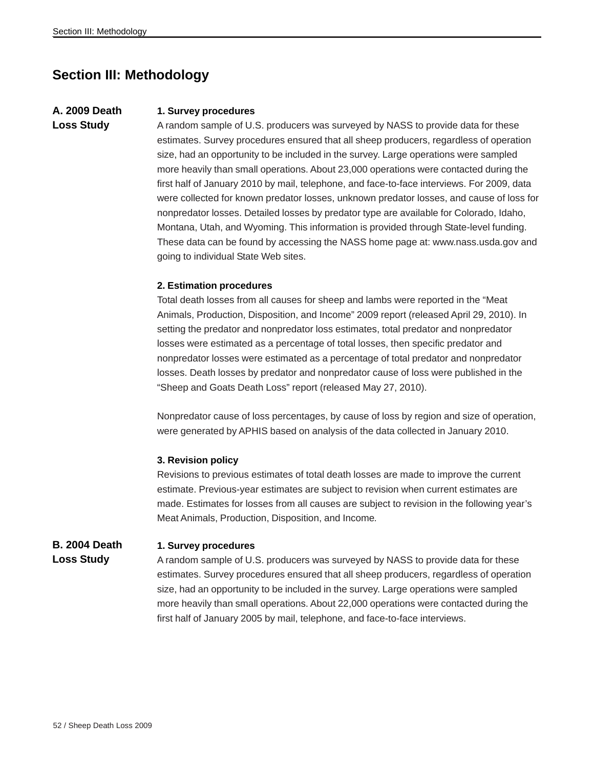### **Section III: Methodology**

### **A. 2009 Death Loss Study**

#### **1. Survey procedures**

A random sample of U.S. producers was surveyed by NASS to provide data for these estimates. Survey procedures ensured that all sheep producers, regardless of operation size, had an opportunity to be included in the survey. Large operations were sampled more heavily than small operations. About 23,000 operations were contacted during the first half of January 2010 by mail, telephone, and face-to-face interviews. For 2009, data were collected for known predator losses, unknown predator losses, and cause of loss for nonpredator losses. Detailed losses by predator type are available for Colorado, Idaho, Montana, Utah, and Wyoming. This information is provided through State-level funding. These data can be found by accessing the NASS home page at: www.nass.usda.gov and going to individual State Web sites.

#### **2. Estimation procedures**

Total death losses from all causes for sheep and lambs were reported in the "Meat Animals, Production, Disposition, and Income" 2009 report (released April 29, 2010). In setting the predator and nonpredator loss estimates, total predator and nonpredator losses were estimated as a percentage of total losses, then specific predator and nonpredator losses were estimated as a percentage of total predator and nonpredator losses. Death losses by predator and nonpredator cause of loss were published in the "Sheep and Goats Death Loss" report (released May 27, 2010).

Nonpredator cause of loss percentages, by cause of loss by region and size of operation, were generated by APHIS based on analysis of the data collected in January 2010.

#### **3. Revision policy**

Revisions to previous estimates of total death losses are made to improve the current estimate. Previous-year estimates are subject to revision when current estimates are made. Estimates for losses from all causes are subject to revision in the following year's Meat Animals, Production, Disposition, and Income*.*

#### **B. 2004 Death 1. Survey procedures**

**Loss Study**

A random sample of U.S. producers was surveyed by NASS to provide data for these estimates. Survey procedures ensured that all sheep producers, regardless of operation size, had an opportunity to be included in the survey. Large operations were sampled more heavily than small operations. About 22,000 operations were contacted during the first half of January 2005 by mail, telephone, and face-to-face interviews.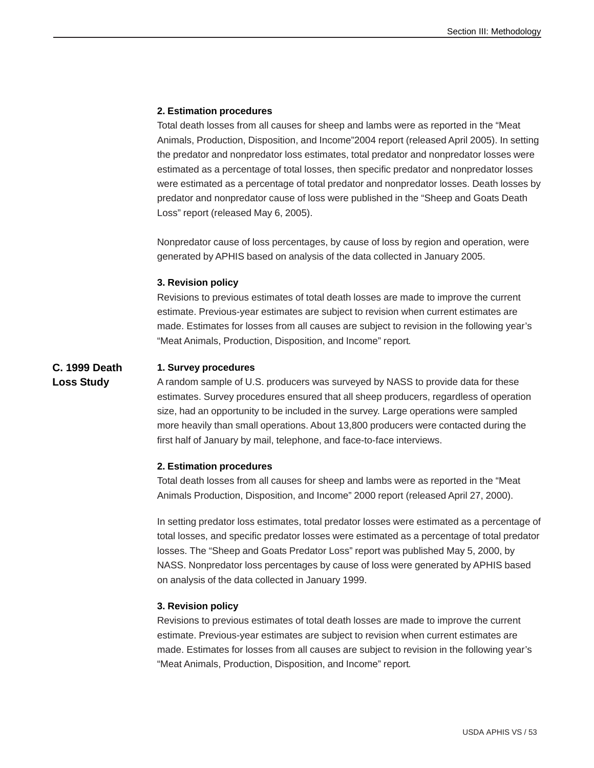#### **2. Estimation procedures**

Total death losses from all causes for sheep and lambs were as reported in the "Meat Animals, Production, Disposition, and Income"2004 report (released April 2005). In setting the predator and nonpredator loss estimates, total predator and nonpredator losses were estimated as a percentage of total losses, then specific predator and nonpredator losses were estimated as a percentage of total predator and nonpredator losses. Death losses by predator and nonpredator cause of loss were published in the "Sheep and Goats Death Loss" report (released May 6, 2005).

Nonpredator cause of loss percentages, by cause of loss by region and operation, were generated by APHIS based on analysis of the data collected in January 2005.

#### **3. Revision policy**

Revisions to previous estimates of total death losses are made to improve the current estimate. Previous-year estimates are subject to revision when current estimates are made. Estimates for losses from all causes are subject to revision in the following year's "Meat Animals, Production, Disposition, and Income" report*.*

#### **C. 1999 Death 1. Survey procedures**

**Loss Study**

A random sample of U.S. producers was surveyed by NASS to provide data for these estimates. Survey procedures ensured that all sheep producers, regardless of operation size, had an opportunity to be included in the survey. Large operations were sampled more heavily than small operations. About 13,800 producers were contacted during the first half of January by mail, telephone, and face-to-face interviews.

#### **2. Estimation procedures**

Total death losses from all causes for sheep and lambs were as reported in the "Meat Animals Production, Disposition, and Income" 2000 report (released April 27, 2000).

In setting predator loss estimates, total predator losses were estimated as a percentage of total losses, and specific predator losses were estimated as a percentage of total predator losses. The "Sheep and Goats Predator Loss" report was published May 5, 2000, by NASS. Nonpredator loss percentages by cause of loss were generated by APHIS based on analysis of the data collected in January 1999.

#### **3. Revision policy**

Revisions to previous estimates of total death losses are made to improve the current estimate. Previous-year estimates are subject to revision when current estimates are made. Estimates for losses from all causes are subject to revision in the following year's "Meat Animals, Production, Disposition, and Income" report*.*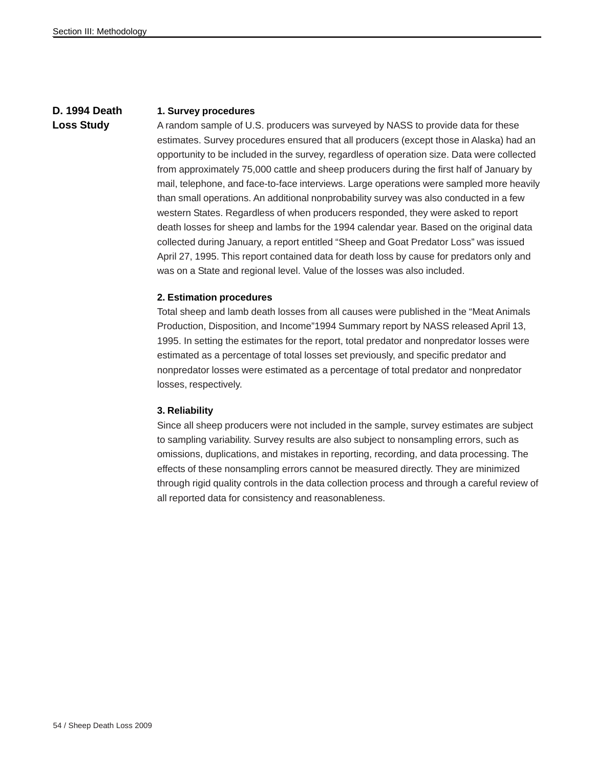### **D. 1994 Death Loss Study**

#### **1. Survey procedures**

A random sample of U.S. producers was surveyed by NASS to provide data for these estimates. Survey procedures ensured that all producers (except those in Alaska) had an opportunity to be included in the survey, regardless of operation size. Data were collected from approximately 75,000 cattle and sheep producers during the first half of January by mail, telephone, and face-to-face interviews. Large operations were sampled more heavily than small operations. An additional nonprobability survey was also conducted in a few western States. Regardless of when producers responded, they were asked to report death losses for sheep and lambs for the 1994 calendar year. Based on the original data collected during January, a report entitled "Sheep and Goat Predator Loss" was issued April 27, 1995. This report contained data for death loss by cause for predators only and was on a State and regional level. Value of the losses was also included.

#### **2. Estimation procedures**

Total sheep and lamb death losses from all causes were published in the "Meat Animals Production, Disposition, and Income"1994 Summary report by NASS released April 13, 1995. In setting the estimates for the report, total predator and nonpredator losses were estimated as a percentage of total losses set previously, and specific predator and nonpredator losses were estimated as a percentage of total predator and nonpredator losses, respectively.

#### **3. Reliability**

Since all sheep producers were not included in the sample, survey estimates are subject to sampling variability. Survey results are also subject to nonsampling errors, such as omissions, duplications, and mistakes in reporting, recording, and data processing. The effects of these nonsampling errors cannot be measured directly. They are minimized through rigid quality controls in the data collection process and through a careful review of all reported data for consistency and reasonableness.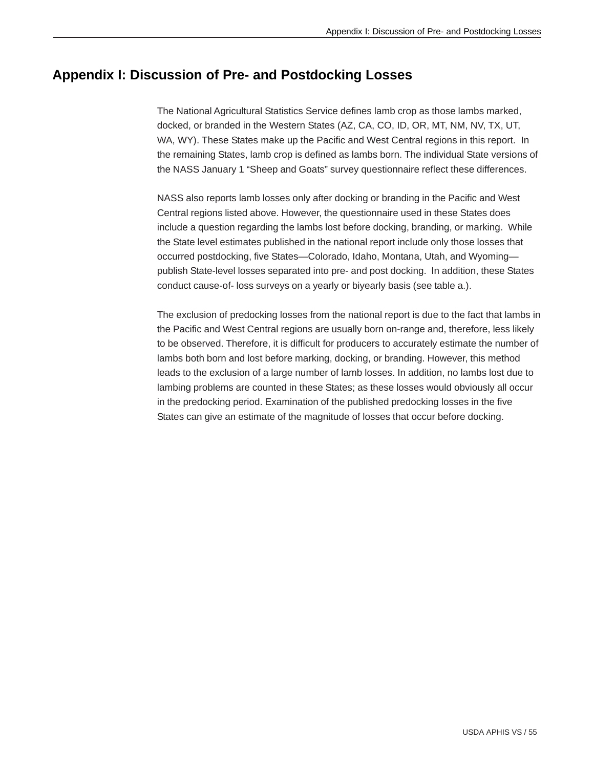### **Appendix I: Discussion of Pre- and Postdocking Losses**

The National Agricultural Statistics Service defines lamb crop as those lambs marked, docked, or branded in the Western States (AZ, CA, CO, ID, OR, MT, NM, NV, TX, UT, WA, WY). These States make up the Pacific and West Central regions in this report. In the remaining States, lamb crop is defined as lambs born. The individual State versions of the NASS January 1 "Sheep and Goats" survey questionnaire reflect these differences.

NASS also reports lamb losses only after docking or branding in the Pacific and West Central regions listed above. However, the questionnaire used in these States does include a question regarding the lambs lost before docking, branding, or marking. While the State level estimates published in the national report include only those losses that occurred postdocking, five States—Colorado, Idaho, Montana, Utah, and Wyoming publish State-level losses separated into pre- and post docking. In addition, these States conduct cause-of- loss surveys on a yearly or biyearly basis (see table a.).

The exclusion of predocking losses from the national report is due to the fact that lambs in the Pacific and West Central regions are usually born on-range and, therefore, less likely to be observed. Therefore, it is difficult for producers to accurately estimate the number of lambs both born and lost before marking, docking, or branding. However, this method leads to the exclusion of a large number of lamb losses. In addition, no lambs lost due to lambing problems are counted in these States; as these losses would obviously all occur in the predocking period. Examination of the published predocking losses in the five States can give an estimate of the magnitude of losses that occur before docking.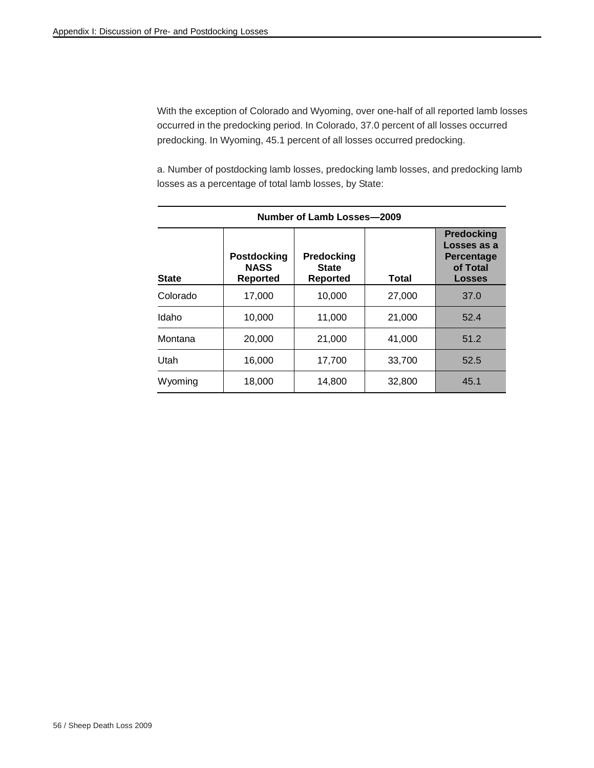With the exception of Colorado and Wyoming, over one-half of all reported lamb losses occurred in the predocking period. In Colorado, 37.0 percent of all losses occurred predocking. In Wyoming, 45.1 percent of all losses occurred predocking.

a. Number of postdocking lamb losses, predocking lamb losses, and predocking lamb losses as a percentage of total lamb losses, by State:

| <b>Number of Lamb Losses-2009</b> |                                                      |                                        |              |                                                                                    |  |  |  |  |  |  |
|-----------------------------------|------------------------------------------------------|----------------------------------------|--------------|------------------------------------------------------------------------------------|--|--|--|--|--|--|
| <b>State</b>                      | <b>Postdocking</b><br><b>NASS</b><br><b>Reported</b> | Predocking<br><b>State</b><br>Reported | <b>Total</b> | <b>Predocking</b><br>Losses as a<br><b>Percentage</b><br>of Total<br><b>Losses</b> |  |  |  |  |  |  |
| Colorado                          | 17,000                                               | 10,000                                 | 27,000       | 37.0                                                                               |  |  |  |  |  |  |
| Idaho                             | 10,000                                               | 11,000                                 | 21,000       | 52.4                                                                               |  |  |  |  |  |  |
| Montana                           | 20,000                                               | 21,000                                 | 41,000       | 51.2                                                                               |  |  |  |  |  |  |
| Utah                              | 16,000                                               | 17,700                                 | 33,700       | 52.5                                                                               |  |  |  |  |  |  |
| Wyoming                           | 18,000                                               | 14,800                                 | 32,800       | 45.1                                                                               |  |  |  |  |  |  |